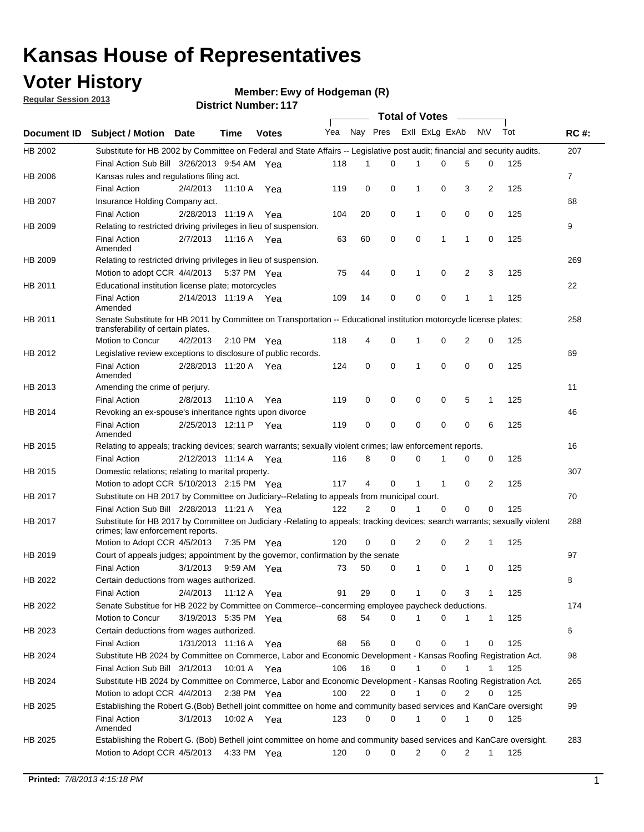## **Voter History**

**Ewy of Hodgeman (R)**

**Regular Session 2013**

|                    |                                                                                                                                                                |                       | ו ו <sub>י</sub> וסעוווטנו שנוש |              |              |    | Total of Votes – |                |              |                |              |     |                |
|--------------------|----------------------------------------------------------------------------------------------------------------------------------------------------------------|-----------------------|---------------------------------|--------------|--------------|----|------------------|----------------|--------------|----------------|--------------|-----|----------------|
| <b>Document ID</b> | <b>Subject / Motion Date</b>                                                                                                                                   |                       | Time                            | <b>Votes</b> | Yea Nay Pres |    |                  | Exll ExLg ExAb |              |                | N\V          | Tot | <b>RC#:</b>    |
| HB 2002            | Substitute for HB 2002 by Committee on Federal and State Affairs -- Legislative post audit; financial and security audits.                                     |                       |                                 |              |              |    |                  |                |              |                |              |     | 207            |
|                    | Final Action Sub Bill 3/26/2013 9:54 AM Yea                                                                                                                    |                       |                                 |              | 118          | 1  | $\Omega$         |                | 0            | 5              | 0            | 125 |                |
| HB 2006            | Kansas rules and regulations filing act.                                                                                                                       |                       |                                 |              |              |    |                  |                |              |                |              |     | $\overline{7}$ |
|                    | <b>Final Action</b>                                                                                                                                            | 2/4/2013              | 11:10 A Yea                     |              | 119          | 0  | 0                | 1              | 0            | 3              | 2            | 125 |                |
| HB 2007            | Insurance Holding Company act.                                                                                                                                 |                       |                                 |              |              |    |                  |                |              |                |              |     | 68             |
|                    | <b>Final Action</b>                                                                                                                                            | 2/28/2013 11:19 A     |                                 | Yea          | 104          | 20 | 0                | 1              | 0            | 0              | 0            | 125 |                |
| HB 2009            | Relating to restricted driving privileges in lieu of suspension.                                                                                               |                       |                                 |              |              |    |                  |                |              |                |              |     | 9              |
|                    | <b>Final Action</b><br>Amended                                                                                                                                 | 2/7/2013              | 11:16 A Yea                     |              | 63           | 60 | 0                | 0              | 1            | 1              | 0            | 125 |                |
| HB 2009            | Relating to restricted driving privileges in lieu of suspension.                                                                                               |                       |                                 |              |              |    |                  |                |              |                |              |     | 269            |
|                    | Motion to adopt CCR 4/4/2013                                                                                                                                   |                       | 5:37 PM Yea                     |              | 75           | 44 | 0                | 1              | 0            | 2              | 3            | 125 |                |
| HB 2011            | Educational institution license plate; motorcycles                                                                                                             |                       |                                 |              |              |    |                  |                |              |                |              |     | 22             |
|                    | <b>Final Action</b><br>Amended                                                                                                                                 | 2/14/2013 11:19 A Yea |                                 |              | 109          | 14 | 0                | 0              | 0            | 1              | 1            | 125 |                |
| HB 2011            | Senate Substitute for HB 2011 by Committee on Transportation -- Educational institution motorcycle license plates;                                             |                       |                                 |              |              |    |                  |                |              |                |              |     | 258            |
|                    | transferability of certain plates.                                                                                                                             |                       |                                 |              |              |    |                  |                |              |                |              |     |                |
|                    | Motion to Concur                                                                                                                                               | 4/2/2013              | $2:10 \text{ PM}$ Yea           |              | 118          | 4  | 0                | $\mathbf 1$    | 0            | $\overline{2}$ | 0            | 125 |                |
| HB 2012            | Legislative review exceptions to disclosure of public records.                                                                                                 |                       |                                 |              |              |    |                  |                |              |                |              |     | 69             |
|                    | <b>Final Action</b><br>Amended                                                                                                                                 | 2/28/2013 11:20 A Yea |                                 |              | 124          | 0  | 0                | 1              | 0            | 0              | 0            | 125 |                |
| HB 2013            | Amending the crime of perjury.                                                                                                                                 |                       |                                 |              |              |    |                  |                |              |                |              |     | 11             |
|                    | <b>Final Action</b>                                                                                                                                            | 2/8/2013              | 11:10 A                         | Yea          | 119          | 0  | 0                | 0              | 0            | 5              | 1            | 125 |                |
| HB 2014            | Revoking an ex-spouse's inheritance rights upon divorce                                                                                                        |                       |                                 |              |              |    |                  |                |              |                |              |     | 46             |
|                    | <b>Final Action</b><br>Amended                                                                                                                                 |                       | 2/25/2013 12:11 P               | Yea          | 119          | 0  | $\mathbf 0$      | 0              | 0            | 0              | 6            | 125 |                |
| HB 2015            | Relating to appeals; tracking devices; search warrants; sexually violent crimes; law enforcement reports.                                                      |                       |                                 |              |              |    |                  |                |              |                |              |     | 16             |
|                    | <b>Final Action</b>                                                                                                                                            | 2/12/2013 11:14 A     |                                 | Yea          | 116          | 8  | 0                | 0              | 1            | 0              | 0            | 125 |                |
| HB 2015            | Domestic relations; relating to marital property.                                                                                                              |                       |                                 |              |              |    |                  |                |              |                |              |     | 307            |
|                    | Motion to adopt CCR 5/10/2013 2:15 PM Yea                                                                                                                      |                       |                                 |              | 117          | 4  | 0                | $\mathbf{1}$   | $\mathbf{1}$ | 0              | 2            | 125 |                |
| HB 2017            | Substitute on HB 2017 by Committee on Judiciary--Relating to appeals from municipal court.                                                                     |                       |                                 |              |              |    |                  |                |              |                |              |     | 70             |
|                    | Final Action Sub Bill 2/28/2013 11:21 A Yea                                                                                                                    |                       |                                 |              | 122          | 2  | 0                | 1              | 0            | 0              | 0            | 125 |                |
| HB 2017            | Substitute for HB 2017 by Committee on Judiciary -Relating to appeals; tracking devices; search warrants; sexually violent<br>crimes; law enforcement reports. |                       |                                 |              |              |    |                  |                |              |                |              |     | 288            |
|                    | Motion to Adopt CCR 4/5/2013                                                                                                                                   |                       | 7:35 PM Yea                     |              | 120          | 0  | 0                | 2              | 0            | 2              | 1            | 125 |                |
| HB 2019            | Court of appeals judges; appointment by the governor, confirmation by the senate                                                                               |                       |                                 |              |              |    |                  |                |              |                |              |     | 97             |
|                    | Final Action                                                                                                                                                   | 3/1/2013              | 9:59 AM Yea                     |              | 73           | 50 | 0                | 1              | 0            | 1              | 0            | 125 |                |
| HB 2022            | Certain deductions from wages authorized.                                                                                                                      |                       |                                 |              |              |    |                  |                |              |                |              |     | 8              |
|                    | <b>Final Action</b>                                                                                                                                            | 2/4/2013              | 11:12 A                         | Yea          | 91           | 29 | 0                |                | 0            | 3              | 1            | 125 |                |
| HB 2022            | Senate Substitue for HB 2022 by Committee on Commerce--concerming employee paycheck deductions.                                                                |                       |                                 |              |              |    |                  |                |              |                |              |     | 174            |
|                    | Motion to Concur                                                                                                                                               | 3/19/2013 5:35 PM Yea |                                 |              | 68           | 54 | 0                | 1              | 0            | 1              | $\mathbf{1}$ | 125 |                |
| HB 2023            | Certain deductions from wages authorized.                                                                                                                      |                       |                                 |              |              |    |                  |                |              |                |              |     | 6              |
|                    | Final Action                                                                                                                                                   | 1/31/2013 11:16 A     |                                 | Yea          | 68           | 56 | 0                | 0              | 0            | 1              | 0            | 125 |                |
| HB 2024            | Substitute HB 2024 by Committee on Commerce, Labor and Economic Development - Kansas Roofing Registration Act.                                                 |                       |                                 |              |              |    |                  |                |              |                |              |     | 98             |
|                    | Final Action Sub Bill 3/1/2013                                                                                                                                 |                       | 10:01 A Yea                     |              | 106          | 16 | 0                | 1              | 0            | 1              | 1            | 125 |                |
| HB 2024            | Substitute HB 2024 by Committee on Commerce, Labor and Economic Development - Kansas Roofing Registration Act.                                                 |                       |                                 |              |              |    |                  |                |              |                |              |     | 265            |
|                    |                                                                                                                                                                |                       | 2:38 PM Yea                     |              | 100          | 22 | 0                | 1              | 0            | 2              |              | 125 |                |
|                    | Motion to adopt CCR 4/4/2013                                                                                                                                   |                       |                                 |              |              |    |                  |                |              |                | 0            |     |                |
| HB 2025            | Establishing the Robert G.(Bob) Bethell joint committee on home and community based services and KanCare oversight                                             |                       |                                 |              |              |    |                  |                |              |                |              |     | 99             |
|                    | <b>Final Action</b><br>Amended                                                                                                                                 | 3/1/2013              | 10:02 A Yea                     |              | 123          | 0  | 0                | $\mathbf{1}$   | 0            | 1              | 0            | 125 |                |
| HB 2025            | Establishing the Robert G. (Bob) Bethell joint committee on home and community based services and KanCare oversight.                                           |                       |                                 |              |              |    |                  |                |              |                |              |     | 283            |
|                    | Motion to Adopt CCR 4/5/2013                                                                                                                                   |                       | 4:33 PM Yea                     |              | 120          | 0  | 0                | 2              | 0            | 2              | $\mathbf{1}$ | 125 |                |
|                    |                                                                                                                                                                |                       |                                 |              |              |    |                  |                |              |                |              |     |                |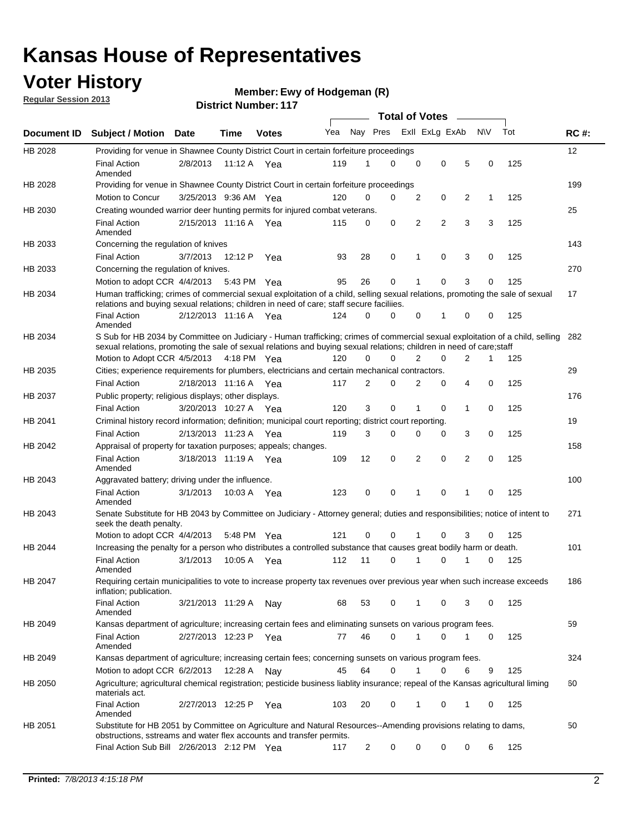## **Voter History**

**Ewy of Hodgeman (R)**

**Regular Session 2013**

|             |                                                                                                                                                                                                                                                        |                       |         |              |     |          | <b>Total of Votes</b> |                |                |                |              |     |             |
|-------------|--------------------------------------------------------------------------------------------------------------------------------------------------------------------------------------------------------------------------------------------------------|-----------------------|---------|--------------|-----|----------|-----------------------|----------------|----------------|----------------|--------------|-----|-------------|
| Document ID | <b>Subject / Motion Date</b>                                                                                                                                                                                                                           |                       | Time    | <b>Votes</b> | Yea | Nay Pres |                       |                | Exll ExLg ExAb |                | <b>NV</b>    | Tot | <b>RC#:</b> |
| HB 2028     | Providing for venue in Shawnee County District Court in certain forfeiture proceedings                                                                                                                                                                 |                       |         |              |     |          |                       |                |                |                |              |     | 12          |
|             | <b>Final Action</b><br>Amended                                                                                                                                                                                                                         | 2/8/2013              |         | 11:12 A Yea  | 119 | 1        | $\Omega$              | 0              | 0              | 5              | 0            | 125 |             |
| HB 2028     | Providing for venue in Shawnee County District Court in certain forfeiture proceedings                                                                                                                                                                 |                       |         |              |     |          |                       |                |                |                |              |     | 199         |
|             | Motion to Concur                                                                                                                                                                                                                                       | 3/25/2013 9:36 AM Yea |         |              | 120 | 0        | 0                     | 2              | 0              | 2              | 1            | 125 |             |
| HB 2030     | Creating wounded warrior deer hunting permits for injured combat veterans.                                                                                                                                                                             |                       |         |              |     |          |                       |                |                |                |              |     | 25          |
|             | <b>Final Action</b><br>Amended                                                                                                                                                                                                                         | 2/15/2013 11:16 A     |         | Yea          | 115 | 0        | 0                     | 2              | 2              | 3              | 3            | 125 |             |
| HB 2033     | Concerning the regulation of knives                                                                                                                                                                                                                    |                       |         |              |     |          |                       |                |                |                |              |     | 143         |
|             | <b>Final Action</b>                                                                                                                                                                                                                                    | 3/7/2013              | 12:12 P | Yea          | 93  | 28       | 0                     | 1              | 0              | 3              | 0            | 125 |             |
| HB 2033     | Concerning the regulation of knives.                                                                                                                                                                                                                   |                       |         |              |     |          |                       |                |                |                |              |     | 270         |
|             | Motion to adopt CCR 4/4/2013                                                                                                                                                                                                                           |                       |         | 5:43 PM Yea  | 95  | 26       | 0                     |                | 0              | 3              | 0            | 125 |             |
| HB 2034     | Human trafficking; crimes of commercial sexual exploitation of a child, selling sexual relations, promoting the sale of sexual<br>relations and buying sexual relations; children in need of care; staff secure faciliies.                             |                       |         |              |     |          |                       |                |                |                |              |     | 17          |
|             | Final Action<br>Amended                                                                                                                                                                                                                                | 2/12/2013 11:16 A Yea |         |              | 124 | $\Omega$ | $\Omega$              | 0              | 1              | 0              | 0            | 125 |             |
| HB 2034     | S Sub for HB 2034 by Committee on Judiciary - Human trafficking; crimes of commercial sexual exploitation of a child, selling<br>sexual relations, promoting the sale of sexual relations and buying sexual relations; children in need of care; staff |                       |         |              |     |          |                       |                |                |                |              |     | 282         |
|             | Motion to Adopt CCR 4/5/2013 4:18 PM Yea                                                                                                                                                                                                               |                       |         |              | 120 | 0        | $\Omega$              | $\overline{2}$ | 0              | 2              | $\mathbf{1}$ | 125 |             |
| HB 2035     | Cities; experience requirements for plumbers, electricians and certain mechanical contractors.                                                                                                                                                         |                       |         |              |     |          |                       |                |                |                |              |     | 29          |
|             | <b>Final Action</b>                                                                                                                                                                                                                                    | 2/18/2013 11:16 A     |         | Yea          | 117 | 2        | 0                     | 2              | 0              | 4              | 0            | 125 |             |
| HB 2037     | Public property; religious displays; other displays.                                                                                                                                                                                                   |                       |         |              |     |          |                       |                |                |                |              |     | 176         |
|             | <b>Final Action</b>                                                                                                                                                                                                                                    | 3/20/2013 10:27 A     |         | Yea          | 120 | 3        | 0                     | 1              | 0              | $\mathbf{1}$   | 0            | 125 |             |
| HB 2041     | Criminal history record information; definition; municipal court reporting; district court reporting.                                                                                                                                                  |                       |         |              |     |          |                       |                |                |                |              |     | 19          |
|             | <b>Final Action</b>                                                                                                                                                                                                                                    | 2/13/2013 11:23 A     |         | Yea          | 119 | 3        | 0                     | 0              | 0              | 3              | 0            | 125 |             |
| HB 2042     | Appraisal of property for taxation purposes; appeals; changes.                                                                                                                                                                                         |                       |         |              |     |          |                       |                |                |                |              |     | 158         |
|             | <b>Final Action</b><br>Amended                                                                                                                                                                                                                         | 3/18/2013 11:19 A     |         | Yea          | 109 | 12       | 0                     | 2              | 0              | $\overline{2}$ | 0            | 125 |             |
| HB 2043     | Aggravated battery; driving under the influence.                                                                                                                                                                                                       |                       |         |              |     |          |                       |                |                |                |              |     | 100         |
|             | <b>Final Action</b><br>Amended                                                                                                                                                                                                                         | 3/1/2013              |         | 10:03 A Yea  | 123 | 0        | 0                     |                | 0              | 1              | 0            | 125 |             |
| HB 2043     | Senate Substitute for HB 2043 by Committee on Judiciary - Attorney general; duties and responsibilities; notice of intent to<br>seek the death penalty.                                                                                                |                       |         |              |     |          |                       |                |                |                |              |     | 271         |
|             | Motion to adopt CCR 4/4/2013                                                                                                                                                                                                                           |                       |         | 5:48 PM Yea  | 121 | 0        | 0                     |                | 0              | 3              | 0            | 125 |             |
| HB 2044     | Increasing the penalty for a person who distributes a controlled substance that causes great bodily harm or death.                                                                                                                                     |                       |         |              |     |          |                       |                |                |                |              |     | 101         |
|             | <b>Final Action</b><br>Amended                                                                                                                                                                                                                         | 3/1/2013              | 10:05 A | Yea          | 112 | 11       | 0                     |                | 0              | 1              | 0            | 125 |             |
| HB 2047     | Requiring certain municipalities to vote to increase property tax revenues over previous year when such increase exceeds<br>inflation; publication.                                                                                                    |                       |         |              |     |          |                       |                |                |                |              |     | 186         |
|             | <b>Final Action</b><br>Amended                                                                                                                                                                                                                         | 3/21/2013 11:29 A     |         | Nay          | 68  | 53       | 0                     |                | 0              | 3              | 0            | 125 |             |
| HB 2049     | Kansas department of agriculture; increasing certain fees and eliminating sunsets on various program fees.                                                                                                                                             |                       |         |              |     |          |                       |                |                |                |              |     | 59          |
|             | <b>Final Action</b><br>Amended                                                                                                                                                                                                                         | 2/27/2013 12:23 P     |         | Yea          | 77  | 46       | 0                     | 1              | 0              | 1              | 0            | 125 |             |
| HB 2049     | Kansas department of agriculture; increasing certain fees; concerning sunsets on various program fees.                                                                                                                                                 |                       |         |              |     |          |                       |                |                |                |              |     | 324         |
|             | Motion to adopt CCR 6/2/2013                                                                                                                                                                                                                           |                       | 12:28 A | Nav          | 45  | 64       | 0                     |                | 0              | 6              | 9            | 125 |             |
| HB 2050     | Agriculture; agricultural chemical registration; pesticide business liablity insurance; repeal of the Kansas agricultural liming<br>materials act.                                                                                                     |                       |         |              |     |          |                       |                |                |                |              |     | 60          |
|             | <b>Final Action</b><br>Amended                                                                                                                                                                                                                         | 2/27/2013 12:25 P     |         | Yea          | 103 | 20       | 0                     | 1              | 0              | 1              | 0            | 125 |             |
| HB 2051     | Substitute for HB 2051 by Committee on Agriculture and Natural Resources--Amending provisions relating to dams,<br>obstructions, sstreams and water flex accounts and transfer permits.                                                                |                       |         |              |     |          |                       |                |                |                |              |     | 50          |
|             | Final Action Sub Bill 2/26/2013 2:12 PM Yea                                                                                                                                                                                                            |                       |         |              | 117 | 2        | 0                     | 0              | 0              | 0              | 6            | 125 |             |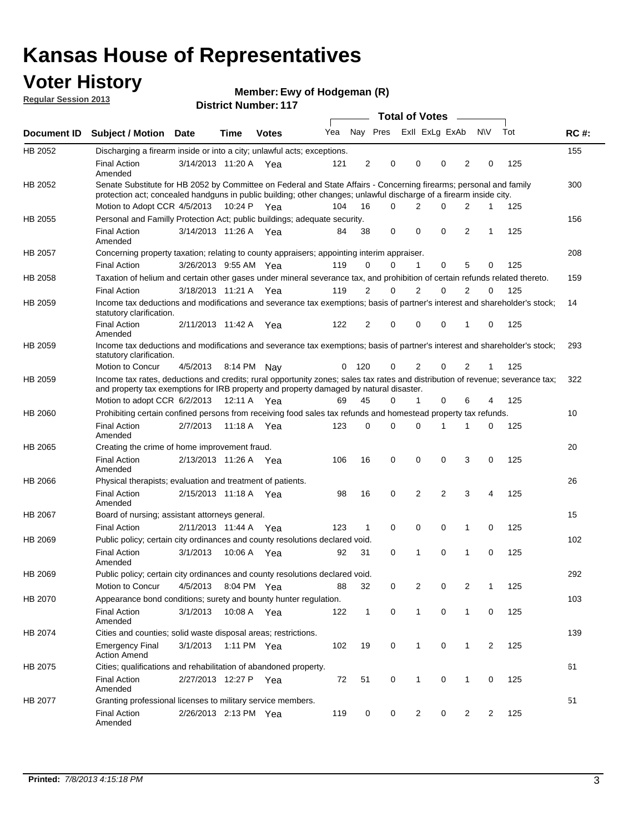## **Voter History**

**Ewy of Hodgeman (R)**

**Regular Session 2013**

|                |                                                                                                                                                                                                                                          |                       |             |              |     |                |             |              | <b>Total of Votes</b> |                |                |     |             |
|----------------|------------------------------------------------------------------------------------------------------------------------------------------------------------------------------------------------------------------------------------------|-----------------------|-------------|--------------|-----|----------------|-------------|--------------|-----------------------|----------------|----------------|-----|-------------|
| Document ID    | <b>Subject / Motion Date</b>                                                                                                                                                                                                             |                       | Time        | <b>Votes</b> | Yea |                | Nay Pres    |              | Exll ExLg ExAb        |                | <b>NV</b>      | Tot | <b>RC#:</b> |
| <b>HB 2052</b> | Discharging a firearm inside or into a city; unlawful acts; exceptions.                                                                                                                                                                  |                       |             |              |     |                |             |              |                       |                |                |     | 155         |
|                | <b>Final Action</b><br>Amended                                                                                                                                                                                                           | 3/14/2013 11:20 A     |             | Yea          | 121 | $\overline{2}$ | $\mathbf 0$ | 0            | 0                     | 2              | 0              | 125 |             |
| HB 2052        | Senate Substitute for HB 2052 by Committee on Federal and State Affairs - Concerning firearms; personal and family<br>protection act; concealed handguns in public building; other changes; unlawful discharge of a firearm inside city. |                       |             |              |     |                |             |              |                       |                |                |     | 300         |
|                | Motion to Adopt CCR 4/5/2013 10:24 P Yea                                                                                                                                                                                                 |                       |             |              | 104 | 16             | 0           |              | 2<br>0                | 2              | 1              | 125 |             |
| HB 2055        | Personal and Familly Protection Act; public buildings; adequate security.                                                                                                                                                                |                       |             |              |     |                |             |              |                       |                |                |     | 156         |
|                | <b>Final Action</b><br>Amended                                                                                                                                                                                                           | 3/14/2013 11:26 A Yea |             |              | 84  | 38             | 0           | $\Omega$     | $\Omega$              | $\overline{2}$ | $\mathbf{1}$   | 125 |             |
| HB 2057        | Concerning property taxation; relating to county appraisers; appointing interim appraiser.                                                                                                                                               |                       |             |              |     |                |             |              |                       |                |                |     | 208         |
|                | <b>Final Action</b>                                                                                                                                                                                                                      | 3/26/2013 9:55 AM Yea |             |              | 119 | 0              | 0           | $\mathbf{1}$ | 0                     | 5              | 0              | 125 |             |
| HB 2058        | Taxation of helium and certain other gases under mineral severance tax, and prohibition of certain refunds related thereto.                                                                                                              |                       |             |              |     |                |             |              |                       |                |                |     | 159         |
|                | <b>Final Action</b>                                                                                                                                                                                                                      | 3/18/2013 11:21 A Yea |             |              | 119 | 2              | 0           | 2            | 0                     | $\overline{2}$ | $\Omega$       | 125 |             |
| HB 2059        | Income tax deductions and modifications and severance tax exemptions; basis of partner's interest and shareholder's stock;<br>statutory clarification.                                                                                   |                       |             |              |     |                |             |              |                       |                |                |     | 14          |
|                | <b>Final Action</b><br>Amended                                                                                                                                                                                                           | 2/11/2013 11:42 A     |             | Yea          | 122 | 2              | 0           | 0            | 0                     | 1              | 0              | 125 |             |
| HB 2059        | Income tax deductions and modifications and severance tax exemptions; basis of partner's interest and shareholder's stock;<br>statutory clarification.                                                                                   |                       |             |              |     |                |             |              |                       |                |                |     | 293         |
|                | Motion to Concur                                                                                                                                                                                                                         | 4/5/2013              | 8:14 PM Nav |              | 0   | 120            | 0           | 2            | 0                     | 2              | 1              | 125 |             |
| HB 2059        | Income tax rates, deductions and credits; rural opportunity zones; sales tax rates and distribution of revenue; severance tax;<br>and property tax exemptions for IRB property and property damaged by natural disaster.                 |                       |             |              |     |                |             |              |                       |                |                |     | 322         |
|                | Motion to adopt CCR 6/2/2013                                                                                                                                                                                                             |                       |             | 12:11 A Yea  | 69  | 45             | 0           | 1            | 0                     | 6              | 4              | 125 |             |
| HB 2060        | Prohibiting certain confined persons from receiving food sales tax refunds and homestead property tax refunds.                                                                                                                           |                       |             |              |     |                |             |              |                       |                |                |     | 10          |
|                | <b>Final Action</b><br>Amended                                                                                                                                                                                                           | 2/7/2013              | 11:18 A     | Yea          | 123 | 0              | 0           | $\Omega$     | 1                     | 1              | 0              | 125 |             |
| HB 2065        | Creating the crime of home improvement fraud.                                                                                                                                                                                            |                       |             |              |     |                |             |              |                       |                |                |     | 20          |
|                | <b>Final Action</b><br>Amended                                                                                                                                                                                                           | 2/13/2013 11:26 A Yea |             |              | 106 | 16             | $\mathbf 0$ | 0            | 0                     | 3              | $\mathbf 0$    | 125 |             |
| HB 2066        | Physical therapists; evaluation and treatment of patients.                                                                                                                                                                               |                       |             |              |     |                |             |              |                       |                |                |     | 26          |
|                | <b>Final Action</b><br>Amended                                                                                                                                                                                                           | 2/15/2013 11:18 A Yea |             |              | 98  | 16             | $\mathbf 0$ | 2            | 2                     | 3              | 4              | 125 |             |
| HB 2067        | Board of nursing; assistant attorneys general.                                                                                                                                                                                           |                       |             |              |     |                |             |              |                       |                |                |     | 15          |
|                | <b>Final Action</b>                                                                                                                                                                                                                      | 2/11/2013 11:44 A Yea |             |              | 123 | 1              | $\mathbf 0$ | 0            | 0                     | 1              | 0              | 125 |             |
| HB 2069        | Public policy; certain city ordinances and county resolutions declared void.                                                                                                                                                             |                       |             |              |     |                |             |              |                       |                |                |     | 102         |
|                | <b>Final Action</b><br>Amended                                                                                                                                                                                                           | 3/1/2013              | 10:06 A     | Yea          | 92  | 31             | $\mathbf 0$ | 1            | 0                     | 1              | 0              | 125 |             |
| HB 2069        | Public policy; certain city ordinances and county resolutions declared void.                                                                                                                                                             |                       |             |              |     |                |             |              |                       |                |                |     | 292         |
|                | Motion to Concur                                                                                                                                                                                                                         | 4/5/2013              |             | 8:04 PM Yea  | 88  | 32             | 0           | 2            | 0                     | 2              | 1              | 125 |             |
| HB 2070        | Appearance bond conditions; surety and bounty hunter regulation.                                                                                                                                                                         |                       |             |              |     |                |             |              |                       |                |                |     | 103         |
|                | <b>Final Action</b><br>Amended                                                                                                                                                                                                           | 3/1/2013              |             | 10:08 A Yea  | 122 | $\mathbf{1}$   | 0           | $\mathbf{1}$ | 0                     | 1              | 0              | 125 |             |
| HB 2074        | Cities and counties; solid waste disposal areas; restrictions.                                                                                                                                                                           |                       |             |              |     |                |             |              |                       |                |                |     | 139         |
|                | <b>Emergency Final</b><br><b>Action Amend</b>                                                                                                                                                                                            | 3/1/2013              |             | 1:11 PM Yea  | 102 | 19             | 0           | $\mathbf{1}$ | 0                     | $\mathbf{1}$   | $\overline{2}$ | 125 |             |
| HB 2075        | Cities; qualifications and rehabilitation of abandoned property.                                                                                                                                                                         |                       |             |              |     |                |             |              |                       |                |                |     | 61          |
|                | <b>Final Action</b><br>Amended                                                                                                                                                                                                           | 2/27/2013 12:27 P Yea |             |              | 72  | 51             | 0           | 1            | 0                     | 1              | 0              | 125 |             |
| HB 2077        | Granting professional licenses to military service members.<br><b>Final Action</b><br>Amended                                                                                                                                            | 2/26/2013 2:13 PM Yea |             |              | 119 | $\mathbf 0$    | 0           |              | $\overline{2}$<br>0   | $\overline{2}$ | 2              | 125 | 51          |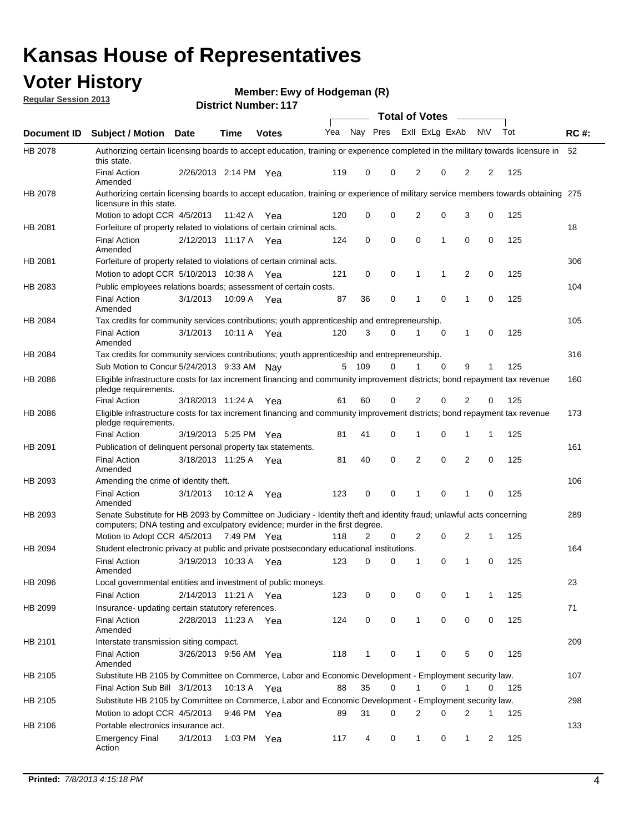## **Voter History**

**Ewy of Hodgeman (R)**

**Regular Session 2013**

|                |                                                                                                                                                                                                       |                       |                       |              |     |             | <b>Total of Votes</b>   |                |              | $\overline{\phantom{a}}$ |                |     |             |
|----------------|-------------------------------------------------------------------------------------------------------------------------------------------------------------------------------------------------------|-----------------------|-----------------------|--------------|-----|-------------|-------------------------|----------------|--------------|--------------------------|----------------|-----|-------------|
| Document ID    | <b>Subject / Motion</b>                                                                                                                                                                               | Date                  | Time                  | <b>Votes</b> | Yea |             | Nay Pres Exll ExLg ExAb |                |              |                          | N\V            | Tot | <b>RC#:</b> |
| HB 2078        | Authorizing certain licensing boards to accept education, training or experience completed in the military towards licensure in<br>this state.                                                        |                       |                       |              |     |             |                         |                |              |                          |                |     | 52          |
|                | <b>Final Action</b><br>Amended                                                                                                                                                                        | 2/26/2013 2:14 PM Yea |                       |              | 119 | 0           | 0                       | 2              | 0            | $\overline{2}$           | 2              | 125 |             |
| <b>HB 2078</b> | Authorizing certain licensing boards to accept education, training or experience of military service members towards obtaining 275<br>licensure in this state.                                        |                       |                       |              |     |             |                         |                |              |                          |                |     |             |
|                | Motion to adopt CCR 4/5/2013                                                                                                                                                                          |                       | 11:42 A               | Yea          | 120 | $\mathbf 0$ | 0                       | $\overline{2}$ | 0            | 3                        | $\mathbf 0$    | 125 |             |
| HB 2081        | Forfeiture of property related to violations of certain criminal acts.                                                                                                                                |                       |                       |              |     |             |                         |                |              |                          |                |     | 18          |
|                | <b>Final Action</b><br>Amended                                                                                                                                                                        | 2/12/2013 11:17 A Yea |                       |              | 124 | $\mathbf 0$ | 0                       | $\Omega$       | $\mathbf{1}$ | 0                        | $\mathbf 0$    | 125 |             |
| HB 2081        | Forfeiture of property related to violations of certain criminal acts.                                                                                                                                |                       |                       |              |     |             |                         |                |              |                          |                |     | 306         |
|                | Motion to adopt CCR 5/10/2013 10:38 A                                                                                                                                                                 |                       |                       | Yea          | 121 | 0           | 0                       | 1              | 1            | 2                        | 0              | 125 |             |
| HB 2083        | Public employees relations boards; assessment of certain costs.                                                                                                                                       |                       |                       |              |     |             |                         |                |              |                          |                |     | 104         |
|                | <b>Final Action</b><br>Amended                                                                                                                                                                        | 3/1/2013              | 10:09 A               | Yea          | 87  | 36          | 0                       | $\mathbf 1$    | 0            | $\mathbf 1$              | 0              | 125 |             |
| HB 2084        | Tax credits for community services contributions; youth apprenticeship and entrepreneurship.                                                                                                          |                       |                       |              |     |             |                         |                |              |                          |                |     | 105         |
|                | <b>Final Action</b><br>Amended                                                                                                                                                                        | 3/1/2013              |                       | 10:11 A Yea  | 120 | 3           | 0                       | 1              | 0            | $\mathbf{1}$             | 0              | 125 |             |
| HB 2084        | Tax credits for community services contributions; youth apprenticeship and entrepreneurship.                                                                                                          |                       |                       |              |     |             |                         |                |              |                          |                |     | 316         |
|                | Sub Motion to Concur 5/24/2013 9:33 AM Nay                                                                                                                                                            |                       |                       |              |     | 5 109       | 0                       | 1              | 0            | 9                        | 1              | 125 |             |
| HB 2086        | Eligible infrastructure costs for tax increment financing and community improvement districts; bond repayment tax revenue<br>pledge requirements.                                                     |                       |                       |              |     |             |                         |                |              |                          |                |     | 160         |
|                | <b>Final Action</b>                                                                                                                                                                                   |                       | 3/18/2013 11:24 A     | Yea          | 61  | 60          | 0                       | $\overline{2}$ | 0            | $\overline{2}$           | 0              | 125 |             |
| HB 2086        | Eligible infrastructure costs for tax increment financing and community improvement districts; bond repayment tax revenue<br>pledge requirements.                                                     |                       |                       |              |     |             |                         |                |              |                          |                |     | 173         |
|                | <b>Final Action</b>                                                                                                                                                                                   |                       | 3/19/2013 5:25 PM Yea |              | 81  | 41          | 0                       | 1              | 0            | 1                        | 1              | 125 |             |
| HB 2091        | Publication of delinquent personal property tax statements.                                                                                                                                           |                       |                       |              |     |             |                         |                |              |                          |                |     | 161         |
|                | <b>Final Action</b><br>Amended                                                                                                                                                                        |                       | 3/18/2013 11:25 A Yea |              | 81  | 40          | 0                       | 2              | 0            | $\overline{2}$           | 0              | 125 |             |
| HB 2093        | Amending the crime of identity theft.                                                                                                                                                                 |                       |                       |              |     |             |                         |                |              |                          |                |     | 106         |
|                | <b>Final Action</b><br>Amended                                                                                                                                                                        | 3/1/2013              | 10:12 A               | Yea          | 123 | 0           | 0                       | 1              | $\Omega$     | 1                        | 0              | 125 |             |
| HB 2093        | Senate Substitute for HB 2093 by Committee on Judiciary - Identity theft and identity fraud; unlawful acts concerning<br>computers; DNA testing and exculpatory evidence; murder in the first degree. |                       |                       |              |     |             |                         |                |              |                          |                |     | 289         |
|                | Motion to Adopt CCR 4/5/2013 7:49 PM Yea                                                                                                                                                              |                       |                       |              | 118 | 2           | 0                       | 2              | 0            | $\overline{2}$           | $\mathbf{1}$   | 125 |             |
| HB 2094        | Student electronic privacy at public and private postsecondary educational institutions.                                                                                                              |                       |                       |              |     |             |                         |                |              |                          |                |     | 164         |
|                | <b>Final Action</b><br>Amended                                                                                                                                                                        |                       | 3/19/2013 10:33 A     | Yea          | 123 | 0           | 0                       | 1              | 0            | 1                        | 0              | 125 |             |
| HB 2096        | Local governmental entities and investment of public moneys.                                                                                                                                          |                       |                       |              |     |             |                         |                |              |                          |                |     | 23          |
|                | <b>Final Action</b>                                                                                                                                                                                   |                       | 2/14/2013 11:21 A Yea |              | 123 | 0           | 0                       | 0              | 0            | 1                        | 1              | 125 |             |
| HB 2099        | Insurance- updating certain statutory references.                                                                                                                                                     |                       |                       |              |     |             |                         |                |              |                          |                |     | 71          |
|                | <b>Final Action</b><br>Amended                                                                                                                                                                        |                       | 2/28/2013 11:23 A Yea |              | 124 | 0           | 0                       | $\mathbf{1}$   | 0            | 0                        | 0              | 125 |             |
| HB 2101        | Interstate transmission siting compact.                                                                                                                                                               |                       |                       |              |     |             |                         |                |              |                          |                |     | 209         |
|                | <b>Final Action</b><br>Amended                                                                                                                                                                        |                       | 3/26/2013 9:56 AM Yea |              | 118 | 1           | 0                       | 1              | 0            | 5                        | 0              | 125 |             |
| HB 2105        | Substitute HB 2105 by Committee on Commerce, Labor and Economic Development - Employment security law.                                                                                                |                       |                       |              |     |             |                         |                |              |                          |                |     | 107         |
|                | Final Action Sub Bill 3/1/2013 10:13 A Yea                                                                                                                                                            |                       |                       |              | 88  | 35          | 0                       | 1              | $\Omega$     | 1                        | $\Omega$       | 125 |             |
| HB 2105        | Substitute HB 2105 by Committee on Commerce, Labor and Economic Development - Employment security law.                                                                                                |                       |                       |              |     |             |                         |                |              |                          |                |     | 298         |
|                | Motion to adopt CCR 4/5/2013 9:46 PM Yea                                                                                                                                                              |                       |                       |              | 89  | 31          | 0                       | $\overline{2}$ | $\Omega$     | $\overline{2}$           | 1              | 125 |             |
| HB 2106        | Portable electronics insurance act.                                                                                                                                                                   |                       |                       |              |     |             |                         |                |              |                          |                |     | 133         |
|                | <b>Emergency Final</b><br>Action                                                                                                                                                                      | 3/1/2013              | 1:03 PM Yea           |              | 117 | 4           | 0                       | $\mathbf{1}$   | 0            | $\mathbf{1}$             | $\overline{2}$ | 125 |             |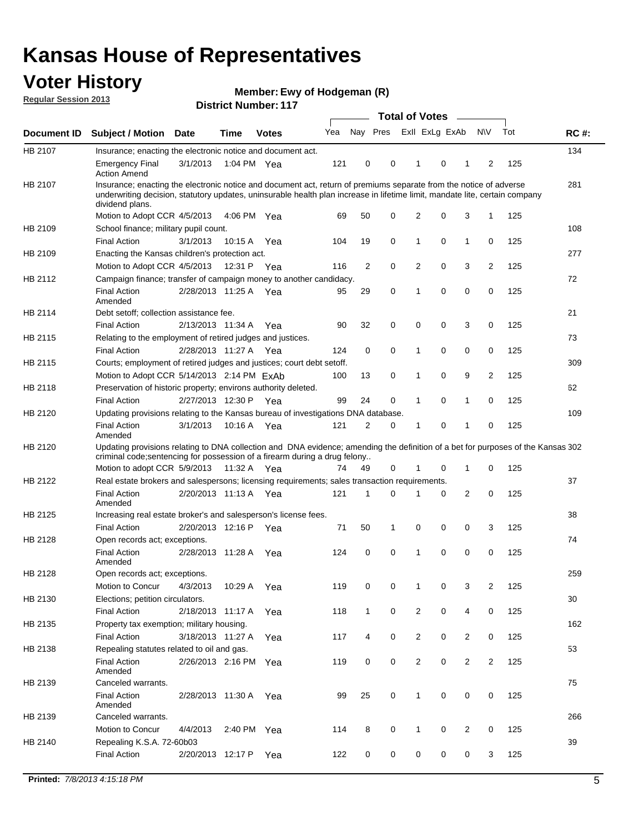## **Voter History**

**Ewy of Hodgeman (R)**

**Regular Session 2013**

| Nay Pres Exll ExLg ExAb<br>N\V<br>Tot<br>Yea<br><b>RC#:</b><br><b>Subject / Motion</b><br><b>Time</b><br><b>Date</b><br><b>Votes</b><br>134<br>Insurance; enacting the electronic notice and document act.<br>3/1/2013<br>121<br>0<br>0<br>0<br>125<br><b>Emergency Final</b><br>1:04 PM Yea<br>1<br>1<br>2<br><b>Action Amend</b><br>281<br>Insurance; enacting the electronic notice and document act, return of premiums separate from the notice of adverse<br>underwriting decision, statutory updates, uninsurable health plan increase in lifetime limit, mandate lite, certain company<br>dividend plans.<br>0<br>2<br>3<br>Motion to Adopt CCR 4/5/2013<br>50<br>0<br>1<br>125<br>4:06 PM Yea<br>69<br>108<br>School finance; military pupil count.<br>0<br><b>Final Action</b><br>19<br>0<br>$\mathbf{1}$<br>0<br>125<br>3/1/2013<br>10:15 A<br>104<br>1<br>Yea<br>Enacting the Kansas children's protection act.<br>277<br>Motion to Adopt CCR 4/5/2013<br>2<br>0<br>2<br>0<br>3<br>2<br>125<br>12:31 P Yea<br>116<br>Campaign finance; transfer of campaign money to another candidacy.<br>72<br>0<br>0<br>125<br>2/28/2013 11:25 A Yea<br>29<br>0<br>0<br><b>Final Action</b><br>95<br>1<br>Amended<br>21<br>Debt setoff; collection assistance fee.<br><b>Final Action</b><br>2/13/2013 11:34 A<br>32<br>0<br>0<br>3<br>0<br>125<br>90<br>0<br>Yea<br>Relating to the employment of retired judges and justices.<br>73<br>0<br>0<br>0<br><b>Final Action</b><br>0<br>0<br>125<br>2/28/2013 11:27 A<br>124<br>1<br>Yea<br>Courts; employment of retired judges and justices; court debt setoff.<br>309<br>$\overline{2}$<br>Motion to Adopt CCR 5/14/2013 2:14 PM ExAb<br>13<br>0<br>0<br>9<br>125<br>100<br>1<br>Preservation of historic property; environs authority deleted.<br>62<br>0<br>0<br>0<br><b>Final Action</b><br>2/27/2013 12:30 P<br>99<br>24<br>1<br>125<br>Yea<br>1<br>Updating provisions relating to the Kansas bureau of investigations DNA database.<br>109<br><b>Final Action</b><br>3/1/2013<br>10:16 A<br>121<br>2<br>0<br>0<br>0<br>125<br>1<br>Yea<br>1<br>Amended<br>Updating provisions relating to DNA collection and DNA evidence; amending the definition of a bet for purposes of the Kansas 302<br>criminal code; sentencing for possession of a firearm during a drug felony<br>Motion to adopt CCR 5/9/2013 11:32 A Yea<br>0<br>0<br>125<br>49<br>0<br>1<br>74<br>1<br>Real estate brokers and salespersons; licensing requirements; sales transaction requirements.<br>37<br>HB 2122<br>2/20/2013 11:13 A Yea<br>121<br>2<br>0<br>125<br><b>Final Action</b><br>1<br>0<br>0<br>Amended<br>Increasing real estate broker's and salesperson's license fees.<br>38<br><b>Final Action</b><br>2/20/2013 12:16 P<br>71<br>50<br>0<br>0<br>0<br>3<br>125<br>1<br>Yea<br>HB 2128<br>74<br>Open records act; exceptions.<br><b>Final Action</b><br>2/28/2013 11:28 A<br>124<br>0<br>0<br>0<br>0<br>0<br>125<br>1<br>Yea<br>Amended<br>259<br>Open records act; exceptions.<br>0<br>0<br>3<br>$\overline{2}$<br>125<br>Motion to Concur<br>4/3/2013<br>10:29 A<br>119<br>0<br>1<br>Yea<br>30<br>HB 2130<br>Elections; petition circulators.<br>0<br>2<br>0<br>0<br>125<br><b>Final Action</b><br>2/18/2013 11:17 A<br>118<br>$\mathbf{1}$<br>4<br>Yea<br>Property tax exemption; military housing.<br>162<br>HB 2135<br>0<br>$\overline{2}$<br>0<br><b>Final Action</b><br>3/18/2013 11:27 A<br>4<br>$\overline{2}$<br>0<br>125<br>Yea<br>117<br>53<br>HB 2138<br>Repealing statutes related to oil and gas.<br>0<br>0<br>$\overline{2}$<br>0<br>$\overline{2}$<br>125<br><b>Final Action</b><br>2/26/2013 2:16 PM Yea<br>119<br>$\overline{2}$<br>Amended<br>Canceled warrants.<br>75<br><b>Final Action</b><br>25<br>0<br>$\mathbf{1}$<br>0<br>0<br>0<br>125<br>2/28/2013 11:30 A<br>99<br>Yea<br>Amended<br>266<br>Canceled warrants.<br>Motion to Concur<br>4/4/2013<br>2:40 PM<br>114<br>8<br>0<br>0<br>2<br>0<br>125<br>1<br>Yea<br>39<br>HB 2140<br>Repealing K.S.A. 72-60b03<br><b>Final Action</b><br>2/20/2013 12:17 P<br>122<br>0<br>0<br>0<br>0<br>0<br>125<br>3<br>Yea |             |  |  |  | <b>Total of Votes</b> |  | $\frac{1}{2} \left( \frac{1}{2} \right) \left( \frac{1}{2} \right) \left( \frac{1}{2} \right) \left( \frac{1}{2} \right) \left( \frac{1}{2} \right) \left( \frac{1}{2} \right) \left( \frac{1}{2} \right) \left( \frac{1}{2} \right) \left( \frac{1}{2} \right) \left( \frac{1}{2} \right) \left( \frac{1}{2} \right) \left( \frac{1}{2} \right) \left( \frac{1}{2} \right) \left( \frac{1}{2} \right) \left( \frac{1}{2} \right) \left( \frac{1}{2} \right) \left( \frac$ |  |  |
|------------------------------------------------------------------------------------------------------------------------------------------------------------------------------------------------------------------------------------------------------------------------------------------------------------------------------------------------------------------------------------------------------------------------------------------------------------------------------------------------------------------------------------------------------------------------------------------------------------------------------------------------------------------------------------------------------------------------------------------------------------------------------------------------------------------------------------------------------------------------------------------------------------------------------------------------------------------------------------------------------------------------------------------------------------------------------------------------------------------------------------------------------------------------------------------------------------------------------------------------------------------------------------------------------------------------------------------------------------------------------------------------------------------------------------------------------------------------------------------------------------------------------------------------------------------------------------------------------------------------------------------------------------------------------------------------------------------------------------------------------------------------------------------------------------------------------------------------------------------------------------------------------------------------------------------------------------------------------------------------------------------------------------------------------------------------------------------------------------------------------------------------------------------------------------------------------------------------------------------------------------------------------------------------------------------------------------------------------------------------------------------------------------------------------------------------------------------------------------------------------------------------------------------------------------------------------------------------------------------------------------------------------------------------------------------------------------------------------------------------------------------------------------------------------------------------------------------------------------------------------------------------------------------------------------------------------------------------------------------------------------------------------------------------------------------------------------------------------------------------------------------------------------------------------------------------------------------------------------------------------------------------------------------------------------------------------------------------------------------------------------------------------------------------------------------------------------------------------------------------------------------------------------------------------------------------------------------------------------------------------------------------------------------------------------------------------------------------------------------------------------------------------------------------------------------------------------------------------------------------------------------------------------------------------------------------------------------------------------------------------------------------------------------------------------------------------------------------------------------------------|-------------|--|--|--|-----------------------|--|----------------------------------------------------------------------------------------------------------------------------------------------------------------------------------------------------------------------------------------------------------------------------------------------------------------------------------------------------------------------------------------------------------------------------------------------------------------------------|--|--|
|                                                                                                                                                                                                                                                                                                                                                                                                                                                                                                                                                                                                                                                                                                                                                                                                                                                                                                                                                                                                                                                                                                                                                                                                                                                                                                                                                                                                                                                                                                                                                                                                                                                                                                                                                                                                                                                                                                                                                                                                                                                                                                                                                                                                                                                                                                                                                                                                                                                                                                                                                                                                                                                                                                                                                                                                                                                                                                                                                                                                                                                                                                                                                                                                                                                                                                                                                                                                                                                                                                                                                                                                                                                                                                                                                                                                                                                                                                                                                                                                                                                                                                                              | Document ID |  |  |  |                       |  |                                                                                                                                                                                                                                                                                                                                                                                                                                                                            |  |  |
|                                                                                                                                                                                                                                                                                                                                                                                                                                                                                                                                                                                                                                                                                                                                                                                                                                                                                                                                                                                                                                                                                                                                                                                                                                                                                                                                                                                                                                                                                                                                                                                                                                                                                                                                                                                                                                                                                                                                                                                                                                                                                                                                                                                                                                                                                                                                                                                                                                                                                                                                                                                                                                                                                                                                                                                                                                                                                                                                                                                                                                                                                                                                                                                                                                                                                                                                                                                                                                                                                                                                                                                                                                                                                                                                                                                                                                                                                                                                                                                                                                                                                                                              | HB 2107     |  |  |  |                       |  |                                                                                                                                                                                                                                                                                                                                                                                                                                                                            |  |  |
|                                                                                                                                                                                                                                                                                                                                                                                                                                                                                                                                                                                                                                                                                                                                                                                                                                                                                                                                                                                                                                                                                                                                                                                                                                                                                                                                                                                                                                                                                                                                                                                                                                                                                                                                                                                                                                                                                                                                                                                                                                                                                                                                                                                                                                                                                                                                                                                                                                                                                                                                                                                                                                                                                                                                                                                                                                                                                                                                                                                                                                                                                                                                                                                                                                                                                                                                                                                                                                                                                                                                                                                                                                                                                                                                                                                                                                                                                                                                                                                                                                                                                                                              |             |  |  |  |                       |  |                                                                                                                                                                                                                                                                                                                                                                                                                                                                            |  |  |
|                                                                                                                                                                                                                                                                                                                                                                                                                                                                                                                                                                                                                                                                                                                                                                                                                                                                                                                                                                                                                                                                                                                                                                                                                                                                                                                                                                                                                                                                                                                                                                                                                                                                                                                                                                                                                                                                                                                                                                                                                                                                                                                                                                                                                                                                                                                                                                                                                                                                                                                                                                                                                                                                                                                                                                                                                                                                                                                                                                                                                                                                                                                                                                                                                                                                                                                                                                                                                                                                                                                                                                                                                                                                                                                                                                                                                                                                                                                                                                                                                                                                                                                              | HB 2107     |  |  |  |                       |  |                                                                                                                                                                                                                                                                                                                                                                                                                                                                            |  |  |
|                                                                                                                                                                                                                                                                                                                                                                                                                                                                                                                                                                                                                                                                                                                                                                                                                                                                                                                                                                                                                                                                                                                                                                                                                                                                                                                                                                                                                                                                                                                                                                                                                                                                                                                                                                                                                                                                                                                                                                                                                                                                                                                                                                                                                                                                                                                                                                                                                                                                                                                                                                                                                                                                                                                                                                                                                                                                                                                                                                                                                                                                                                                                                                                                                                                                                                                                                                                                                                                                                                                                                                                                                                                                                                                                                                                                                                                                                                                                                                                                                                                                                                                              |             |  |  |  |                       |  |                                                                                                                                                                                                                                                                                                                                                                                                                                                                            |  |  |
|                                                                                                                                                                                                                                                                                                                                                                                                                                                                                                                                                                                                                                                                                                                                                                                                                                                                                                                                                                                                                                                                                                                                                                                                                                                                                                                                                                                                                                                                                                                                                                                                                                                                                                                                                                                                                                                                                                                                                                                                                                                                                                                                                                                                                                                                                                                                                                                                                                                                                                                                                                                                                                                                                                                                                                                                                                                                                                                                                                                                                                                                                                                                                                                                                                                                                                                                                                                                                                                                                                                                                                                                                                                                                                                                                                                                                                                                                                                                                                                                                                                                                                                              | HB 2109     |  |  |  |                       |  |                                                                                                                                                                                                                                                                                                                                                                                                                                                                            |  |  |
|                                                                                                                                                                                                                                                                                                                                                                                                                                                                                                                                                                                                                                                                                                                                                                                                                                                                                                                                                                                                                                                                                                                                                                                                                                                                                                                                                                                                                                                                                                                                                                                                                                                                                                                                                                                                                                                                                                                                                                                                                                                                                                                                                                                                                                                                                                                                                                                                                                                                                                                                                                                                                                                                                                                                                                                                                                                                                                                                                                                                                                                                                                                                                                                                                                                                                                                                                                                                                                                                                                                                                                                                                                                                                                                                                                                                                                                                                                                                                                                                                                                                                                                              |             |  |  |  |                       |  |                                                                                                                                                                                                                                                                                                                                                                                                                                                                            |  |  |
|                                                                                                                                                                                                                                                                                                                                                                                                                                                                                                                                                                                                                                                                                                                                                                                                                                                                                                                                                                                                                                                                                                                                                                                                                                                                                                                                                                                                                                                                                                                                                                                                                                                                                                                                                                                                                                                                                                                                                                                                                                                                                                                                                                                                                                                                                                                                                                                                                                                                                                                                                                                                                                                                                                                                                                                                                                                                                                                                                                                                                                                                                                                                                                                                                                                                                                                                                                                                                                                                                                                                                                                                                                                                                                                                                                                                                                                                                                                                                                                                                                                                                                                              | HB 2109     |  |  |  |                       |  |                                                                                                                                                                                                                                                                                                                                                                                                                                                                            |  |  |
|                                                                                                                                                                                                                                                                                                                                                                                                                                                                                                                                                                                                                                                                                                                                                                                                                                                                                                                                                                                                                                                                                                                                                                                                                                                                                                                                                                                                                                                                                                                                                                                                                                                                                                                                                                                                                                                                                                                                                                                                                                                                                                                                                                                                                                                                                                                                                                                                                                                                                                                                                                                                                                                                                                                                                                                                                                                                                                                                                                                                                                                                                                                                                                                                                                                                                                                                                                                                                                                                                                                                                                                                                                                                                                                                                                                                                                                                                                                                                                                                                                                                                                                              |             |  |  |  |                       |  |                                                                                                                                                                                                                                                                                                                                                                                                                                                                            |  |  |
|                                                                                                                                                                                                                                                                                                                                                                                                                                                                                                                                                                                                                                                                                                                                                                                                                                                                                                                                                                                                                                                                                                                                                                                                                                                                                                                                                                                                                                                                                                                                                                                                                                                                                                                                                                                                                                                                                                                                                                                                                                                                                                                                                                                                                                                                                                                                                                                                                                                                                                                                                                                                                                                                                                                                                                                                                                                                                                                                                                                                                                                                                                                                                                                                                                                                                                                                                                                                                                                                                                                                                                                                                                                                                                                                                                                                                                                                                                                                                                                                                                                                                                                              | HB 2112     |  |  |  |                       |  |                                                                                                                                                                                                                                                                                                                                                                                                                                                                            |  |  |
|                                                                                                                                                                                                                                                                                                                                                                                                                                                                                                                                                                                                                                                                                                                                                                                                                                                                                                                                                                                                                                                                                                                                                                                                                                                                                                                                                                                                                                                                                                                                                                                                                                                                                                                                                                                                                                                                                                                                                                                                                                                                                                                                                                                                                                                                                                                                                                                                                                                                                                                                                                                                                                                                                                                                                                                                                                                                                                                                                                                                                                                                                                                                                                                                                                                                                                                                                                                                                                                                                                                                                                                                                                                                                                                                                                                                                                                                                                                                                                                                                                                                                                                              |             |  |  |  |                       |  |                                                                                                                                                                                                                                                                                                                                                                                                                                                                            |  |  |
|                                                                                                                                                                                                                                                                                                                                                                                                                                                                                                                                                                                                                                                                                                                                                                                                                                                                                                                                                                                                                                                                                                                                                                                                                                                                                                                                                                                                                                                                                                                                                                                                                                                                                                                                                                                                                                                                                                                                                                                                                                                                                                                                                                                                                                                                                                                                                                                                                                                                                                                                                                                                                                                                                                                                                                                                                                                                                                                                                                                                                                                                                                                                                                                                                                                                                                                                                                                                                                                                                                                                                                                                                                                                                                                                                                                                                                                                                                                                                                                                                                                                                                                              | HB 2114     |  |  |  |                       |  |                                                                                                                                                                                                                                                                                                                                                                                                                                                                            |  |  |
|                                                                                                                                                                                                                                                                                                                                                                                                                                                                                                                                                                                                                                                                                                                                                                                                                                                                                                                                                                                                                                                                                                                                                                                                                                                                                                                                                                                                                                                                                                                                                                                                                                                                                                                                                                                                                                                                                                                                                                                                                                                                                                                                                                                                                                                                                                                                                                                                                                                                                                                                                                                                                                                                                                                                                                                                                                                                                                                                                                                                                                                                                                                                                                                                                                                                                                                                                                                                                                                                                                                                                                                                                                                                                                                                                                                                                                                                                                                                                                                                                                                                                                                              |             |  |  |  |                       |  |                                                                                                                                                                                                                                                                                                                                                                                                                                                                            |  |  |
|                                                                                                                                                                                                                                                                                                                                                                                                                                                                                                                                                                                                                                                                                                                                                                                                                                                                                                                                                                                                                                                                                                                                                                                                                                                                                                                                                                                                                                                                                                                                                                                                                                                                                                                                                                                                                                                                                                                                                                                                                                                                                                                                                                                                                                                                                                                                                                                                                                                                                                                                                                                                                                                                                                                                                                                                                                                                                                                                                                                                                                                                                                                                                                                                                                                                                                                                                                                                                                                                                                                                                                                                                                                                                                                                                                                                                                                                                                                                                                                                                                                                                                                              | HB 2115     |  |  |  |                       |  |                                                                                                                                                                                                                                                                                                                                                                                                                                                                            |  |  |
|                                                                                                                                                                                                                                                                                                                                                                                                                                                                                                                                                                                                                                                                                                                                                                                                                                                                                                                                                                                                                                                                                                                                                                                                                                                                                                                                                                                                                                                                                                                                                                                                                                                                                                                                                                                                                                                                                                                                                                                                                                                                                                                                                                                                                                                                                                                                                                                                                                                                                                                                                                                                                                                                                                                                                                                                                                                                                                                                                                                                                                                                                                                                                                                                                                                                                                                                                                                                                                                                                                                                                                                                                                                                                                                                                                                                                                                                                                                                                                                                                                                                                                                              |             |  |  |  |                       |  |                                                                                                                                                                                                                                                                                                                                                                                                                                                                            |  |  |
|                                                                                                                                                                                                                                                                                                                                                                                                                                                                                                                                                                                                                                                                                                                                                                                                                                                                                                                                                                                                                                                                                                                                                                                                                                                                                                                                                                                                                                                                                                                                                                                                                                                                                                                                                                                                                                                                                                                                                                                                                                                                                                                                                                                                                                                                                                                                                                                                                                                                                                                                                                                                                                                                                                                                                                                                                                                                                                                                                                                                                                                                                                                                                                                                                                                                                                                                                                                                                                                                                                                                                                                                                                                                                                                                                                                                                                                                                                                                                                                                                                                                                                                              | HB 2115     |  |  |  |                       |  |                                                                                                                                                                                                                                                                                                                                                                                                                                                                            |  |  |
|                                                                                                                                                                                                                                                                                                                                                                                                                                                                                                                                                                                                                                                                                                                                                                                                                                                                                                                                                                                                                                                                                                                                                                                                                                                                                                                                                                                                                                                                                                                                                                                                                                                                                                                                                                                                                                                                                                                                                                                                                                                                                                                                                                                                                                                                                                                                                                                                                                                                                                                                                                                                                                                                                                                                                                                                                                                                                                                                                                                                                                                                                                                                                                                                                                                                                                                                                                                                                                                                                                                                                                                                                                                                                                                                                                                                                                                                                                                                                                                                                                                                                                                              |             |  |  |  |                       |  |                                                                                                                                                                                                                                                                                                                                                                                                                                                                            |  |  |
|                                                                                                                                                                                                                                                                                                                                                                                                                                                                                                                                                                                                                                                                                                                                                                                                                                                                                                                                                                                                                                                                                                                                                                                                                                                                                                                                                                                                                                                                                                                                                                                                                                                                                                                                                                                                                                                                                                                                                                                                                                                                                                                                                                                                                                                                                                                                                                                                                                                                                                                                                                                                                                                                                                                                                                                                                                                                                                                                                                                                                                                                                                                                                                                                                                                                                                                                                                                                                                                                                                                                                                                                                                                                                                                                                                                                                                                                                                                                                                                                                                                                                                                              | HB 2118     |  |  |  |                       |  |                                                                                                                                                                                                                                                                                                                                                                                                                                                                            |  |  |
|                                                                                                                                                                                                                                                                                                                                                                                                                                                                                                                                                                                                                                                                                                                                                                                                                                                                                                                                                                                                                                                                                                                                                                                                                                                                                                                                                                                                                                                                                                                                                                                                                                                                                                                                                                                                                                                                                                                                                                                                                                                                                                                                                                                                                                                                                                                                                                                                                                                                                                                                                                                                                                                                                                                                                                                                                                                                                                                                                                                                                                                                                                                                                                                                                                                                                                                                                                                                                                                                                                                                                                                                                                                                                                                                                                                                                                                                                                                                                                                                                                                                                                                              |             |  |  |  |                       |  |                                                                                                                                                                                                                                                                                                                                                                                                                                                                            |  |  |
|                                                                                                                                                                                                                                                                                                                                                                                                                                                                                                                                                                                                                                                                                                                                                                                                                                                                                                                                                                                                                                                                                                                                                                                                                                                                                                                                                                                                                                                                                                                                                                                                                                                                                                                                                                                                                                                                                                                                                                                                                                                                                                                                                                                                                                                                                                                                                                                                                                                                                                                                                                                                                                                                                                                                                                                                                                                                                                                                                                                                                                                                                                                                                                                                                                                                                                                                                                                                                                                                                                                                                                                                                                                                                                                                                                                                                                                                                                                                                                                                                                                                                                                              | HB 2120     |  |  |  |                       |  |                                                                                                                                                                                                                                                                                                                                                                                                                                                                            |  |  |
|                                                                                                                                                                                                                                                                                                                                                                                                                                                                                                                                                                                                                                                                                                                                                                                                                                                                                                                                                                                                                                                                                                                                                                                                                                                                                                                                                                                                                                                                                                                                                                                                                                                                                                                                                                                                                                                                                                                                                                                                                                                                                                                                                                                                                                                                                                                                                                                                                                                                                                                                                                                                                                                                                                                                                                                                                                                                                                                                                                                                                                                                                                                                                                                                                                                                                                                                                                                                                                                                                                                                                                                                                                                                                                                                                                                                                                                                                                                                                                                                                                                                                                                              |             |  |  |  |                       |  |                                                                                                                                                                                                                                                                                                                                                                                                                                                                            |  |  |
|                                                                                                                                                                                                                                                                                                                                                                                                                                                                                                                                                                                                                                                                                                                                                                                                                                                                                                                                                                                                                                                                                                                                                                                                                                                                                                                                                                                                                                                                                                                                                                                                                                                                                                                                                                                                                                                                                                                                                                                                                                                                                                                                                                                                                                                                                                                                                                                                                                                                                                                                                                                                                                                                                                                                                                                                                                                                                                                                                                                                                                                                                                                                                                                                                                                                                                                                                                                                                                                                                                                                                                                                                                                                                                                                                                                                                                                                                                                                                                                                                                                                                                                              | HB 2120     |  |  |  |                       |  |                                                                                                                                                                                                                                                                                                                                                                                                                                                                            |  |  |
|                                                                                                                                                                                                                                                                                                                                                                                                                                                                                                                                                                                                                                                                                                                                                                                                                                                                                                                                                                                                                                                                                                                                                                                                                                                                                                                                                                                                                                                                                                                                                                                                                                                                                                                                                                                                                                                                                                                                                                                                                                                                                                                                                                                                                                                                                                                                                                                                                                                                                                                                                                                                                                                                                                                                                                                                                                                                                                                                                                                                                                                                                                                                                                                                                                                                                                                                                                                                                                                                                                                                                                                                                                                                                                                                                                                                                                                                                                                                                                                                                                                                                                                              |             |  |  |  |                       |  |                                                                                                                                                                                                                                                                                                                                                                                                                                                                            |  |  |
|                                                                                                                                                                                                                                                                                                                                                                                                                                                                                                                                                                                                                                                                                                                                                                                                                                                                                                                                                                                                                                                                                                                                                                                                                                                                                                                                                                                                                                                                                                                                                                                                                                                                                                                                                                                                                                                                                                                                                                                                                                                                                                                                                                                                                                                                                                                                                                                                                                                                                                                                                                                                                                                                                                                                                                                                                                                                                                                                                                                                                                                                                                                                                                                                                                                                                                                                                                                                                                                                                                                                                                                                                                                                                                                                                                                                                                                                                                                                                                                                                                                                                                                              |             |  |  |  |                       |  |                                                                                                                                                                                                                                                                                                                                                                                                                                                                            |  |  |
|                                                                                                                                                                                                                                                                                                                                                                                                                                                                                                                                                                                                                                                                                                                                                                                                                                                                                                                                                                                                                                                                                                                                                                                                                                                                                                                                                                                                                                                                                                                                                                                                                                                                                                                                                                                                                                                                                                                                                                                                                                                                                                                                                                                                                                                                                                                                                                                                                                                                                                                                                                                                                                                                                                                                                                                                                                                                                                                                                                                                                                                                                                                                                                                                                                                                                                                                                                                                                                                                                                                                                                                                                                                                                                                                                                                                                                                                                                                                                                                                                                                                                                                              | HB 2125     |  |  |  |                       |  |                                                                                                                                                                                                                                                                                                                                                                                                                                                                            |  |  |
|                                                                                                                                                                                                                                                                                                                                                                                                                                                                                                                                                                                                                                                                                                                                                                                                                                                                                                                                                                                                                                                                                                                                                                                                                                                                                                                                                                                                                                                                                                                                                                                                                                                                                                                                                                                                                                                                                                                                                                                                                                                                                                                                                                                                                                                                                                                                                                                                                                                                                                                                                                                                                                                                                                                                                                                                                                                                                                                                                                                                                                                                                                                                                                                                                                                                                                                                                                                                                                                                                                                                                                                                                                                                                                                                                                                                                                                                                                                                                                                                                                                                                                                              |             |  |  |  |                       |  |                                                                                                                                                                                                                                                                                                                                                                                                                                                                            |  |  |
|                                                                                                                                                                                                                                                                                                                                                                                                                                                                                                                                                                                                                                                                                                                                                                                                                                                                                                                                                                                                                                                                                                                                                                                                                                                                                                                                                                                                                                                                                                                                                                                                                                                                                                                                                                                                                                                                                                                                                                                                                                                                                                                                                                                                                                                                                                                                                                                                                                                                                                                                                                                                                                                                                                                                                                                                                                                                                                                                                                                                                                                                                                                                                                                                                                                                                                                                                                                                                                                                                                                                                                                                                                                                                                                                                                                                                                                                                                                                                                                                                                                                                                                              |             |  |  |  |                       |  |                                                                                                                                                                                                                                                                                                                                                                                                                                                                            |  |  |
|                                                                                                                                                                                                                                                                                                                                                                                                                                                                                                                                                                                                                                                                                                                                                                                                                                                                                                                                                                                                                                                                                                                                                                                                                                                                                                                                                                                                                                                                                                                                                                                                                                                                                                                                                                                                                                                                                                                                                                                                                                                                                                                                                                                                                                                                                                                                                                                                                                                                                                                                                                                                                                                                                                                                                                                                                                                                                                                                                                                                                                                                                                                                                                                                                                                                                                                                                                                                                                                                                                                                                                                                                                                                                                                                                                                                                                                                                                                                                                                                                                                                                                                              |             |  |  |  |                       |  |                                                                                                                                                                                                                                                                                                                                                                                                                                                                            |  |  |
|                                                                                                                                                                                                                                                                                                                                                                                                                                                                                                                                                                                                                                                                                                                                                                                                                                                                                                                                                                                                                                                                                                                                                                                                                                                                                                                                                                                                                                                                                                                                                                                                                                                                                                                                                                                                                                                                                                                                                                                                                                                                                                                                                                                                                                                                                                                                                                                                                                                                                                                                                                                                                                                                                                                                                                                                                                                                                                                                                                                                                                                                                                                                                                                                                                                                                                                                                                                                                                                                                                                                                                                                                                                                                                                                                                                                                                                                                                                                                                                                                                                                                                                              | HB 2128     |  |  |  |                       |  |                                                                                                                                                                                                                                                                                                                                                                                                                                                                            |  |  |
|                                                                                                                                                                                                                                                                                                                                                                                                                                                                                                                                                                                                                                                                                                                                                                                                                                                                                                                                                                                                                                                                                                                                                                                                                                                                                                                                                                                                                                                                                                                                                                                                                                                                                                                                                                                                                                                                                                                                                                                                                                                                                                                                                                                                                                                                                                                                                                                                                                                                                                                                                                                                                                                                                                                                                                                                                                                                                                                                                                                                                                                                                                                                                                                                                                                                                                                                                                                                                                                                                                                                                                                                                                                                                                                                                                                                                                                                                                                                                                                                                                                                                                                              |             |  |  |  |                       |  |                                                                                                                                                                                                                                                                                                                                                                                                                                                                            |  |  |
|                                                                                                                                                                                                                                                                                                                                                                                                                                                                                                                                                                                                                                                                                                                                                                                                                                                                                                                                                                                                                                                                                                                                                                                                                                                                                                                                                                                                                                                                                                                                                                                                                                                                                                                                                                                                                                                                                                                                                                                                                                                                                                                                                                                                                                                                                                                                                                                                                                                                                                                                                                                                                                                                                                                                                                                                                                                                                                                                                                                                                                                                                                                                                                                                                                                                                                                                                                                                                                                                                                                                                                                                                                                                                                                                                                                                                                                                                                                                                                                                                                                                                                                              |             |  |  |  |                       |  |                                                                                                                                                                                                                                                                                                                                                                                                                                                                            |  |  |
|                                                                                                                                                                                                                                                                                                                                                                                                                                                                                                                                                                                                                                                                                                                                                                                                                                                                                                                                                                                                                                                                                                                                                                                                                                                                                                                                                                                                                                                                                                                                                                                                                                                                                                                                                                                                                                                                                                                                                                                                                                                                                                                                                                                                                                                                                                                                                                                                                                                                                                                                                                                                                                                                                                                                                                                                                                                                                                                                                                                                                                                                                                                                                                                                                                                                                                                                                                                                                                                                                                                                                                                                                                                                                                                                                                                                                                                                                                                                                                                                                                                                                                                              |             |  |  |  |                       |  |                                                                                                                                                                                                                                                                                                                                                                                                                                                                            |  |  |
|                                                                                                                                                                                                                                                                                                                                                                                                                                                                                                                                                                                                                                                                                                                                                                                                                                                                                                                                                                                                                                                                                                                                                                                                                                                                                                                                                                                                                                                                                                                                                                                                                                                                                                                                                                                                                                                                                                                                                                                                                                                                                                                                                                                                                                                                                                                                                                                                                                                                                                                                                                                                                                                                                                                                                                                                                                                                                                                                                                                                                                                                                                                                                                                                                                                                                                                                                                                                                                                                                                                                                                                                                                                                                                                                                                                                                                                                                                                                                                                                                                                                                                                              |             |  |  |  |                       |  |                                                                                                                                                                                                                                                                                                                                                                                                                                                                            |  |  |
|                                                                                                                                                                                                                                                                                                                                                                                                                                                                                                                                                                                                                                                                                                                                                                                                                                                                                                                                                                                                                                                                                                                                                                                                                                                                                                                                                                                                                                                                                                                                                                                                                                                                                                                                                                                                                                                                                                                                                                                                                                                                                                                                                                                                                                                                                                                                                                                                                                                                                                                                                                                                                                                                                                                                                                                                                                                                                                                                                                                                                                                                                                                                                                                                                                                                                                                                                                                                                                                                                                                                                                                                                                                                                                                                                                                                                                                                                                                                                                                                                                                                                                                              |             |  |  |  |                       |  |                                                                                                                                                                                                                                                                                                                                                                                                                                                                            |  |  |
|                                                                                                                                                                                                                                                                                                                                                                                                                                                                                                                                                                                                                                                                                                                                                                                                                                                                                                                                                                                                                                                                                                                                                                                                                                                                                                                                                                                                                                                                                                                                                                                                                                                                                                                                                                                                                                                                                                                                                                                                                                                                                                                                                                                                                                                                                                                                                                                                                                                                                                                                                                                                                                                                                                                                                                                                                                                                                                                                                                                                                                                                                                                                                                                                                                                                                                                                                                                                                                                                                                                                                                                                                                                                                                                                                                                                                                                                                                                                                                                                                                                                                                                              |             |  |  |  |                       |  |                                                                                                                                                                                                                                                                                                                                                                                                                                                                            |  |  |
|                                                                                                                                                                                                                                                                                                                                                                                                                                                                                                                                                                                                                                                                                                                                                                                                                                                                                                                                                                                                                                                                                                                                                                                                                                                                                                                                                                                                                                                                                                                                                                                                                                                                                                                                                                                                                                                                                                                                                                                                                                                                                                                                                                                                                                                                                                                                                                                                                                                                                                                                                                                                                                                                                                                                                                                                                                                                                                                                                                                                                                                                                                                                                                                                                                                                                                                                                                                                                                                                                                                                                                                                                                                                                                                                                                                                                                                                                                                                                                                                                                                                                                                              |             |  |  |  |                       |  |                                                                                                                                                                                                                                                                                                                                                                                                                                                                            |  |  |
|                                                                                                                                                                                                                                                                                                                                                                                                                                                                                                                                                                                                                                                                                                                                                                                                                                                                                                                                                                                                                                                                                                                                                                                                                                                                                                                                                                                                                                                                                                                                                                                                                                                                                                                                                                                                                                                                                                                                                                                                                                                                                                                                                                                                                                                                                                                                                                                                                                                                                                                                                                                                                                                                                                                                                                                                                                                                                                                                                                                                                                                                                                                                                                                                                                                                                                                                                                                                                                                                                                                                                                                                                                                                                                                                                                                                                                                                                                                                                                                                                                                                                                                              | HB 2139     |  |  |  |                       |  |                                                                                                                                                                                                                                                                                                                                                                                                                                                                            |  |  |
|                                                                                                                                                                                                                                                                                                                                                                                                                                                                                                                                                                                                                                                                                                                                                                                                                                                                                                                                                                                                                                                                                                                                                                                                                                                                                                                                                                                                                                                                                                                                                                                                                                                                                                                                                                                                                                                                                                                                                                                                                                                                                                                                                                                                                                                                                                                                                                                                                                                                                                                                                                                                                                                                                                                                                                                                                                                                                                                                                                                                                                                                                                                                                                                                                                                                                                                                                                                                                                                                                                                                                                                                                                                                                                                                                                                                                                                                                                                                                                                                                                                                                                                              |             |  |  |  |                       |  |                                                                                                                                                                                                                                                                                                                                                                                                                                                                            |  |  |
|                                                                                                                                                                                                                                                                                                                                                                                                                                                                                                                                                                                                                                                                                                                                                                                                                                                                                                                                                                                                                                                                                                                                                                                                                                                                                                                                                                                                                                                                                                                                                                                                                                                                                                                                                                                                                                                                                                                                                                                                                                                                                                                                                                                                                                                                                                                                                                                                                                                                                                                                                                                                                                                                                                                                                                                                                                                                                                                                                                                                                                                                                                                                                                                                                                                                                                                                                                                                                                                                                                                                                                                                                                                                                                                                                                                                                                                                                                                                                                                                                                                                                                                              | HB 2139     |  |  |  |                       |  |                                                                                                                                                                                                                                                                                                                                                                                                                                                                            |  |  |
|                                                                                                                                                                                                                                                                                                                                                                                                                                                                                                                                                                                                                                                                                                                                                                                                                                                                                                                                                                                                                                                                                                                                                                                                                                                                                                                                                                                                                                                                                                                                                                                                                                                                                                                                                                                                                                                                                                                                                                                                                                                                                                                                                                                                                                                                                                                                                                                                                                                                                                                                                                                                                                                                                                                                                                                                                                                                                                                                                                                                                                                                                                                                                                                                                                                                                                                                                                                                                                                                                                                                                                                                                                                                                                                                                                                                                                                                                                                                                                                                                                                                                                                              |             |  |  |  |                       |  |                                                                                                                                                                                                                                                                                                                                                                                                                                                                            |  |  |
|                                                                                                                                                                                                                                                                                                                                                                                                                                                                                                                                                                                                                                                                                                                                                                                                                                                                                                                                                                                                                                                                                                                                                                                                                                                                                                                                                                                                                                                                                                                                                                                                                                                                                                                                                                                                                                                                                                                                                                                                                                                                                                                                                                                                                                                                                                                                                                                                                                                                                                                                                                                                                                                                                                                                                                                                                                                                                                                                                                                                                                                                                                                                                                                                                                                                                                                                                                                                                                                                                                                                                                                                                                                                                                                                                                                                                                                                                                                                                                                                                                                                                                                              |             |  |  |  |                       |  |                                                                                                                                                                                                                                                                                                                                                                                                                                                                            |  |  |
|                                                                                                                                                                                                                                                                                                                                                                                                                                                                                                                                                                                                                                                                                                                                                                                                                                                                                                                                                                                                                                                                                                                                                                                                                                                                                                                                                                                                                                                                                                                                                                                                                                                                                                                                                                                                                                                                                                                                                                                                                                                                                                                                                                                                                                                                                                                                                                                                                                                                                                                                                                                                                                                                                                                                                                                                                                                                                                                                                                                                                                                                                                                                                                                                                                                                                                                                                                                                                                                                                                                                                                                                                                                                                                                                                                                                                                                                                                                                                                                                                                                                                                                              |             |  |  |  |                       |  |                                                                                                                                                                                                                                                                                                                                                                                                                                                                            |  |  |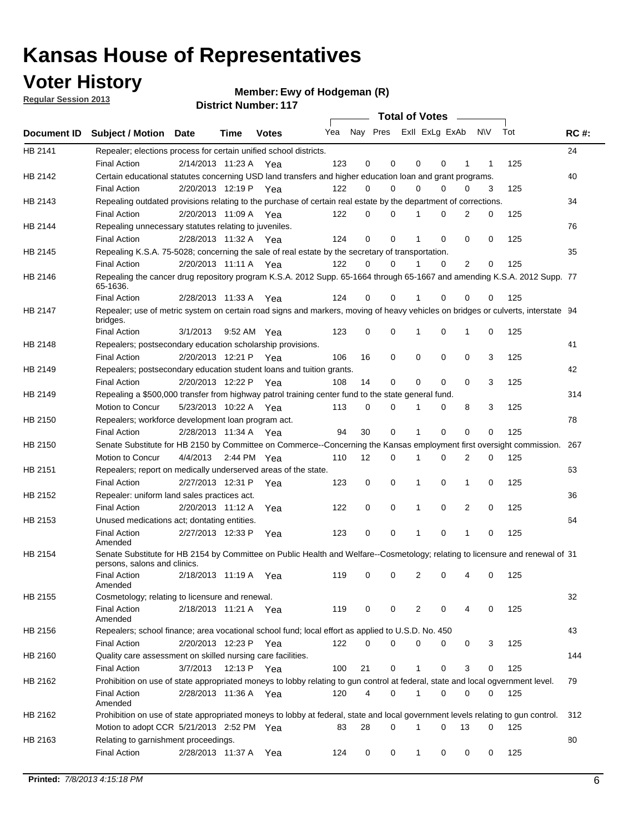## **Voter History**

**Ewy of Hodgeman (R)**

**Regular Session 2013**

|             |                                                                                                                                              |          |                       |              |     |             | <b>Total of Votes</b>   |              |   | $\sim 100$ m $^{-1}$ |           |     |             |
|-------------|----------------------------------------------------------------------------------------------------------------------------------------------|----------|-----------------------|--------------|-----|-------------|-------------------------|--------------|---|----------------------|-----------|-----|-------------|
| Document ID | <b>Subject / Motion Date</b>                                                                                                                 |          | Time                  | <b>Votes</b> | Yea |             | Nay Pres ExII ExLg ExAb |              |   |                      | <b>NV</b> | Tot | <b>RC#:</b> |
| HB 2141     | Repealer; elections process for certain unified school districts.                                                                            |          |                       |              |     |             |                         |              |   |                      |           |     | 24          |
|             | <b>Final Action</b>                                                                                                                          |          | 2/14/2013 11:23 A Yea |              | 123 | 0           | 0                       | 0            | 0 | 1                    | 1         | 125 |             |
| HB 2142     | Certain educational statutes concerning USD land transfers and higher education loan and grant programs.                                     |          |                       |              |     |             |                         |              |   |                      |           |     | 40          |
|             | <b>Final Action</b>                                                                                                                          |          | 2/20/2013 12:19 P Yea |              | 122 | 0           | 0                       | $\Omega$     | 0 | $\Omega$             | 3         | 125 |             |
| HB 2143     | Repealing outdated provisions relating to the purchase of certain real estate by the department of corrections.                              |          |                       |              |     |             |                         |              |   |                      |           |     | 34          |
|             | <b>Final Action</b>                                                                                                                          |          | 2/20/2013 11:09 A Yea |              | 122 | 0           | 0                       | 1            | 0 | $\overline{2}$       | 0         | 125 |             |
| HB 2144     | Repealing unnecessary statutes relating to juveniles.                                                                                        |          |                       |              |     |             |                         |              |   |                      |           |     | 76          |
|             | <b>Final Action</b>                                                                                                                          |          | 2/28/2013 11:32 A Yea |              | 124 | $\mathbf 0$ | 0                       | 1            | 0 | 0                    | 0         | 125 |             |
| HB 2145     | Repealing K.S.A. 75-5028; concerning the sale of real estate by the secretary of transportation.                                             |          |                       |              |     |             |                         |              |   |                      |           |     | 35          |
|             | <b>Final Action</b>                                                                                                                          |          | 2/20/2013 11:11 A Yea |              | 122 | 0           | 0                       | 1            | 0 | 2                    | 0         | 125 |             |
| HB 2146     | Repealing the cancer drug repository program K.S.A. 2012 Supp. 65-1664 through 65-1667 and amending K.S.A. 2012 Supp. 77<br>65-1636.         |          |                       |              |     |             |                         |              |   |                      |           |     |             |
|             | <b>Final Action</b>                                                                                                                          |          | 2/28/2013 11:33 A     | Yea          | 124 | 0           | 0                       | 1            | 0 | 0                    | 0         | 125 |             |
| HB 2147     | Repealer; use of metric system on certain road signs and markers, moving of heavy vehicles on bridges or culverts, interstate 94<br>bridges. |          |                       |              |     |             |                         |              |   |                      |           |     |             |
|             | <b>Final Action</b>                                                                                                                          | 3/1/2013 |                       | 9:52 AM Yea  | 123 | $\mathbf 0$ | 0                       |              | 0 | 1                    | 0         | 125 |             |
| HB 2148     | Repealers; postsecondary education scholarship provisions.                                                                                   |          |                       |              |     |             |                         |              |   |                      |           |     | 41          |
|             | <b>Final Action</b>                                                                                                                          |          | 2/20/2013 12:21 P     | Yea          | 106 | 16          | 0                       | 0            | 0 | $\mathbf 0$          | 3         | 125 |             |
| HB 2149     | Repealers; postsecondary education student loans and tuition grants.                                                                         |          |                       |              |     |             |                         |              |   |                      |           |     | 42          |
|             | <b>Final Action</b>                                                                                                                          |          | 2/20/2013 12:22 P     | Yea          | 108 | 14          | 0                       | 0            | 0 | $\Omega$             | 3         | 125 |             |
| HB 2149     | Repealing a \$500,000 transfer from highway patrol training center fund to the state general fund.                                           |          |                       |              |     |             |                         |              |   |                      |           |     | 314         |
|             | Motion to Concur                                                                                                                             |          | 5/23/2013 10:22 A Yea |              | 113 | 0           | 0                       |              | 0 | 8                    | 3         | 125 |             |
| HB 2150     | Repealers; workforce development loan program act.                                                                                           |          |                       |              |     |             |                         |              |   |                      |           |     | 78          |
|             | <b>Final Action</b>                                                                                                                          |          | 2/28/2013 11:34 A Yea |              | 94  | 30          | 0                       | 1            | 0 | 0                    | 0         | 125 |             |
| HB 2150     | Senate Substitute for HB 2150 by Committee on Commerce--Concerning the Kansas employment first oversight commission.                         |          |                       |              |     |             |                         |              |   |                      |           |     | 267         |
|             | Motion to Concur                                                                                                                             |          | 4/4/2013 2:44 PM Yea  |              | 110 | 12          | 0                       | 1            | 0 | 2                    | 0         | 125 |             |
| HB 2151     | Repealers; report on medically underserved areas of the state.                                                                               |          |                       |              |     |             |                         |              |   |                      |           |     | 63          |
|             | <b>Final Action</b>                                                                                                                          |          | 2/27/2013 12:31 P     | Yea          | 123 | 0           | 0                       | 1            | 0 | 1                    | 0         | 125 |             |
| HB 2152     | Repealer: uniform land sales practices act.                                                                                                  |          |                       |              |     |             |                         |              |   |                      |           |     | 36          |
|             | <b>Final Action</b>                                                                                                                          |          | 2/20/2013 11:12 A     | Yea          | 122 | 0           | 0                       | 1            | 0 | 2                    | 0         | 125 |             |
| HB 2153     | Unused medications act; dontating entities.                                                                                                  |          |                       |              |     |             |                         |              |   |                      |           |     | 64          |
|             | <b>Final Action</b><br>Amended                                                                                                               |          | 2/27/2013 12:33 P     | Yea          | 123 | 0           | 0                       | 1            | 0 | $\mathbf{1}$         | 0         | 125 |             |
| HB 2154     | Senate Substitute for HB 2154 by Committee on Public Health and Welfare--Cosmetology; relating to licensure and renewal of 31                |          |                       |              |     |             |                         |              |   |                      |           |     |             |
|             | persons, salons and clinics.<br><b>Final Action</b><br>Amended                                                                               |          | 2/18/2013 11:19 A     | Yea          | 119 | 0           | 0                       | 2            | 0 | 4                    | 0         | 125 |             |
| HB 2155     | Cosmetology; relating to licensure and renewal.                                                                                              |          |                       |              |     |             |                         |              |   |                      |           |     | 32          |
|             | <b>Final Action</b><br>Amended                                                                                                               |          | 2/18/2013 11:21 A Yea |              | 119 | 0           | 0                       | 2            | 0 |                      | 0         | 125 |             |
| HB 2156     | Repealers; school finance; area vocational school fund; local effort as applied to U.S.D. No. 450                                            |          |                       |              |     |             |                         |              |   |                      |           |     | 43          |
|             | <b>Final Action</b>                                                                                                                          |          | 2/20/2013 12:23 P     | Yea          | 122 | 0           | 0                       | 0            | 0 | 0                    | 3         | 125 |             |
| HB 2160     | Quality care assessment on skilled nursing care facilities.                                                                                  |          |                       |              |     |             |                         |              |   |                      |           |     | 144         |
|             | <b>Final Action</b>                                                                                                                          | 3/7/2013 |                       | 12:13 P Yea  | 100 | 21          | 0                       | 1            | 0 | 3                    | 0         | 125 |             |
| HB 2162     | Prohibition on use of state appropriated moneys to lobby relating to gun control at federal, state and local ogvernment level.               |          |                       |              |     |             |                         |              |   |                      |           |     | 79          |
|             | <b>Final Action</b><br>Amended                                                                                                               |          | 2/28/2013 11:36 A Yea |              | 120 | 4           | 0                       | 1            | 0 | 0                    | 0         | 125 |             |
| HB 2162     | Prohibition on use of state appropriated moneys to lobby at federal, state and local government levels relating to gun control.              |          |                       |              |     |             |                         |              |   |                      |           |     | 312         |
|             | Motion to adopt CCR 5/21/2013 2:52 PM Yea                                                                                                    |          |                       |              | 83  | 28          | 0                       |              | 0 | 13                   | 0         | 125 |             |
| HB 2163     | Relating to garnishment proceedings.                                                                                                         |          |                       |              |     |             |                         |              |   |                      |           |     | 80          |
|             | <b>Final Action</b>                                                                                                                          |          | 2/28/2013 11:37 A Yea |              | 124 | 0           | 0                       | $\mathbf{1}$ | 0 | 0                    | 0         | 125 |             |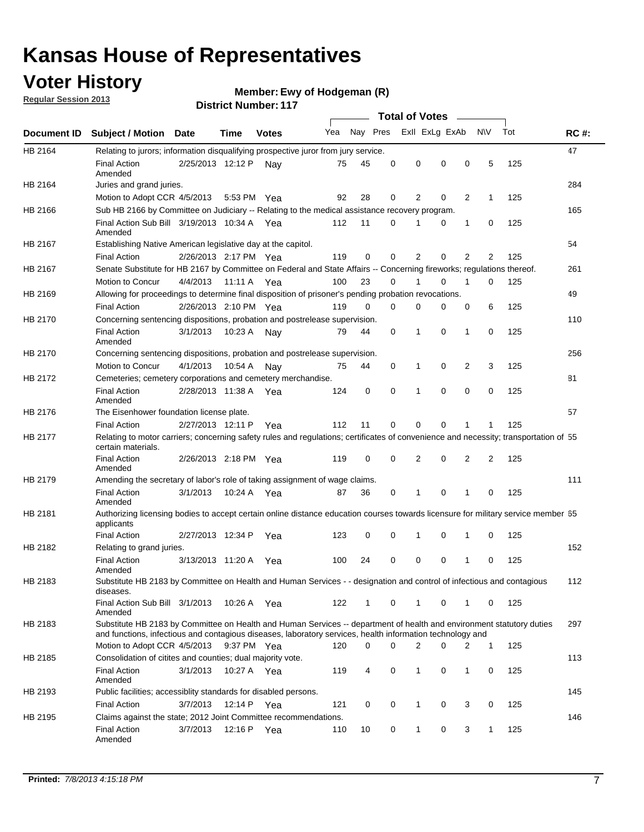## **Voter History**

**Ewy of Hodgeman (R)**

**Regular Session 2013**

|             |                                                                                                                                                                                                                                    |                       |             | ו ו . וסעוווער ועוווסוש |     |          |          | <b>Total of Votes</b> |   | $\overline{\phantom{a}}$ |                |     |             |
|-------------|------------------------------------------------------------------------------------------------------------------------------------------------------------------------------------------------------------------------------------|-----------------------|-------------|-------------------------|-----|----------|----------|-----------------------|---|--------------------------|----------------|-----|-------------|
| Document ID | <b>Subject / Motion Date</b>                                                                                                                                                                                                       |                       | Time        | <b>Votes</b>            | Yea | Nay Pres |          | Exll ExLg ExAb        |   |                          | <b>NV</b>      | Tot | <b>RC#:</b> |
| HB 2164     | Relating to jurors; information disqualifying prospective juror from jury service.                                                                                                                                                 |                       |             |                         |     |          |          |                       |   |                          |                |     | 47          |
|             | <b>Final Action</b><br>Amended                                                                                                                                                                                                     | 2/25/2013 12:12 P     |             | Nav                     | 75  | 45       | 0        | 0                     | 0 | 0                        | 5              | 125 |             |
| HB 2164     | Juries and grand juries.                                                                                                                                                                                                           |                       |             |                         |     |          |          |                       |   |                          |                |     | 284         |
|             | Motion to Adopt CCR 4/5/2013                                                                                                                                                                                                       |                       | 5:53 PM Yea |                         | 92  | 28       | 0        | 2                     | 0 | $\overline{2}$           | 1              | 125 |             |
| HB 2166     | Sub HB 2166 by Committee on Judiciary -- Relating to the medical assistance recovery program.                                                                                                                                      |                       |             |                         |     |          |          |                       |   |                          |                |     | 165         |
|             | Final Action Sub Bill 3/19/2013 10:34 A Yea<br>Amended                                                                                                                                                                             |                       |             |                         | 112 | 11       | $\Omega$ |                       | 0 | 1                        | 0              | 125 |             |
| HB 2167     | Establishing Native American legislative day at the capitol.                                                                                                                                                                       |                       |             |                         |     |          |          |                       |   |                          |                |     | 54          |
|             | <b>Final Action</b>                                                                                                                                                                                                                | 2/26/2013 2:17 PM Yea |             |                         | 119 | 0        | $\Omega$ | 2                     | 0 | $\overline{2}$           | 2              | 125 |             |
| HB 2167     | Senate Substitute for HB 2167 by Committee on Federal and State Affairs -- Concerning fireworks; regulations thereof.                                                                                                              |                       |             |                         |     |          |          |                       |   |                          |                |     | 261         |
|             | Motion to Concur                                                                                                                                                                                                                   | 4/4/2013              | 11:11 A Yea |                         | 100 | 23       | 0        | 1                     | 0 | 1                        | 0              | 125 |             |
| HB 2169     | Allowing for proceedings to determine final disposition of prisoner's pending probation revocations.                                                                                                                               |                       |             |                         |     |          |          |                       |   |                          |                |     | 49          |
|             | <b>Final Action</b>                                                                                                                                                                                                                | 2/26/2013 2:10 PM Yea |             |                         | 119 | 0        | 0        | 0                     | 0 | 0                        | 6              | 125 |             |
| HB 2170     | Concerning sentencing dispositions, probation and postrelease supervision.                                                                                                                                                         |                       |             |                         |     |          |          |                       |   |                          |                |     | 110         |
|             | <b>Final Action</b><br>Amended                                                                                                                                                                                                     | 3/1/2013              | 10:23 A     | Nay                     | 79  | 44       | 0        | 1                     | 0 | 1                        | 0              | 125 |             |
| HB 2170     | Concerning sentencing dispositions, probation and postrelease supervision.                                                                                                                                                         |                       |             |                         |     |          |          |                       |   |                          |                |     | 256         |
|             | Motion to Concur                                                                                                                                                                                                                   | 4/1/2013              | 10:54 A     | Nay                     | 75  | 44       | 0        | 1                     | 0 | $\overline{2}$           | 3              | 125 |             |
| HB 2172     | Cemeteries; cemetery corporations and cemetery merchandise.                                                                                                                                                                        |                       |             |                         |     |          |          |                       |   |                          |                |     | 81          |
|             | <b>Final Action</b><br>Amended                                                                                                                                                                                                     | 2/28/2013 11:38 A Yea |             |                         | 124 | 0        | 0        | 1                     | 0 | $\Omega$                 | 0              | 125 |             |
| HB 2176     | The Eisenhower foundation license plate.                                                                                                                                                                                           |                       |             |                         |     |          |          |                       |   |                          |                |     | 57          |
|             | <b>Final Action</b>                                                                                                                                                                                                                | 2/27/2013 12:11 P     |             | Yea                     | 112 | 11       | $\Omega$ | 0                     | 0 | 1                        | 1              | 125 |             |
| HB 2177     | Relating to motor carriers; concerning safety rules and regulations; certificates of convenience and necessity; transportation of 55<br>certain materials.                                                                         |                       |             |                         |     |          |          |                       |   |                          |                |     |             |
|             | <b>Final Action</b><br>Amended                                                                                                                                                                                                     | 2/26/2013 2:18 PM Yea |             |                         | 119 | 0        | $\Omega$ | 2                     | 0 | $\overline{2}$           | $\overline{2}$ | 125 |             |
| HB 2179     | Amending the secretary of labor's role of taking assignment of wage claims.                                                                                                                                                        |                       |             |                         |     |          |          |                       |   |                          |                |     | 111         |
|             | <b>Final Action</b><br>Amended                                                                                                                                                                                                     | 3/1/2013              | 10:24 A Yea |                         | 87  | 36       | 0        | 1                     | 0 | 1                        | 0              | 125 |             |
| HB 2181     | Authorizing licensing bodies to accept certain online distance education courses towards licensure for military service member 55<br>applicants                                                                                    |                       |             |                         |     |          |          |                       |   |                          |                |     |             |
|             | <b>Final Action</b>                                                                                                                                                                                                                | 2/27/2013 12:34 P     |             | Yea                     | 123 | 0        | 0        |                       | 0 | 1                        | 0              | 125 |             |
| HB 2182     | Relating to grand juries.                                                                                                                                                                                                          |                       |             |                         |     |          |          |                       |   |                          |                |     | 152         |
|             | <b>Final Action</b><br>Amended                                                                                                                                                                                                     | 3/13/2013 11:20 A     |             | Yea                     | 100 | 24       | 0        | 0                     | 0 | 1                        | 0              | 125 |             |
| HB 2183     | Substitute HB 2183 by Committee on Health and Human Services - - designation and control of infectious and contagious<br>diseases.                                                                                                 |                       |             |                         |     |          |          |                       |   |                          |                |     | 112         |
|             | Final Action Sub Bill 3/1/2013<br>Amended                                                                                                                                                                                          |                       | 10:26 A Yea |                         | 122 | 1        | 0        | 1                     | 0 | 1                        | 0              | 125 |             |
| HB 2183     | Substitute HB 2183 by Committee on Health and Human Services -- department of health and environment statutory duties<br>and functions, infectious and contagious diseases, laboratory services, health information technology and |                       |             |                         |     |          |          |                       |   |                          |                |     | 297         |
|             | Motion to Adopt CCR 4/5/2013                                                                                                                                                                                                       |                       | 9:37 PM Yea |                         | 120 | 0        | 0        | 2                     | 0 | 2                        | 1              | 125 |             |
| HB 2185     | Consolidation of citites and counties; dual majority vote.                                                                                                                                                                         |                       |             |                         |     |          |          |                       |   |                          |                |     | 113         |
|             | <b>Final Action</b><br>Amended                                                                                                                                                                                                     | 3/1/2013              | 10:27 A Yea |                         | 119 | 4        | 0        | 1                     | 0 | $\mathbf{1}$             | 0              | 125 |             |
| HB 2193     | Public facilities; accessiblity standards for disabled persons.                                                                                                                                                                    |                       |             |                         |     |          |          |                       |   |                          |                |     | 145         |
|             | <b>Final Action</b>                                                                                                                                                                                                                | 3/7/2013              | 12:14 P     | Yea                     | 121 | 0        | 0        | 1                     | 0 | 3                        | 0              | 125 |             |
| HB 2195     | Claims against the state; 2012 Joint Committee recommendations.                                                                                                                                                                    |                       |             |                         |     |          |          |                       |   |                          |                |     | 146         |
|             | <b>Final Action</b><br>Amended                                                                                                                                                                                                     | 3/7/2013              | 12:16 P Yea |                         | 110 | 10       | 0        | 1                     | 0 | 3                        | 1              | 125 |             |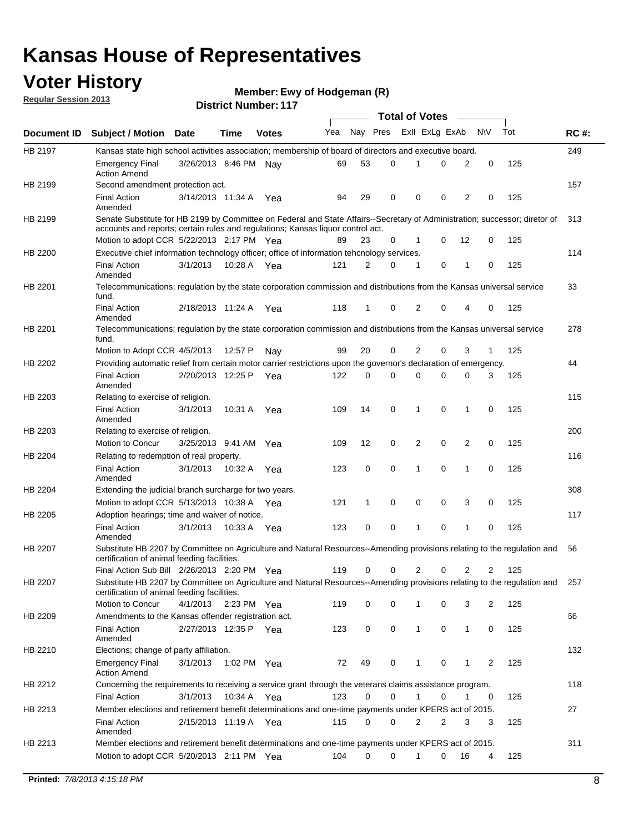## **Voter History**

**Ewy of Hodgeman (R)**

**Regular Session 2013**

|                |                                                                                                                                                                             |                       |             |              |     |          |          | <b>Total of Votes</b> |   |              |            |     |             |
|----------------|-----------------------------------------------------------------------------------------------------------------------------------------------------------------------------|-----------------------|-------------|--------------|-----|----------|----------|-----------------------|---|--------------|------------|-----|-------------|
| Document ID    | <b>Subject / Motion Date</b>                                                                                                                                                |                       | Time        | <b>Votes</b> | Yea | Nay Pres |          | Exll ExLg ExAb        |   |              | <b>N/A</b> | Tot | <b>RC#:</b> |
| HB 2197        | Kansas state high school activities association; membership of board of directors and executive board.                                                                      |                       |             |              |     |          |          |                       |   |              |            |     | 249         |
|                | Emergency Final<br><b>Action Amend</b>                                                                                                                                      | 3/26/2013 8:46 PM     |             | Nav          | 69  | 53       | 0        |                       | 0 | 2            | 0          | 125 |             |
| HB 2199        | Second amendment protection act.                                                                                                                                            |                       |             |              |     |          |          |                       |   |              |            |     | 157         |
|                | <b>Final Action</b><br>Amended                                                                                                                                              | 3/14/2013 11:34 A     |             | Yea          | 94  | 29       | 0        | 0                     | 0 | 2            | 0          | 125 |             |
| HB 2199        | Senate Substitute for HB 2199 by Committee on Federal and State Affairs--Secretary of Administration; successor; diretor of                                                 |                       |             |              |     |          |          |                       |   |              |            |     | 313         |
|                | accounts and reports; certain rules and regulations; Kansas liquor control act.                                                                                             |                       |             |              |     |          |          |                       |   |              |            |     |             |
|                | Motion to adopt CCR 5/22/2013 2:17 PM Yea                                                                                                                                   |                       |             |              | 89  | 23       | 0        | 1                     | 0 | 12           | 0          | 125 |             |
| HB 2200        | Executive chief information technology officer; office of information tehcnology services.                                                                                  |                       |             |              |     |          |          |                       |   |              |            |     | 114         |
|                | <b>Final Action</b><br>Amended                                                                                                                                              | 3/1/2013              | 10:28 A     | Yea          | 121 | 2        | 0        | 1                     | 0 | 1            | 0          | 125 |             |
| HB 2201        | Telecommunications; regulation by the state corporation commission and distributions from the Kansas universal service<br>fund.                                             |                       |             |              |     |          |          |                       |   |              |            |     | 33          |
|                | <b>Final Action</b><br>Amended                                                                                                                                              | 2/18/2013 11:24 A     |             | Yea          | 118 | 1        | 0        | 2                     | 0 | 4            | 0          | 125 |             |
| HB 2201        | Telecommunications; regulation by the state corporation commission and distributions from the Kansas universal service<br>fund.                                             |                       |             |              |     |          |          |                       |   |              |            |     | 278         |
|                | Motion to Adopt CCR 4/5/2013                                                                                                                                                |                       | 12:57 P     | Nav          | 99  | 20       | 0        | 2                     | 0 | 3            | 1          | 125 |             |
| HB 2202        | Providing automatic relief from certain motor carrier restrictions upon the governor's declaration of emergency.                                                            |                       |             |              |     |          |          |                       |   |              |            |     | 44          |
|                | <b>Final Action</b><br>Amended                                                                                                                                              | 2/20/2013 12:25 P     |             | Yea          | 122 | 0        | 0        | 0                     | 0 | 0            | 3          | 125 |             |
| HB 2203        | Relating to exercise of religion.                                                                                                                                           |                       |             |              |     |          |          |                       |   |              |            |     | 115         |
|                | <b>Final Action</b><br>Amended                                                                                                                                              | 3/1/2013              | 10:31 A     | Yea          | 109 | 14       | 0        | 1                     | 0 | 1            | 0          | 125 |             |
| HB 2203        | Relating to exercise of religion.                                                                                                                                           |                       |             |              |     |          |          |                       |   |              |            |     | 200         |
|                | Motion to Concur                                                                                                                                                            | 3/25/2013 9:41 AM     |             | Yea          | 109 | 12       | 0        | 2                     | 0 | 2            | 0          | 125 |             |
| HB 2204        | Relating to redemption of real property.                                                                                                                                    |                       |             |              |     |          |          |                       |   |              |            |     | 116         |
|                | <b>Final Action</b><br>Amended                                                                                                                                              | 3/1/2013              | 10:32 A     | Yea          | 123 | 0        | 0        | 1                     | 0 | 1            | 0          | 125 |             |
| HB 2204        | Extending the judicial branch surcharge for two years.                                                                                                                      |                       |             |              |     |          |          |                       |   |              |            |     | 308         |
|                | Motion to adopt CCR 5/13/2013 10:38 A                                                                                                                                       |                       |             | Yea          | 121 | 1        | 0        | 0                     | 0 | 3            | 0          | 125 |             |
| HB 2205        | Adoption hearings; time and waiver of notice.                                                                                                                               |                       |             |              |     |          |          |                       |   |              |            |     | 117         |
|                | <b>Final Action</b><br>Amended                                                                                                                                              | 3/1/2013              | 10:33 A Yea |              | 123 | 0        | 0        | 1                     | 0 | 1            | 0          | 125 |             |
| HB 2207        | Substitute HB 2207 by Committee on Agriculture and Natural Resources--Amending provisions relating to the regulation and<br>certification of animal feeding facilities.     |                       |             |              |     |          |          |                       |   |              |            |     | 56          |
|                | Final Action Sub Bill 2/26/2013 2:20 PM Yea                                                                                                                                 |                       |             |              | 119 | 0        | 0        | 2                     | 0 | 2            | 2          | 125 |             |
| <b>HB 2207</b> | Substitute HB 2207 by Committee on Agriculture and Natural Resources--Amending provisions relating to the regulation and 257<br>certification of animal feeding facilities. |                       |             |              |     |          |          |                       |   |              |            |     |             |
|                | Motion to Concur                                                                                                                                                            | 4/1/2013 2:23 PM Yea  |             |              | 119 | 0        | 0        | 1                     | 0 | 3            | 2          | 125 |             |
| HB 2209        | Amendments to the Kansas offender registration act.                                                                                                                         |                       |             |              |     |          |          |                       |   |              |            |     | 66          |
|                | Final Action<br>Amended                                                                                                                                                     | 2/27/2013 12:35 P Yea |             |              | 123 | 0        | 0        | $\mathbf{1}$          | 0 | $\mathbf{1}$ | 0          | 125 |             |
| HB 2210        | Elections; change of party affiliation.                                                                                                                                     |                       |             |              |     |          |          |                       |   |              |            |     | 132         |
|                | <b>Emergency Final</b><br><b>Action Amend</b>                                                                                                                               | 3/1/2013              | 1:02 PM Yea |              | 72  | 49       | 0        |                       | 0 | 1            | 2          | 125 |             |
| HB 2212        | Concerning the requirements to receiving a service grant through the veterans claims assistance program.                                                                    |                       |             |              |     |          |          |                       |   |              |            |     | 118         |
|                | Final Action                                                                                                                                                                | 3/1/2013              | 10:34 A Yea |              | 123 | 0        | 0        | $\mathbf{1}$          | 0 | 1            | 0          | 125 |             |
| HB 2213        | Member elections and retirement benefit determinations and one-time payments under KPERS act of 2015.                                                                       |                       |             |              |     |          |          |                       |   |              |            |     | 27          |
|                | <b>Final Action</b><br>Amended                                                                                                                                              | 2/15/2013 11:19 A Yea |             |              | 115 | 0        | 0        | 2                     | 2 | 3            | 3          | 125 |             |
| HB 2213        | Member elections and retirement benefit determinations and one-time payments under KPERS act of 2015.                                                                       |                       |             |              |     |          |          |                       |   |              |            |     | 311         |
|                | Motion to adopt CCR 5/20/2013 2:11 PM Yea                                                                                                                                   |                       |             |              | 104 | $\Omega$ | $\Omega$ | 1                     | 0 | 16           | 4          | 125 |             |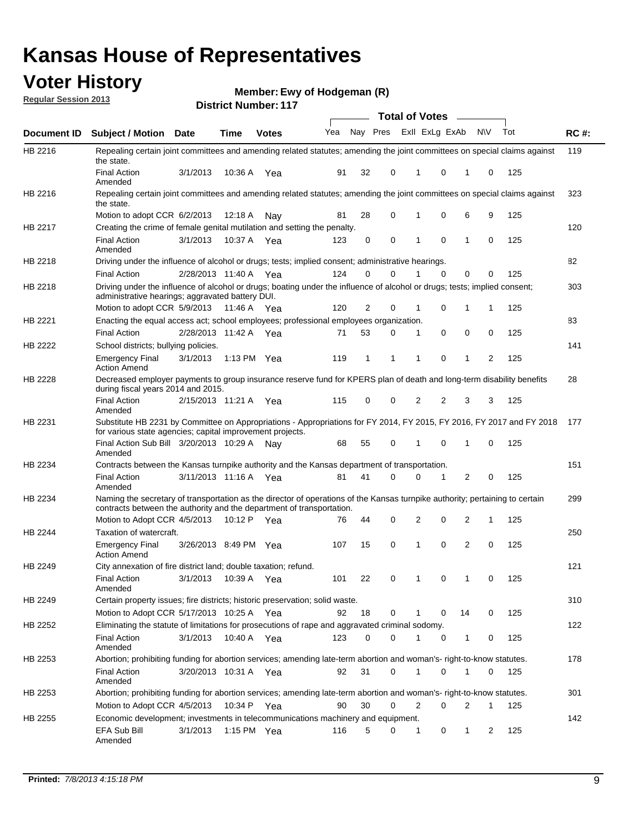## **Voter History**

**Ewy of Hodgeman (R)**

**Regular Session 2013**

|                |                                                                                                                                                                                                       |                       |         |               |     |    |             |              | <b>Total of Votes</b>   | $\sim$       |              |     |             |
|----------------|-------------------------------------------------------------------------------------------------------------------------------------------------------------------------------------------------------|-----------------------|---------|---------------|-----|----|-------------|--------------|-------------------------|--------------|--------------|-----|-------------|
| Document ID    | <b>Subject / Motion Date</b>                                                                                                                                                                          |                       | Time    | <b>Votes</b>  | Yea |    |             |              | Nay Pres ExII ExLg ExAb |              | <b>NV</b>    | Tot | <b>RC#:</b> |
| HB 2216        | Repealing certain joint committees and amending related statutes; amending the joint committees on special claims against<br>the state.                                                               |                       |         |               |     |    |             |              |                         |              |              |     | 119         |
|                | <b>Final Action</b><br>Amended                                                                                                                                                                        | 3/1/2013              | 10:36 A | Yea           | 91  | 32 | 0           | 1            | 0                       | 1            | 0            | 125 |             |
| HB 2216        | Repealing certain joint committees and amending related statutes; amending the joint committees on special claims against<br>the state.                                                               |                       |         |               |     |    |             |              |                         |              |              |     | 323         |
|                | Motion to adopt CCR 6/2/2013                                                                                                                                                                          |                       | 12:18 A | Nav           | 81  | 28 | 0           | 1            | 0                       | 6            | 9            | 125 |             |
| HB 2217        | Creating the crime of female genital mutilation and setting the penalty.                                                                                                                              |                       |         |               |     |    |             |              |                         |              |              |     | 120         |
|                | <b>Final Action</b><br>Amended                                                                                                                                                                        | 3/1/2013              | 10:37 A | Yea           | 123 | 0  | $\mathbf 0$ | 1            | 0                       | 1            | 0            | 125 |             |
| HB 2218        | Driving under the influence of alcohol or drugs; tests; implied consent; administrative hearings.                                                                                                     |                       |         |               |     |    |             |              |                         |              |              |     | 82          |
|                | <b>Final Action</b>                                                                                                                                                                                   | 2/28/2013 11:40 A Yea |         |               | 124 | 0  | 0           |              | $\Omega$                | 0            | 0            | 125 |             |
| HB 2218        | Driving under the influence of alcohol or drugs; boating under the influence of alcohol or drugs; tests; implied consent;<br>administrative hearings; aggravated battery DUI.                         |                       |         |               |     |    |             |              |                         |              |              |     | 303         |
|                | Motion to adopt CCR 5/9/2013                                                                                                                                                                          |                       |         | 11:46 A Yea   | 120 | 2  | 0           | 1            | 0                       | 1            | 1            | 125 |             |
| HB 2221        | Enacting the equal access act; school employees; professional employees organization.                                                                                                                 |                       |         |               |     |    |             |              |                         |              |              |     | 83          |
|                | <b>Final Action</b>                                                                                                                                                                                   | 2/28/2013 11:42 A     |         | Yea           | 71  | 53 | 0           | 1            | 0                       | 0            | 0            | 125 |             |
| <b>HB 2222</b> | School districts; bullying policies.                                                                                                                                                                  |                       |         |               |     |    |             |              |                         |              |              |     | 141         |
|                | <b>Emergency Final</b><br><b>Action Amend</b>                                                                                                                                                         | 3/1/2013              |         | 1:13 PM Yea   | 119 | 1  | 1           | 1            | 0                       | 1            | 2            | 125 |             |
| HB 2228        | Decreased employer payments to group insurance reserve fund for KPERS plan of death and long-term disability benefits<br>during fiscal years 2014 and 2015.                                           |                       |         |               |     |    |             |              |                         |              |              |     | 28          |
|                | <b>Final Action</b><br>Amended                                                                                                                                                                        | 2/15/2013 11:21 A     |         | Yea           | 115 | 0  | 0           | 2            | 2                       | 3            | 3            | 125 |             |
| HB 2231        | Substitute HB 2231 by Committee on Appropriations - Appropriations for FY 2014, FY 2015, FY 2016, FY 2017 and FY 2018<br>for various state agencies; capital improvement projects.                    |                       |         |               |     |    |             |              |                         |              |              |     | 177         |
|                | Final Action Sub Bill 3/20/2013 10:29 A<br>Amended                                                                                                                                                    |                       |         | Nav           | 68  | 55 | 0           | 1            | 0                       | 1            | 0            | 125 |             |
| HB 2234        | Contracts between the Kansas turnpike authority and the Kansas department of transportation.                                                                                                          |                       |         |               |     |    |             |              |                         |              |              |     | 151         |
|                | <b>Final Action</b><br>Amended                                                                                                                                                                        | 3/11/2013 11:16 A     |         | Yea           | 81  | 41 | 0           | 0            | 1                       | 2            | 0            | 125 |             |
| HB 2234        | Naming the secretary of transportation as the director of operations of the Kansas turnpike authority; pertaining to certain<br>contracts between the authority and the department of transportation. |                       |         |               |     |    |             |              |                         |              |              |     | 299         |
|                | Motion to Adopt CCR 4/5/2013                                                                                                                                                                          |                       |         | 10:12 P Yea   | 76  | 44 | 0           | 2            | 0                       | 2            | 1            | 125 |             |
| HB 2244        | Taxation of watercraft.<br><b>Emergency Final</b>                                                                                                                                                     | 3/26/2013 8:49 PM Yea |         |               | 107 | 15 | 0           | 1            | 0                       | 2            | 0            | 125 | 250         |
|                | <b>Action Amend</b>                                                                                                                                                                                   |                       |         |               |     |    |             |              |                         |              |              |     |             |
| HB 2249        | City annexation of fire district land; double taxation; refund.                                                                                                                                       |                       |         |               |     |    |             |              |                         |              |              |     | 121         |
|                | Final Action<br>Amended                                                                                                                                                                               | 3/1/2013 10:39 A Yea  |         |               | 101 | 22 | $\Omega$    | $\mathbf{1}$ | $\Omega$                | $\mathbf{1}$ | $\Omega$     | 125 |             |
| HB 2249        | Certain property issues; fire districts; historic preservation; solid waste.                                                                                                                          |                       |         |               |     |    |             |              |                         |              |              |     | 310         |
|                | Motion to Adopt CCR 5/17/2013 10:25 A Yea                                                                                                                                                             |                       |         |               | 92  | 18 | 0           | 1            | 0                       | 14           | 0            | 125 |             |
| HB 2252        | Eliminating the statute of limitations for prosecutions of rape and aggravated criminal sodomy.                                                                                                       |                       |         |               |     |    |             |              |                         |              |              |     | 122         |
|                | <b>Final Action</b><br>Amended                                                                                                                                                                        | 3/1/2013              |         | 10:40 A Yea   | 123 | 0  | $\Omega$    |              | 0                       | 1            | 0            | 125 |             |
| HB 2253        | Abortion; prohibiting funding for abortion services; amending late-term abortion and woman's- right-to-know statutes.                                                                                 |                       |         |               |     |    |             |              |                         |              |              |     | 178         |
|                | <b>Final Action</b><br>Amended                                                                                                                                                                        | 3/20/2013 10:31 A Yea |         |               | 92  | 31 | 0           | 1            | 0                       | 1            | 0            | 125 |             |
| HB 2253        | Abortion; prohibiting funding for abortion services; amending late-term abortion and woman's- right-to-know statutes.                                                                                 |                       |         |               |     |    |             |              |                         |              |              |     | 301         |
|                | Motion to Adopt CCR 4/5/2013                                                                                                                                                                          |                       |         | 10:34 P Yea   | 90  | 30 | 0           | 2            | 0                       | 2            | $\mathbf{1}$ | 125 |             |
| HB 2255        | Economic development; investments in telecommunications machinery and equipment.                                                                                                                      |                       |         |               |     |    |             |              |                         |              |              |     | 142         |
|                | EFA Sub Bill<br>Amended                                                                                                                                                                               | 3/1/2013              |         | 1:15 PM $Yea$ | 116 | 5  | 0           | 1            | 0                       | 1            | 2            | 125 |             |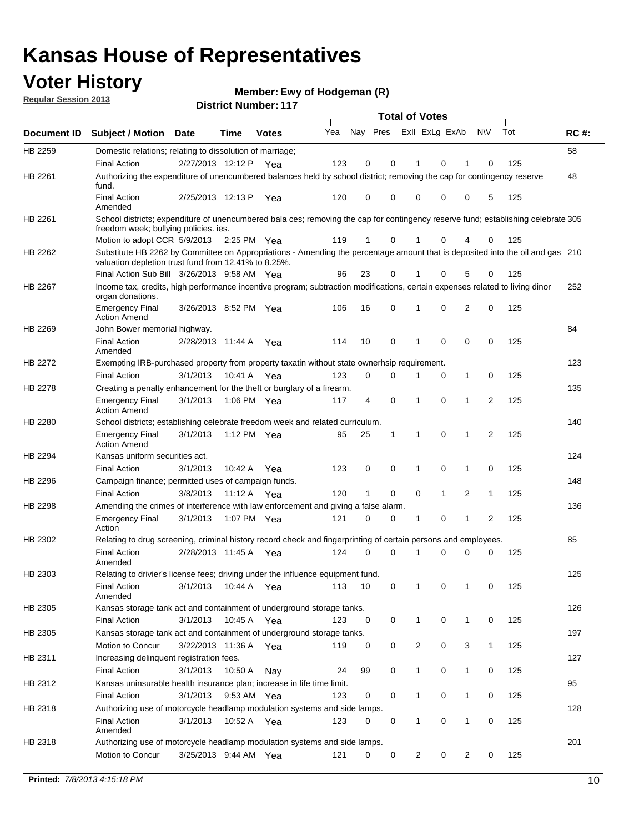## **Voter History**

**Ewy of Hodgeman (R)**

**Regular Session 2013**

|             |                                                                                                                                                                                       |                       |             |              |     |                         |          | <b>Total of Votes</b> |              | $\overline{\phantom{0}}$ |              |     |             |
|-------------|---------------------------------------------------------------------------------------------------------------------------------------------------------------------------------------|-----------------------|-------------|--------------|-----|-------------------------|----------|-----------------------|--------------|--------------------------|--------------|-----|-------------|
| Document ID | <b>Subject / Motion Date</b>                                                                                                                                                          |                       | Time        | <b>Votes</b> | Yea | Nay Pres ExII ExLg ExAb |          |                       |              |                          | <b>NV</b>    | Tot | <b>RC#:</b> |
| HB 2259     | Domestic relations; relating to dissolution of marriage;                                                                                                                              |                       |             |              |     |                         |          |                       |              |                          |              |     | 58          |
|             | <b>Final Action</b>                                                                                                                                                                   | 2/27/2013 12:12 P     |             | Yea          | 123 | 0                       | 0        | 1                     | 0            | 1                        | 0            | 125 |             |
| HB 2261     | Authorizing the expenditure of unencumbered balances held by school district; removing the cap for contingency reserve<br>fund.                                                       |                       |             |              |     |                         |          |                       |              |                          |              |     | 48          |
|             | <b>Final Action</b><br>Amended                                                                                                                                                        | 2/25/2013 12:13 P     |             | Yea          | 120 | 0                       | 0        | 0                     | 0            | 0                        | 5            | 125 |             |
| HB 2261     | School districts; expenditure of unencumbered bala ces; removing the cap for contingency reserve fund; establishing celebrate 305<br>freedom week; bullying policies, ies.            |                       |             |              |     |                         |          |                       |              |                          |              |     |             |
|             | Motion to adopt CCR 5/9/2013                                                                                                                                                          |                       | 2:25 PM Yea |              | 119 | 1                       | 0        |                       | 0            | 4                        | 0            | 125 |             |
| HB 2262     | Substitute HB 2262 by Committee on Appropriations - Amending the percentage amount that is deposited into the oil and gas 210<br>valuation depletion trust fund from 12.41% to 8.25%. |                       |             |              |     |                         |          |                       |              |                          |              |     |             |
|             | Final Action Sub Bill 3/26/2013 9:58 AM Yea                                                                                                                                           |                       |             |              | 96  | 23                      | 0        |                       | 0            | 5                        | 0            | 125 |             |
| HB 2267     | Income tax, credits, high performance incentive program; subtraction modifications, certain expenses related to living dinor<br>organ donations.                                      |                       |             |              |     |                         |          |                       |              |                          |              |     | 252         |
|             | <b>Emergency Final</b><br><b>Action Amend</b>                                                                                                                                         | 3/26/2013 8:52 PM Yea |             |              | 106 | 16                      | 0        | 1                     | 0            | 2                        | 0            | 125 |             |
| HB 2269     | John Bower memorial highway.<br><b>Final Action</b>                                                                                                                                   | 2/28/2013 11:44 A     |             | Yea          | 114 | 10                      | 0        | 1                     | 0            | 0                        | 0            | 125 | 84          |
|             | Amended                                                                                                                                                                               |                       |             |              |     |                         |          |                       |              |                          |              |     |             |
| HB 2272     | Exempting IRB-purchased property from property taxatin without state ownerhsip requirement.                                                                                           |                       |             |              |     |                         |          |                       |              |                          |              |     | 123         |
|             | <b>Final Action</b>                                                                                                                                                                   | 3/1/2013              | 10:41 A     | Yea          | 123 | 0                       | 0        | 1                     | 0            | $\mathbf{1}$             | 0            | 125 |             |
| HB 2278     | Creating a penalty enhancement for the theft or burglary of a firearm.                                                                                                                |                       |             |              |     |                         |          |                       |              |                          |              |     | 135         |
|             | <b>Emergency Final</b><br><b>Action Amend</b>                                                                                                                                         | 3/1/2013              | 1:06 PM Yea |              | 117 | 4                       | 0        | 1                     | 0            | $\mathbf{1}$             | 2            | 125 |             |
| HB 2280     | School districts; establishing celebrate freedom week and related curriculum.                                                                                                         |                       |             |              |     |                         |          |                       |              |                          |              |     | 140         |
|             | <b>Emergency Final</b><br><b>Action Amend</b>                                                                                                                                         | 3/1/2013              | 1:12 PM Yea |              | 95  | 25                      | 1        | 1                     | 0            | 1                        | 2            | 125 |             |
| HB 2294     | Kansas uniform securities act.                                                                                                                                                        |                       |             |              |     |                         |          |                       |              |                          |              |     | 124         |
|             | <b>Final Action</b>                                                                                                                                                                   | 3/1/2013              | 10:42 A     | Yea          | 123 | 0                       | 0        | 1                     | 0            | 1                        | 0            | 125 |             |
| HB 2296     | Campaign finance; permitted uses of campaign funds.                                                                                                                                   |                       |             |              |     |                         |          |                       |              |                          |              |     | 148         |
|             | <b>Final Action</b>                                                                                                                                                                   | 3/8/2013              | 11:12 A Yea |              | 120 | $\mathbf{1}$            | 0        | $\Omega$              | $\mathbf{1}$ | $\overline{2}$           | $\mathbf{1}$ | 125 |             |
| HB 2298     | Amending the crimes of interference with law enforcement and giving a false alarm.                                                                                                    |                       |             |              |     |                         |          |                       |              |                          |              |     | 136         |
|             | <b>Emergency Final</b><br>Action                                                                                                                                                      | 3/1/2013              | 1:07 PM Yea |              | 121 | 0                       | 0        | 1                     | 0            | 1                        | 2            | 125 |             |
| HB 2302     | Relating to drug screening, criminal history record check and fingerprinting of certain persons and employees.                                                                        |                       |             |              |     |                         |          |                       |              |                          |              |     | 85          |
|             | <b>Final Action</b><br>Amended                                                                                                                                                        | 2/28/2013 11:45 A     |             | Yea          | 124 | 0                       | $\Omega$ |                       | 0            | 0                        | 0            | 125 |             |
| HB 2303     | Relating to drivier's license fees; driving under the influence equipment fund.                                                                                                       |                       |             |              |     |                         |          |                       |              |                          |              |     | 125         |
|             | <b>Final Action</b><br>Amended                                                                                                                                                        | 3/1/2013              | 10:44 A     | Yea          | 113 | 10                      | 0        | 1                     | 0            | 1                        | 0            | 125 |             |
| HB 2305     | Kansas storage tank act and containment of underground storage tanks.                                                                                                                 |                       |             |              |     |                         |          |                       |              |                          |              |     | 126         |
|             | <b>Final Action</b>                                                                                                                                                                   | 3/1/2013              | 10:45 A     | Yea          | 123 | 0                       | 0        | 1                     | 0            | 1                        | 0            | 125 |             |
| HB 2305     | Kansas storage tank act and containment of underground storage tanks.                                                                                                                 |                       |             |              |     |                         |          |                       |              |                          |              |     | 197         |
|             | Motion to Concur                                                                                                                                                                      | 3/22/2013 11:36 A     |             | Yea          | 119 | 0                       | 0        | $\overline{c}$        | 0            | 3                        | $\mathbf{1}$ | 125 |             |
| HB 2311     | Increasing delinquent registration fees.                                                                                                                                              |                       |             |              |     |                         |          |                       |              |                          |              |     | 127         |
|             | <b>Final Action</b>                                                                                                                                                                   | 3/1/2013              | 10:50 A     | Nay          | 24  | 99                      | 0        | $\mathbf{1}$          | 0            | 1                        | 0            | 125 |             |
| HB 2312     | Kansas uninsurable health insurance plan; increase in life time limit.                                                                                                                |                       |             |              |     |                         |          |                       |              |                          |              |     | 95          |
|             | <b>Final Action</b>                                                                                                                                                                   | 3/1/2013              | 9:53 AM Yea |              | 123 | 0                       | 0        | 1                     | 0            | 1                        | 0            | 125 |             |
| HB 2318     | Authorizing use of motorcycle headlamp modulation systems and side lamps.                                                                                                             |                       |             |              |     |                         |          |                       |              |                          |              |     | 128         |
|             | <b>Final Action</b><br>Amended                                                                                                                                                        | 3/1/2013              | 10:52 A     | Yea          | 123 | 0                       | 0        | 1                     | 0            | 1                        | 0            | 125 |             |
| HB 2318     | Authorizing use of motorcycle headlamp modulation systems and side lamps.                                                                                                             |                       |             |              |     |                         |          |                       |              |                          |              |     | 201         |
|             | Motion to Concur                                                                                                                                                                      | 3/25/2013 9:44 AM Yea |             |              | 121 | 0                       | 0        | 2                     | 0            | 2                        | 0            | 125 |             |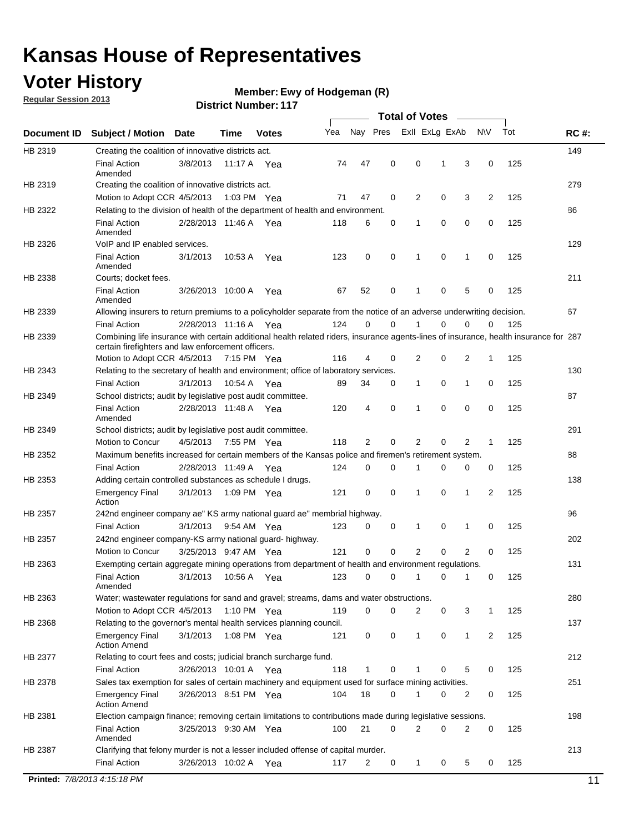## **Voter History**

**Regular Session 2013**

#### **Ewy of Hodgeman (R)**

|             |                                                                                                                                             |                       |             |              |     |                |             | <b>Total of Votes</b> |   |              |     |     |             |
|-------------|---------------------------------------------------------------------------------------------------------------------------------------------|-----------------------|-------------|--------------|-----|----------------|-------------|-----------------------|---|--------------|-----|-----|-------------|
| Document ID | <b>Subject / Motion</b>                                                                                                                     | Date                  | Time        | <b>Votes</b> | Yea | Nay Pres       |             | Exll ExLg ExAb        |   |              | N\V | Tot | <b>RC#:</b> |
| HB 2319     | Creating the coalition of innovative districts act.                                                                                         |                       |             |              |     |                |             |                       |   |              |     |     | 149         |
|             | <b>Final Action</b>                                                                                                                         | 3/8/2013              | 11:17 A     | Yea          | 74  | 47             | 0           | 0                     | 1 | 3            | 0   | 125 |             |
|             | Amended                                                                                                                                     |                       |             |              |     |                |             |                       |   |              |     |     |             |
| HB 2319     | Creating the coalition of innovative districts act.                                                                                         |                       |             |              |     |                |             |                       |   |              |     |     | 279         |
|             | Motion to Adopt CCR 4/5/2013                                                                                                                |                       | 1:03 PM Yea |              | 71  | 47             | 0           | 2                     | 0 | 3            | 2   | 125 |             |
| HB 2322     | Relating to the division of health of the department of health and environment.                                                             |                       |             |              |     |                |             |                       |   |              |     |     | 86          |
|             | <b>Final Action</b><br>Amended                                                                                                              | 2/28/2013 11:46 A Yea |             |              | 118 | 6              | 0           | 1                     | 0 | 0            | 0   | 125 |             |
| HB 2326     | VoIP and IP enabled services.                                                                                                               |                       |             |              |     |                |             |                       |   |              |     |     | 129         |
|             | <b>Final Action</b>                                                                                                                         | 3/1/2013              | 10:53 A     | Yea          | 123 | $\mathbf 0$    | $\mathbf 0$ | 1                     | 0 | 1            | 0   | 125 |             |
|             | Amended                                                                                                                                     |                       |             |              |     |                |             |                       |   |              |     |     |             |
| HB 2338     | Courts; docket fees.                                                                                                                        |                       |             |              |     |                |             |                       |   |              |     |     | 211         |
|             | <b>Final Action</b>                                                                                                                         | 3/26/2013 10:00 A     |             | Yea          | 67  | 52             | 0           | 1                     | 0 | 5            | 0   | 125 |             |
|             | Amended                                                                                                                                     |                       |             |              |     |                |             |                       |   |              |     |     | 67          |
| HB 2339     | Allowing insurers to return premiums to a policyholder separate from the notice of an adverse underwriting decision.<br><b>Final Action</b> |                       |             |              | 124 | 0              | $\mathbf 0$ |                       | 0 | 0            | 0   | 125 |             |
|             | Combining life insurance with certain additional health related riders, insurance agents-lines of insurance, health insurance for 287       | 2/28/2013 11:16 A Yea |             |              |     |                |             |                       |   |              |     |     |             |
| HB 2339     | certain firefighters and law enforcement officers.                                                                                          |                       |             |              |     |                |             |                       |   |              |     |     |             |
|             | Motion to Adopt CCR 4/5/2013 7:15 PM Yea                                                                                                    |                       |             |              | 116 | 4              | 0           | $\overline{2}$        | 0 | 2            | -1  | 125 |             |
| HB 2343     | Relating to the secretary of health and environment; office of laboratory services.                                                         |                       |             |              |     |                |             |                       |   |              |     |     | 130         |
|             | <b>Final Action</b>                                                                                                                         | 3/1/2013              | 10:54 A Yea |              | 89  | 34             | 0           | 1                     | 0 | 1            | 0   | 125 |             |
| HB 2349     | School districts; audit by legislative post audit committee.                                                                                |                       |             |              |     |                |             |                       |   |              |     |     | 87          |
|             | <b>Final Action</b><br>Amended                                                                                                              | 2/28/2013 11:48 A Yea |             |              | 120 | 4              | $\mathbf 0$ | 1                     | 0 | 0            | 0   | 125 |             |
| HB 2349     | School districts; audit by legislative post audit committee.                                                                                |                       |             |              |     |                |             |                       |   |              |     |     | 291         |
|             | Motion to Concur                                                                                                                            | 4/5/2013              | 7:55 PM Yea |              | 118 | $\overline{2}$ | $\mathbf 0$ | $\overline{2}$        | 0 | 2            | 1   | 125 |             |
| HB 2352     | Maximum benefits increased for certain members of the Kansas police and firemen's retirement system.                                        |                       |             |              |     |                |             |                       |   |              |     |     | 88          |
|             | <b>Final Action</b>                                                                                                                         | 2/28/2013 11:49 A     |             | Yea          | 124 | 0              | 0           | 1                     | 0 | 0            | 0   | 125 |             |
| HB 2353     | Adding certain controlled substances as schedule I drugs.                                                                                   |                       |             |              |     |                |             |                       |   |              |     |     | 138         |
|             | <b>Emergency Final</b><br>Action                                                                                                            | 3/1/2013              |             | 1:09 PM Yea  | 121 | 0              | 0           | 1                     | 0 | 1            | 2   | 125 |             |
| HB 2357     | 242nd engineer company ae" KS army national guard ae" membrial highway.                                                                     |                       |             |              |     |                |             |                       |   |              |     |     | 96          |
|             | <b>Final Action</b>                                                                                                                         | 3/1/2013              | 9:54 AM Yea |              | 123 | 0              | 0           | 1                     | 0 | 1            | 0   | 125 |             |
| HB 2357     | 242nd engineer company-KS army national guard- highway.                                                                                     |                       |             |              |     |                |             |                       |   |              |     |     | 202         |
|             | Motion to Concur                                                                                                                            | 3/25/2013 9:47 AM Yea |             |              | 121 | $\mathbf 0$    | $\mathbf 0$ | $\overline{2}$        | 0 | 2            | 0   | 125 |             |
| HB 2363     | Exempting certain aggregate mining operations from department of health and environment regulations.                                        |                       |             |              |     |                |             |                       |   |              |     |     | 131         |
|             | <b>Final Action</b><br>Amended                                                                                                              | 3/1/2013              | 10:56 A Yea |              | 123 | 0              | 0           | 1                     | 0 | 1            | 0   | 125 |             |
| HB 2363     | Water; wastewater regulations for sand and gravel; streams, dams and water obstructions.                                                    |                       |             |              |     |                |             |                       |   |              |     |     | 280         |
|             | Motion to Adopt CCR 4/5/2013                                                                                                                |                       |             | 1:10 PM Yea  | 119 | 0              | 0           | 2                     | 0 | 3            | 1   | 125 |             |
| HB 2368     | Relating to the governor's mental health services planning council.                                                                         |                       |             |              |     |                |             |                       |   |              |     |     | 137         |
|             | <b>Emergency Final</b><br><b>Action Amend</b>                                                                                               | 3/1/2013              | 1:08 PM Yea |              | 121 | 0              | 0           | 1                     | 0 | $\mathbf{1}$ | 2   | 125 |             |
| HB 2377     | Relating to court fees and costs; judicial branch surcharge fund.                                                                           |                       |             |              |     |                |             |                       |   |              |     |     | 212         |
|             | <b>Final Action</b>                                                                                                                         | 3/26/2013 10:01 A Yea |             |              | 118 | 1              | 0           |                       | 0 | 5            | 0   | 125 |             |
| HB 2378     | Sales tax exemption for sales of certain machinery and equipment used for surface mining activities.                                        |                       |             |              |     |                |             |                       |   |              |     |     | 251         |
|             | <b>Emergency Final</b><br><b>Action Amend</b>                                                                                               | 3/26/2013 8:51 PM Yea |             |              | 104 | 18             | 0           | 1                     | 0 | 2            | 0   | 125 |             |
| HB 2381     | Election campaign finance; removing certain limitations to contributions made during legislative sessions.                                  |                       |             |              |     |                |             |                       |   |              |     |     | 198         |
|             | <b>Final Action</b>                                                                                                                         | 3/25/2013 9:30 AM Yea |             |              | 100 | 21             | 0           | 2                     | 0 | 2            | 0   | 125 |             |
|             | Amended                                                                                                                                     |                       |             |              |     |                |             |                       |   |              |     |     |             |
| HB 2387     | Clarifying that felony murder is not a lesser included offense of capital murder.                                                           |                       |             |              |     |                |             |                       |   |              |     |     | 213         |
|             | <b>Final Action</b>                                                                                                                         | 3/26/2013 10:02 A     |             | Yea          | 117 | 2              | 0           | 1                     | 0 | 5            | 0   | 125 |             |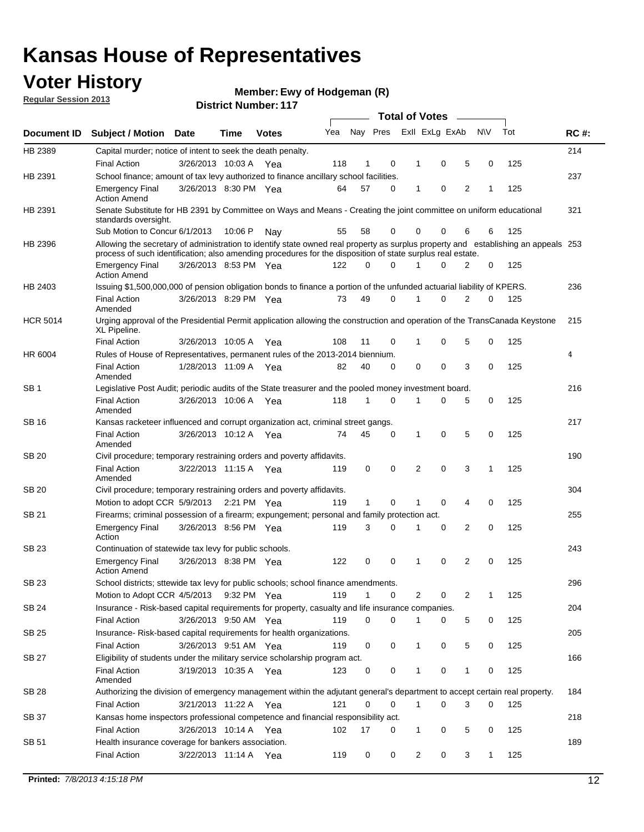## **Voter History**

**Ewy of Hodgeman (R)**

**Regular Session 2013**

|                 |                                                                                                                                                                                                                                                  |                       |             |              |     |              |          | <b>Total of Votes</b> |   |   |              |     |             |
|-----------------|--------------------------------------------------------------------------------------------------------------------------------------------------------------------------------------------------------------------------------------------------|-----------------------|-------------|--------------|-----|--------------|----------|-----------------------|---|---|--------------|-----|-------------|
| Document ID     | Subject / Motion Date                                                                                                                                                                                                                            |                       | Time        | <b>Votes</b> | Yea | Nay Pres     |          | Exll ExLg ExAb        |   |   | <b>NV</b>    | Tot | <b>RC#:</b> |
| HB 2389         | Capital murder; notice of intent to seek the death penalty.                                                                                                                                                                                      |                       |             |              |     |              |          |                       |   |   |              |     | 214         |
|                 | <b>Final Action</b>                                                                                                                                                                                                                              | 3/26/2013 10:03 A     |             | Yea          | 118 | 1            | 0        | 1                     | 0 | 5 | 0            | 125 |             |
| HB 2391         | School finance; amount of tax levy authorized to finance ancillary school facilities.                                                                                                                                                            |                       |             |              |     |              |          |                       |   |   |              |     | 237         |
|                 | <b>Emergency Final</b><br><b>Action Amend</b>                                                                                                                                                                                                    | 3/26/2013 8:30 PM Yea |             |              | 64  | 57           | 0        | 1                     | 0 | 2 | 1            | 125 |             |
| HB 2391         | Senate Substitute for HB 2391 by Committee on Ways and Means - Creating the joint committee on uniform educational<br>standards oversight.                                                                                                       |                       |             |              |     |              |          |                       |   |   |              |     | 321         |
|                 | Sub Motion to Concur 6/1/2013                                                                                                                                                                                                                    |                       | 10:06 P     | Nav          | 55  | 58           | 0        | 0                     | 0 | 6 | 6            | 125 |             |
| HB 2396         | Allowing the secretary of administration to identify state owned real property as surplus property and establishing an appeals 253<br>process of such identification; also amending procedures for the disposition of state surplus real estate. |                       |             |              |     |              |          |                       |   |   |              |     |             |
|                 | <b>Emergency Final</b><br>Action Amend                                                                                                                                                                                                           | 3/26/2013 8:53 PM Yea |             |              | 122 | 0            | 0        |                       | 0 | 2 | 0            | 125 |             |
| HB 2403         | Issuing \$1,500,000,000 of pension obligation bonds to finance a portion of the unfunded actuarial liability of KPERS.                                                                                                                           |                       |             |              |     |              |          |                       |   |   |              |     | 236         |
|                 | <b>Final Action</b><br>Amended                                                                                                                                                                                                                   | 3/26/2013 8:29 PM Yea |             |              | 73  | 49           | 0        | 1                     | 0 | 2 | 0            | 125 |             |
| <b>HCR 5014</b> | Urging approval of the Presidential Permit application allowing the construction and operation of the TransCanada Keystone<br>XL Pipeline.                                                                                                       |                       |             |              |     |              |          |                       |   |   |              |     | 215         |
|                 | <b>Final Action</b>                                                                                                                                                                                                                              | 3/26/2013 10:05 A     |             | Yea          | 108 | 11           | 0        |                       | 0 | 5 | 0            | 125 |             |
| HR 6004         | Rules of House of Representatives, permanent rules of the 2013-2014 biennium.                                                                                                                                                                    |                       |             |              |     |              |          |                       |   |   |              |     | 4           |
|                 | <b>Final Action</b><br>Amended                                                                                                                                                                                                                   | 1/28/2013 11:09 A     |             | Yea          | 82  | 40           | 0        | 0                     | 0 | 3 | 0            | 125 |             |
| SB 1            | Legislative Post Audit; periodic audits of the State treasurer and the pooled money investment board.                                                                                                                                            |                       |             |              |     |              |          |                       |   |   |              |     | 216         |
|                 | <b>Final Action</b><br>Amended                                                                                                                                                                                                                   | 3/26/2013 10:06 A     |             | Yea          | 118 | 1            | 0        | 1                     | 0 | 5 | 0            | 125 |             |
| SB 16           | Kansas racketeer influenced and corrupt organization act, criminal street gangs.                                                                                                                                                                 |                       |             |              |     |              |          |                       |   |   |              |     | 217         |
|                 | <b>Final Action</b><br>Amended                                                                                                                                                                                                                   | 3/26/2013 10:12 A Yea |             |              | 74  | 45           | 0        | 1                     | 0 | 5 | 0            | 125 |             |
| SB 20           | Civil procedure; temporary restraining orders and poverty affidavits.                                                                                                                                                                            |                       |             |              |     |              |          |                       |   |   |              |     | 190         |
|                 | <b>Final Action</b><br>Amended                                                                                                                                                                                                                   | 3/22/2013 11:15 A     |             | Yea          | 119 | 0            | 0        | 2                     | 0 | 3 | 1            | 125 |             |
| SB 20           | Civil procedure; temporary restraining orders and poverty affidavits.                                                                                                                                                                            |                       |             |              |     |              |          |                       |   |   |              |     | 304         |
|                 | Motion to adopt CCR 5/9/2013                                                                                                                                                                                                                     |                       | 2:21 PM Yea |              | 119 | $\mathbf{1}$ | 0        | 1                     | 0 | 4 | 0            | 125 |             |
| SB 21           | Firearms; criminal possession of a firearm; expungement; personal and family protection act.                                                                                                                                                     |                       |             |              |     |              |          |                       |   |   |              |     | 255         |
|                 | <b>Emergency Final</b><br>Action                                                                                                                                                                                                                 | 3/26/2013 8:56 PM Yea |             |              | 119 | 3            | 0        |                       | 0 | 2 | 0            | 125 |             |
| SB 23           | Continuation of statewide tax levy for public schools.                                                                                                                                                                                           |                       |             |              |     |              |          |                       |   |   |              |     | 243         |
|                 | <b>Emergency Final</b><br><b>Action Amend</b>                                                                                                                                                                                                    | 3/26/2013 8:38 PM Yea |             |              | 122 | 0            | 0        | 1                     | 0 | 2 | 0            | 125 |             |
| <b>SB 23</b>    | School districts; sttewide tax levy for public schools; school finance amendments.                                                                                                                                                               |                       |             |              |     |              |          |                       |   |   |              |     | 296         |
|                 | Motion to Adopt CCR 4/5/2013 9:32 PM Yea                                                                                                                                                                                                         |                       |             |              | 119 | 1            | 0        | 2                     | 0 | 2 | 1            | 125 |             |
| <b>SB 24</b>    | Insurance - Risk-based capital requirements for property, casualty and life insurance companies.                                                                                                                                                 |                       |             |              |     |              |          |                       |   |   |              |     | 204         |
|                 | <b>Final Action</b>                                                                                                                                                                                                                              | 3/26/2013 9:50 AM Yea |             |              | 119 | 0            | 0        |                       | 0 | 5 | 0            | 125 |             |
| SB 25           | Insurance-Risk-based capital requirements for health organizations.                                                                                                                                                                              |                       |             |              |     |              |          |                       |   |   |              |     | 205         |
|                 | <b>Final Action</b>                                                                                                                                                                                                                              | 3/26/2013 9:51 AM Yea |             |              | 119 | 0            | 0        | 1                     | 0 | 5 | 0            | 125 |             |
| SB 27           | Eligibility of students under the military service scholarship program act.                                                                                                                                                                      |                       |             |              |     |              |          |                       |   |   |              |     | 166         |
|                 | <b>Final Action</b><br>Amended                                                                                                                                                                                                                   | 3/19/2013 10:35 A Yea |             |              | 123 | 0            | 0        |                       | 0 | 1 | 0            | 125 |             |
| SB 28           | Authorizing the division of emergency management within the adjutant general's department to accept certain real property.                                                                                                                       |                       |             |              |     |              |          |                       |   |   |              |     | 184         |
|                 | <b>Final Action</b>                                                                                                                                                                                                                              | 3/21/2013 11:22 A Yea |             |              | 121 | 0            | $\Omega$ | 1                     | 0 | 3 | $\Omega$     | 125 |             |
| SB 37           | Kansas home inspectors professional competence and financial responsibility act.                                                                                                                                                                 |                       |             |              |     |              |          |                       |   |   |              |     | 218         |
|                 | <b>Final Action</b>                                                                                                                                                                                                                              | 3/26/2013 10:14 A Yea |             |              | 102 | 17           | 0        | 1                     | 0 | 5 | 0            | 125 |             |
| SB 51           | Health insurance coverage for bankers association.                                                                                                                                                                                               |                       |             |              |     |              |          |                       |   |   |              |     | 189         |
|                 | <b>Final Action</b>                                                                                                                                                                                                                              | 3/22/2013 11:14 A Yea |             |              | 119 | 0            | 0        | 2                     | 0 | 3 | $\mathbf{1}$ | 125 |             |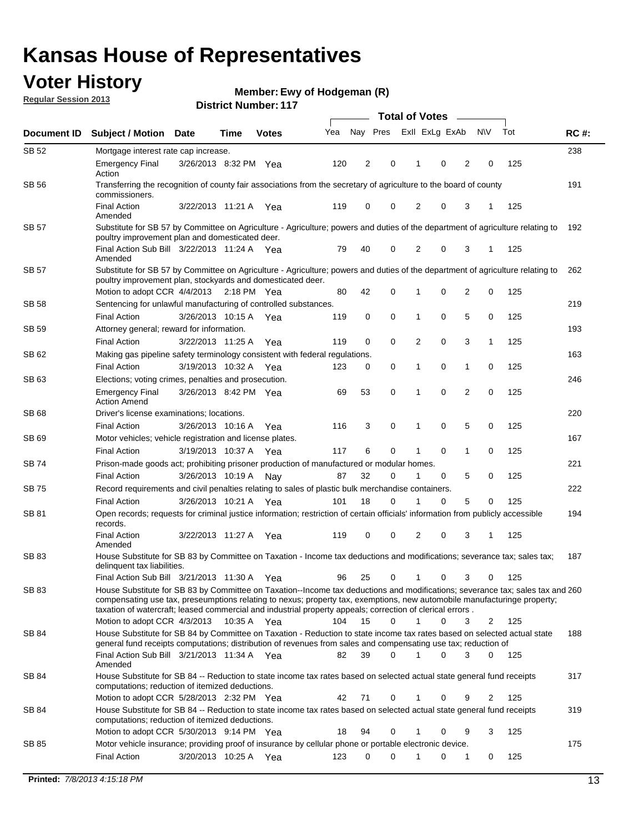## **Voter History**

**Ewy of Hodgeman (R)**

**Regular Session 2013**

| Exll ExLg ExAb<br>Nay Pres<br><b>NV</b><br>Tot<br>Yea<br><b>RC#:</b><br><b>Votes</b><br>Document ID<br><b>Subject / Motion</b><br><b>Date</b><br>Time<br>238<br>SB 52<br>Mortgage interest rate cap increase.<br>120<br>2<br>0<br>2<br>125<br><b>Emergency Final</b><br>3/26/2013 8:32 PM Yea<br>0<br>0<br>1<br>Action<br>191<br>SB 56<br>Transferring the recognition of county fair associations from the secretary of agriculture to the board of county<br>commissioners.<br>$\mathbf 0$<br>$\overline{2}$<br>3<br><b>Final Action</b><br>119<br>0<br>0<br>125<br>3/22/2013 11:21 A<br>Yea<br>1<br>Amended<br><b>SB 57</b><br>Substitute for SB 57 by Committee on Agriculture - Agriculture; powers and duties of the department of agriculture relating to<br>192<br>poultry improvement plan and domesticated deer.<br>Final Action Sub Bill 3/22/2013 11:24 A Yea<br>40<br>0<br>2<br>0<br>125<br>79<br>3<br>-1<br>Amended<br>SB 57<br>Substitute for SB 57 by Committee on Agriculture - Agriculture; powers and duties of the department of agriculture relating to<br>262<br>poultry improvement plan, stockyards and domesticated deer.<br>42<br>0<br>0<br>2<br>0<br>125<br>Motion to adopt CCR 4/4/2013 2:18 PM Yea<br>80<br>1<br>SB 58<br>Sentencing for unlawful manufacturing of controlled substances.<br>219<br>0<br>0<br>5<br>0<br><b>Final Action</b><br>3/26/2013 10:15 A<br>0<br>125<br>119<br>1<br>Yea<br>Attorney general; reward for information.<br>193<br>SB 59<br>$\mathbf 0$<br>0<br>2<br>0<br>3<br>125<br><b>Final Action</b><br>3/22/2013 11:25 A<br>119<br>1<br>Yea<br>163<br>SB 62<br>Making gas pipeline safety terminology consistent with federal regulations.<br>0<br>0<br>125<br><b>Final Action</b><br>3/19/2013 10:32 A<br>123<br>0<br>0<br>1<br>Yea<br>1<br>SB 63<br>Elections; voting crimes, penalties and prosecution.<br>246<br>53<br>0<br>0<br>$\overline{2}$<br>0<br>125<br>3/26/2013 8:42 PM Yea<br><b>Emergency Final</b><br>69<br>1<br><b>Action Amend</b><br>220<br>SB 68<br>Driver's license examinations; locations.<br>5<br>116<br>3<br>0<br>0<br>0<br>125<br><b>Final Action</b><br>3/26/2013 10:16 A<br>1<br>Yea<br>167<br>SB 69<br>Motor vehicles; vehicle registration and license plates.<br>6<br>0<br>3/19/2013 10:37 A<br>117<br>0<br>0<br>125<br><b>Final Action</b><br>1<br>1<br>Yea<br>221<br>SB 74<br>Prison-made goods act; prohibiting prisoner production of manufactured or modular homes.<br>32<br>0<br>5<br>125<br><b>Final Action</b><br>3/26/2013 10:19 A<br>87<br>1<br>0<br>0<br>Nav<br>222<br>SB 75<br>Record requirements and civil penalties relating to sales of plastic bulk merchandise containers.<br>5<br>101<br>18<br>0<br>0<br>0<br>125<br><b>Final Action</b><br>3/26/2013 10:21 A<br>1<br>Yea<br>SB 81<br>Open records; requests for criminal justice information; restriction of certain officials' information from publicly accessible<br>194<br>records.<br><b>Final Action</b><br>119<br>0<br>0<br>2<br>0<br>3<br>125<br>3/22/2013 11:27 A<br>Yea<br>1<br>Amended<br>SB 83<br>House Substitute for SB 83 by Committee on Taxation - Income tax deductions and modifications; severance tax; sales tax;<br>187<br>delinquent tax liabilities.<br>25<br>0<br>0<br>3<br>125<br>Final Action Sub Bill 3/21/2013 11:30 A Yea<br>96<br>$\mathbf{1}$<br>0<br>SB 83<br>House Substitute for SB 83 by Committee on Taxation--Income tax deductions and modifications; severance tax; sales tax and 260<br>compensating use tax, preseumptions relating to nexus; property tax, exemptions, new automobile manufacturinge property;<br>taxation of watercraft; leased commercial and industrial property appeals; correction of clerical errors.<br>Motion to adopt CCR 4/3/2013<br>104<br>15<br>$\Omega$<br>$\mathbf{1}$<br>0<br>10:35 A Yea<br>3<br>2<br>125<br>House Substitute for SB 84 by Committee on Taxation - Reduction to state income tax rates based on selected actual state<br>SB 84<br>188<br>general fund receipts computations; distribution of revenues from sales and compensating use tax; reduction of<br>Final Action Sub Bill 3/21/2013 11:34 A Yea<br>125<br>82<br>39<br>0<br>0<br>3<br>0<br>Amended<br>SB 84<br>House Substitute for SB 84 -- Reduction to state income tax rates based on selected actual state general fund receipts<br>317<br>computations; reduction of itemized deductions.<br>Motion to adopt CCR 5/28/2013 2:32 PM Yea<br>42<br>71<br>0<br>0<br>9<br>2<br>125<br>1<br>House Substitute for SB 84 -- Reduction to state income tax rates based on selected actual state general fund receipts<br>319<br>SB 84<br>computations; reduction of itemized deductions.<br>Motion to adopt CCR 5/30/2013 9:14 PM Yea<br>18<br>94<br>0<br>0<br>3<br>125<br>1<br>9<br>SB 85<br>Motor vehicle insurance; providing proof of insurance by cellular phone or portable electronic device.<br>175<br><b>Final Action</b><br>3/20/2013 10:25 A Yea<br>123<br>$\Omega$<br>0<br>0<br>125<br>1<br>0<br>1 |  |  |  |  |  |  | <b>Total of Votes</b> |  |  |  |  |  |  |  |  |
|------------------------------------------------------------------------------------------------------------------------------------------------------------------------------------------------------------------------------------------------------------------------------------------------------------------------------------------------------------------------------------------------------------------------------------------------------------------------------------------------------------------------------------------------------------------------------------------------------------------------------------------------------------------------------------------------------------------------------------------------------------------------------------------------------------------------------------------------------------------------------------------------------------------------------------------------------------------------------------------------------------------------------------------------------------------------------------------------------------------------------------------------------------------------------------------------------------------------------------------------------------------------------------------------------------------------------------------------------------------------------------------------------------------------------------------------------------------------------------------------------------------------------------------------------------------------------------------------------------------------------------------------------------------------------------------------------------------------------------------------------------------------------------------------------------------------------------------------------------------------------------------------------------------------------------------------------------------------------------------------------------------------------------------------------------------------------------------------------------------------------------------------------------------------------------------------------------------------------------------------------------------------------------------------------------------------------------------------------------------------------------------------------------------------------------------------------------------------------------------------------------------------------------------------------------------------------------------------------------------------------------------------------------------------------------------------------------------------------------------------------------------------------------------------------------------------------------------------------------------------------------------------------------------------------------------------------------------------------------------------------------------------------------------------------------------------------------------------------------------------------------------------------------------------------------------------------------------------------------------------------------------------------------------------------------------------------------------------------------------------------------------------------------------------------------------------------------------------------------------------------------------------------------------------------------------------------------------------------------------------------------------------------------------------------------------------------------------------------------------------------------------------------------------------------------------------------------------------------------------------------------------------------------------------------------------------------------------------------------------------------------------------------------------------------------------------------------------------------------------------------------------------------------------------------------------------------------------------------------------------------------------------------------------------------------------------------------------------------------------------------------------------------------------------------------------------------------------------------------------------------------------------------------------------------------------------------------------------------------------------------------------------------------------------------------------------------------------------------------------------------------------------------------------------------------------------------------------------------------------------------------------------------------------------------------------------------------------------------------------------------------------------|--|--|--|--|--|--|-----------------------|--|--|--|--|--|--|--|--|
|                                                                                                                                                                                                                                                                                                                                                                                                                                                                                                                                                                                                                                                                                                                                                                                                                                                                                                                                                                                                                                                                                                                                                                                                                                                                                                                                                                                                                                                                                                                                                                                                                                                                                                                                                                                                                                                                                                                                                                                                                                                                                                                                                                                                                                                                                                                                                                                                                                                                                                                                                                                                                                                                                                                                                                                                                                                                                                                                                                                                                                                                                                                                                                                                                                                                                                                                                                                                                                                                                                                                                                                                                                                                                                                                                                                                                                                                                                                                                                                                                                                                                                                                                                                                                                                                                                                                                                                                                                                                                                                                                                                                                                                                                                                                                                                                                                                                                                                                                                                                                        |  |  |  |  |  |  |                       |  |  |  |  |  |  |  |  |
|                                                                                                                                                                                                                                                                                                                                                                                                                                                                                                                                                                                                                                                                                                                                                                                                                                                                                                                                                                                                                                                                                                                                                                                                                                                                                                                                                                                                                                                                                                                                                                                                                                                                                                                                                                                                                                                                                                                                                                                                                                                                                                                                                                                                                                                                                                                                                                                                                                                                                                                                                                                                                                                                                                                                                                                                                                                                                                                                                                                                                                                                                                                                                                                                                                                                                                                                                                                                                                                                                                                                                                                                                                                                                                                                                                                                                                                                                                                                                                                                                                                                                                                                                                                                                                                                                                                                                                                                                                                                                                                                                                                                                                                                                                                                                                                                                                                                                                                                                                                                                        |  |  |  |  |  |  |                       |  |  |  |  |  |  |  |  |
|                                                                                                                                                                                                                                                                                                                                                                                                                                                                                                                                                                                                                                                                                                                                                                                                                                                                                                                                                                                                                                                                                                                                                                                                                                                                                                                                                                                                                                                                                                                                                                                                                                                                                                                                                                                                                                                                                                                                                                                                                                                                                                                                                                                                                                                                                                                                                                                                                                                                                                                                                                                                                                                                                                                                                                                                                                                                                                                                                                                                                                                                                                                                                                                                                                                                                                                                                                                                                                                                                                                                                                                                                                                                                                                                                                                                                                                                                                                                                                                                                                                                                                                                                                                                                                                                                                                                                                                                                                                                                                                                                                                                                                                                                                                                                                                                                                                                                                                                                                                                                        |  |  |  |  |  |  |                       |  |  |  |  |  |  |  |  |
|                                                                                                                                                                                                                                                                                                                                                                                                                                                                                                                                                                                                                                                                                                                                                                                                                                                                                                                                                                                                                                                                                                                                                                                                                                                                                                                                                                                                                                                                                                                                                                                                                                                                                                                                                                                                                                                                                                                                                                                                                                                                                                                                                                                                                                                                                                                                                                                                                                                                                                                                                                                                                                                                                                                                                                                                                                                                                                                                                                                                                                                                                                                                                                                                                                                                                                                                                                                                                                                                                                                                                                                                                                                                                                                                                                                                                                                                                                                                                                                                                                                                                                                                                                                                                                                                                                                                                                                                                                                                                                                                                                                                                                                                                                                                                                                                                                                                                                                                                                                                                        |  |  |  |  |  |  |                       |  |  |  |  |  |  |  |  |
|                                                                                                                                                                                                                                                                                                                                                                                                                                                                                                                                                                                                                                                                                                                                                                                                                                                                                                                                                                                                                                                                                                                                                                                                                                                                                                                                                                                                                                                                                                                                                                                                                                                                                                                                                                                                                                                                                                                                                                                                                                                                                                                                                                                                                                                                                                                                                                                                                                                                                                                                                                                                                                                                                                                                                                                                                                                                                                                                                                                                                                                                                                                                                                                                                                                                                                                                                                                                                                                                                                                                                                                                                                                                                                                                                                                                                                                                                                                                                                                                                                                                                                                                                                                                                                                                                                                                                                                                                                                                                                                                                                                                                                                                                                                                                                                                                                                                                                                                                                                                                        |  |  |  |  |  |  |                       |  |  |  |  |  |  |  |  |
|                                                                                                                                                                                                                                                                                                                                                                                                                                                                                                                                                                                                                                                                                                                                                                                                                                                                                                                                                                                                                                                                                                                                                                                                                                                                                                                                                                                                                                                                                                                                                                                                                                                                                                                                                                                                                                                                                                                                                                                                                                                                                                                                                                                                                                                                                                                                                                                                                                                                                                                                                                                                                                                                                                                                                                                                                                                                                                                                                                                                                                                                                                                                                                                                                                                                                                                                                                                                                                                                                                                                                                                                                                                                                                                                                                                                                                                                                                                                                                                                                                                                                                                                                                                                                                                                                                                                                                                                                                                                                                                                                                                                                                                                                                                                                                                                                                                                                                                                                                                                                        |  |  |  |  |  |  |                       |  |  |  |  |  |  |  |  |
|                                                                                                                                                                                                                                                                                                                                                                                                                                                                                                                                                                                                                                                                                                                                                                                                                                                                                                                                                                                                                                                                                                                                                                                                                                                                                                                                                                                                                                                                                                                                                                                                                                                                                                                                                                                                                                                                                                                                                                                                                                                                                                                                                                                                                                                                                                                                                                                                                                                                                                                                                                                                                                                                                                                                                                                                                                                                                                                                                                                                                                                                                                                                                                                                                                                                                                                                                                                                                                                                                                                                                                                                                                                                                                                                                                                                                                                                                                                                                                                                                                                                                                                                                                                                                                                                                                                                                                                                                                                                                                                                                                                                                                                                                                                                                                                                                                                                                                                                                                                                                        |  |  |  |  |  |  |                       |  |  |  |  |  |  |  |  |
|                                                                                                                                                                                                                                                                                                                                                                                                                                                                                                                                                                                                                                                                                                                                                                                                                                                                                                                                                                                                                                                                                                                                                                                                                                                                                                                                                                                                                                                                                                                                                                                                                                                                                                                                                                                                                                                                                                                                                                                                                                                                                                                                                                                                                                                                                                                                                                                                                                                                                                                                                                                                                                                                                                                                                                                                                                                                                                                                                                                                                                                                                                                                                                                                                                                                                                                                                                                                                                                                                                                                                                                                                                                                                                                                                                                                                                                                                                                                                                                                                                                                                                                                                                                                                                                                                                                                                                                                                                                                                                                                                                                                                                                                                                                                                                                                                                                                                                                                                                                                                        |  |  |  |  |  |  |                       |  |  |  |  |  |  |  |  |
|                                                                                                                                                                                                                                                                                                                                                                                                                                                                                                                                                                                                                                                                                                                                                                                                                                                                                                                                                                                                                                                                                                                                                                                                                                                                                                                                                                                                                                                                                                                                                                                                                                                                                                                                                                                                                                                                                                                                                                                                                                                                                                                                                                                                                                                                                                                                                                                                                                                                                                                                                                                                                                                                                                                                                                                                                                                                                                                                                                                                                                                                                                                                                                                                                                                                                                                                                                                                                                                                                                                                                                                                                                                                                                                                                                                                                                                                                                                                                                                                                                                                                                                                                                                                                                                                                                                                                                                                                                                                                                                                                                                                                                                                                                                                                                                                                                                                                                                                                                                                                        |  |  |  |  |  |  |                       |  |  |  |  |  |  |  |  |
|                                                                                                                                                                                                                                                                                                                                                                                                                                                                                                                                                                                                                                                                                                                                                                                                                                                                                                                                                                                                                                                                                                                                                                                                                                                                                                                                                                                                                                                                                                                                                                                                                                                                                                                                                                                                                                                                                                                                                                                                                                                                                                                                                                                                                                                                                                                                                                                                                                                                                                                                                                                                                                                                                                                                                                                                                                                                                                                                                                                                                                                                                                                                                                                                                                                                                                                                                                                                                                                                                                                                                                                                                                                                                                                                                                                                                                                                                                                                                                                                                                                                                                                                                                                                                                                                                                                                                                                                                                                                                                                                                                                                                                                                                                                                                                                                                                                                                                                                                                                                                        |  |  |  |  |  |  |                       |  |  |  |  |  |  |  |  |
|                                                                                                                                                                                                                                                                                                                                                                                                                                                                                                                                                                                                                                                                                                                                                                                                                                                                                                                                                                                                                                                                                                                                                                                                                                                                                                                                                                                                                                                                                                                                                                                                                                                                                                                                                                                                                                                                                                                                                                                                                                                                                                                                                                                                                                                                                                                                                                                                                                                                                                                                                                                                                                                                                                                                                                                                                                                                                                                                                                                                                                                                                                                                                                                                                                                                                                                                                                                                                                                                                                                                                                                                                                                                                                                                                                                                                                                                                                                                                                                                                                                                                                                                                                                                                                                                                                                                                                                                                                                                                                                                                                                                                                                                                                                                                                                                                                                                                                                                                                                                                        |  |  |  |  |  |  |                       |  |  |  |  |  |  |  |  |
|                                                                                                                                                                                                                                                                                                                                                                                                                                                                                                                                                                                                                                                                                                                                                                                                                                                                                                                                                                                                                                                                                                                                                                                                                                                                                                                                                                                                                                                                                                                                                                                                                                                                                                                                                                                                                                                                                                                                                                                                                                                                                                                                                                                                                                                                                                                                                                                                                                                                                                                                                                                                                                                                                                                                                                                                                                                                                                                                                                                                                                                                                                                                                                                                                                                                                                                                                                                                                                                                                                                                                                                                                                                                                                                                                                                                                                                                                                                                                                                                                                                                                                                                                                                                                                                                                                                                                                                                                                                                                                                                                                                                                                                                                                                                                                                                                                                                                                                                                                                                                        |  |  |  |  |  |  |                       |  |  |  |  |  |  |  |  |
|                                                                                                                                                                                                                                                                                                                                                                                                                                                                                                                                                                                                                                                                                                                                                                                                                                                                                                                                                                                                                                                                                                                                                                                                                                                                                                                                                                                                                                                                                                                                                                                                                                                                                                                                                                                                                                                                                                                                                                                                                                                                                                                                                                                                                                                                                                                                                                                                                                                                                                                                                                                                                                                                                                                                                                                                                                                                                                                                                                                                                                                                                                                                                                                                                                                                                                                                                                                                                                                                                                                                                                                                                                                                                                                                                                                                                                                                                                                                                                                                                                                                                                                                                                                                                                                                                                                                                                                                                                                                                                                                                                                                                                                                                                                                                                                                                                                                                                                                                                                                                        |  |  |  |  |  |  |                       |  |  |  |  |  |  |  |  |
|                                                                                                                                                                                                                                                                                                                                                                                                                                                                                                                                                                                                                                                                                                                                                                                                                                                                                                                                                                                                                                                                                                                                                                                                                                                                                                                                                                                                                                                                                                                                                                                                                                                                                                                                                                                                                                                                                                                                                                                                                                                                                                                                                                                                                                                                                                                                                                                                                                                                                                                                                                                                                                                                                                                                                                                                                                                                                                                                                                                                                                                                                                                                                                                                                                                                                                                                                                                                                                                                                                                                                                                                                                                                                                                                                                                                                                                                                                                                                                                                                                                                                                                                                                                                                                                                                                                                                                                                                                                                                                                                                                                                                                                                                                                                                                                                                                                                                                                                                                                                                        |  |  |  |  |  |  |                       |  |  |  |  |  |  |  |  |
|                                                                                                                                                                                                                                                                                                                                                                                                                                                                                                                                                                                                                                                                                                                                                                                                                                                                                                                                                                                                                                                                                                                                                                                                                                                                                                                                                                                                                                                                                                                                                                                                                                                                                                                                                                                                                                                                                                                                                                                                                                                                                                                                                                                                                                                                                                                                                                                                                                                                                                                                                                                                                                                                                                                                                                                                                                                                                                                                                                                                                                                                                                                                                                                                                                                                                                                                                                                                                                                                                                                                                                                                                                                                                                                                                                                                                                                                                                                                                                                                                                                                                                                                                                                                                                                                                                                                                                                                                                                                                                                                                                                                                                                                                                                                                                                                                                                                                                                                                                                                                        |  |  |  |  |  |  |                       |  |  |  |  |  |  |  |  |
|                                                                                                                                                                                                                                                                                                                                                                                                                                                                                                                                                                                                                                                                                                                                                                                                                                                                                                                                                                                                                                                                                                                                                                                                                                                                                                                                                                                                                                                                                                                                                                                                                                                                                                                                                                                                                                                                                                                                                                                                                                                                                                                                                                                                                                                                                                                                                                                                                                                                                                                                                                                                                                                                                                                                                                                                                                                                                                                                                                                                                                                                                                                                                                                                                                                                                                                                                                                                                                                                                                                                                                                                                                                                                                                                                                                                                                                                                                                                                                                                                                                                                                                                                                                                                                                                                                                                                                                                                                                                                                                                                                                                                                                                                                                                                                                                                                                                                                                                                                                                                        |  |  |  |  |  |  |                       |  |  |  |  |  |  |  |  |
|                                                                                                                                                                                                                                                                                                                                                                                                                                                                                                                                                                                                                                                                                                                                                                                                                                                                                                                                                                                                                                                                                                                                                                                                                                                                                                                                                                                                                                                                                                                                                                                                                                                                                                                                                                                                                                                                                                                                                                                                                                                                                                                                                                                                                                                                                                                                                                                                                                                                                                                                                                                                                                                                                                                                                                                                                                                                                                                                                                                                                                                                                                                                                                                                                                                                                                                                                                                                                                                                                                                                                                                                                                                                                                                                                                                                                                                                                                                                                                                                                                                                                                                                                                                                                                                                                                                                                                                                                                                                                                                                                                                                                                                                                                                                                                                                                                                                                                                                                                                                                        |  |  |  |  |  |  |                       |  |  |  |  |  |  |  |  |
|                                                                                                                                                                                                                                                                                                                                                                                                                                                                                                                                                                                                                                                                                                                                                                                                                                                                                                                                                                                                                                                                                                                                                                                                                                                                                                                                                                                                                                                                                                                                                                                                                                                                                                                                                                                                                                                                                                                                                                                                                                                                                                                                                                                                                                                                                                                                                                                                                                                                                                                                                                                                                                                                                                                                                                                                                                                                                                                                                                                                                                                                                                                                                                                                                                                                                                                                                                                                                                                                                                                                                                                                                                                                                                                                                                                                                                                                                                                                                                                                                                                                                                                                                                                                                                                                                                                                                                                                                                                                                                                                                                                                                                                                                                                                                                                                                                                                                                                                                                                                                        |  |  |  |  |  |  |                       |  |  |  |  |  |  |  |  |
|                                                                                                                                                                                                                                                                                                                                                                                                                                                                                                                                                                                                                                                                                                                                                                                                                                                                                                                                                                                                                                                                                                                                                                                                                                                                                                                                                                                                                                                                                                                                                                                                                                                                                                                                                                                                                                                                                                                                                                                                                                                                                                                                                                                                                                                                                                                                                                                                                                                                                                                                                                                                                                                                                                                                                                                                                                                                                                                                                                                                                                                                                                                                                                                                                                                                                                                                                                                                                                                                                                                                                                                                                                                                                                                                                                                                                                                                                                                                                                                                                                                                                                                                                                                                                                                                                                                                                                                                                                                                                                                                                                                                                                                                                                                                                                                                                                                                                                                                                                                                                        |  |  |  |  |  |  |                       |  |  |  |  |  |  |  |  |
|                                                                                                                                                                                                                                                                                                                                                                                                                                                                                                                                                                                                                                                                                                                                                                                                                                                                                                                                                                                                                                                                                                                                                                                                                                                                                                                                                                                                                                                                                                                                                                                                                                                                                                                                                                                                                                                                                                                                                                                                                                                                                                                                                                                                                                                                                                                                                                                                                                                                                                                                                                                                                                                                                                                                                                                                                                                                                                                                                                                                                                                                                                                                                                                                                                                                                                                                                                                                                                                                                                                                                                                                                                                                                                                                                                                                                                                                                                                                                                                                                                                                                                                                                                                                                                                                                                                                                                                                                                                                                                                                                                                                                                                                                                                                                                                                                                                                                                                                                                                                                        |  |  |  |  |  |  |                       |  |  |  |  |  |  |  |  |
|                                                                                                                                                                                                                                                                                                                                                                                                                                                                                                                                                                                                                                                                                                                                                                                                                                                                                                                                                                                                                                                                                                                                                                                                                                                                                                                                                                                                                                                                                                                                                                                                                                                                                                                                                                                                                                                                                                                                                                                                                                                                                                                                                                                                                                                                                                                                                                                                                                                                                                                                                                                                                                                                                                                                                                                                                                                                                                                                                                                                                                                                                                                                                                                                                                                                                                                                                                                                                                                                                                                                                                                                                                                                                                                                                                                                                                                                                                                                                                                                                                                                                                                                                                                                                                                                                                                                                                                                                                                                                                                                                                                                                                                                                                                                                                                                                                                                                                                                                                                                                        |  |  |  |  |  |  |                       |  |  |  |  |  |  |  |  |
|                                                                                                                                                                                                                                                                                                                                                                                                                                                                                                                                                                                                                                                                                                                                                                                                                                                                                                                                                                                                                                                                                                                                                                                                                                                                                                                                                                                                                                                                                                                                                                                                                                                                                                                                                                                                                                                                                                                                                                                                                                                                                                                                                                                                                                                                                                                                                                                                                                                                                                                                                                                                                                                                                                                                                                                                                                                                                                                                                                                                                                                                                                                                                                                                                                                                                                                                                                                                                                                                                                                                                                                                                                                                                                                                                                                                                                                                                                                                                                                                                                                                                                                                                                                                                                                                                                                                                                                                                                                                                                                                                                                                                                                                                                                                                                                                                                                                                                                                                                                                                        |  |  |  |  |  |  |                       |  |  |  |  |  |  |  |  |
|                                                                                                                                                                                                                                                                                                                                                                                                                                                                                                                                                                                                                                                                                                                                                                                                                                                                                                                                                                                                                                                                                                                                                                                                                                                                                                                                                                                                                                                                                                                                                                                                                                                                                                                                                                                                                                                                                                                                                                                                                                                                                                                                                                                                                                                                                                                                                                                                                                                                                                                                                                                                                                                                                                                                                                                                                                                                                                                                                                                                                                                                                                                                                                                                                                                                                                                                                                                                                                                                                                                                                                                                                                                                                                                                                                                                                                                                                                                                                                                                                                                                                                                                                                                                                                                                                                                                                                                                                                                                                                                                                                                                                                                                                                                                                                                                                                                                                                                                                                                                                        |  |  |  |  |  |  |                       |  |  |  |  |  |  |  |  |
|                                                                                                                                                                                                                                                                                                                                                                                                                                                                                                                                                                                                                                                                                                                                                                                                                                                                                                                                                                                                                                                                                                                                                                                                                                                                                                                                                                                                                                                                                                                                                                                                                                                                                                                                                                                                                                                                                                                                                                                                                                                                                                                                                                                                                                                                                                                                                                                                                                                                                                                                                                                                                                                                                                                                                                                                                                                                                                                                                                                                                                                                                                                                                                                                                                                                                                                                                                                                                                                                                                                                                                                                                                                                                                                                                                                                                                                                                                                                                                                                                                                                                                                                                                                                                                                                                                                                                                                                                                                                                                                                                                                                                                                                                                                                                                                                                                                                                                                                                                                                                        |  |  |  |  |  |  |                       |  |  |  |  |  |  |  |  |
|                                                                                                                                                                                                                                                                                                                                                                                                                                                                                                                                                                                                                                                                                                                                                                                                                                                                                                                                                                                                                                                                                                                                                                                                                                                                                                                                                                                                                                                                                                                                                                                                                                                                                                                                                                                                                                                                                                                                                                                                                                                                                                                                                                                                                                                                                                                                                                                                                                                                                                                                                                                                                                                                                                                                                                                                                                                                                                                                                                                                                                                                                                                                                                                                                                                                                                                                                                                                                                                                                                                                                                                                                                                                                                                                                                                                                                                                                                                                                                                                                                                                                                                                                                                                                                                                                                                                                                                                                                                                                                                                                                                                                                                                                                                                                                                                                                                                                                                                                                                                                        |  |  |  |  |  |  |                       |  |  |  |  |  |  |  |  |
|                                                                                                                                                                                                                                                                                                                                                                                                                                                                                                                                                                                                                                                                                                                                                                                                                                                                                                                                                                                                                                                                                                                                                                                                                                                                                                                                                                                                                                                                                                                                                                                                                                                                                                                                                                                                                                                                                                                                                                                                                                                                                                                                                                                                                                                                                                                                                                                                                                                                                                                                                                                                                                                                                                                                                                                                                                                                                                                                                                                                                                                                                                                                                                                                                                                                                                                                                                                                                                                                                                                                                                                                                                                                                                                                                                                                                                                                                                                                                                                                                                                                                                                                                                                                                                                                                                                                                                                                                                                                                                                                                                                                                                                                                                                                                                                                                                                                                                                                                                                                                        |  |  |  |  |  |  |                       |  |  |  |  |  |  |  |  |
|                                                                                                                                                                                                                                                                                                                                                                                                                                                                                                                                                                                                                                                                                                                                                                                                                                                                                                                                                                                                                                                                                                                                                                                                                                                                                                                                                                                                                                                                                                                                                                                                                                                                                                                                                                                                                                                                                                                                                                                                                                                                                                                                                                                                                                                                                                                                                                                                                                                                                                                                                                                                                                                                                                                                                                                                                                                                                                                                                                                                                                                                                                                                                                                                                                                                                                                                                                                                                                                                                                                                                                                                                                                                                                                                                                                                                                                                                                                                                                                                                                                                                                                                                                                                                                                                                                                                                                                                                                                                                                                                                                                                                                                                                                                                                                                                                                                                                                                                                                                                                        |  |  |  |  |  |  |                       |  |  |  |  |  |  |  |  |
|                                                                                                                                                                                                                                                                                                                                                                                                                                                                                                                                                                                                                                                                                                                                                                                                                                                                                                                                                                                                                                                                                                                                                                                                                                                                                                                                                                                                                                                                                                                                                                                                                                                                                                                                                                                                                                                                                                                                                                                                                                                                                                                                                                                                                                                                                                                                                                                                                                                                                                                                                                                                                                                                                                                                                                                                                                                                                                                                                                                                                                                                                                                                                                                                                                                                                                                                                                                                                                                                                                                                                                                                                                                                                                                                                                                                                                                                                                                                                                                                                                                                                                                                                                                                                                                                                                                                                                                                                                                                                                                                                                                                                                                                                                                                                                                                                                                                                                                                                                                                                        |  |  |  |  |  |  |                       |  |  |  |  |  |  |  |  |
|                                                                                                                                                                                                                                                                                                                                                                                                                                                                                                                                                                                                                                                                                                                                                                                                                                                                                                                                                                                                                                                                                                                                                                                                                                                                                                                                                                                                                                                                                                                                                                                                                                                                                                                                                                                                                                                                                                                                                                                                                                                                                                                                                                                                                                                                                                                                                                                                                                                                                                                                                                                                                                                                                                                                                                                                                                                                                                                                                                                                                                                                                                                                                                                                                                                                                                                                                                                                                                                                                                                                                                                                                                                                                                                                                                                                                                                                                                                                                                                                                                                                                                                                                                                                                                                                                                                                                                                                                                                                                                                                                                                                                                                                                                                                                                                                                                                                                                                                                                                                                        |  |  |  |  |  |  |                       |  |  |  |  |  |  |  |  |
|                                                                                                                                                                                                                                                                                                                                                                                                                                                                                                                                                                                                                                                                                                                                                                                                                                                                                                                                                                                                                                                                                                                                                                                                                                                                                                                                                                                                                                                                                                                                                                                                                                                                                                                                                                                                                                                                                                                                                                                                                                                                                                                                                                                                                                                                                                                                                                                                                                                                                                                                                                                                                                                                                                                                                                                                                                                                                                                                                                                                                                                                                                                                                                                                                                                                                                                                                                                                                                                                                                                                                                                                                                                                                                                                                                                                                                                                                                                                                                                                                                                                                                                                                                                                                                                                                                                                                                                                                                                                                                                                                                                                                                                                                                                                                                                                                                                                                                                                                                                                                        |  |  |  |  |  |  |                       |  |  |  |  |  |  |  |  |
|                                                                                                                                                                                                                                                                                                                                                                                                                                                                                                                                                                                                                                                                                                                                                                                                                                                                                                                                                                                                                                                                                                                                                                                                                                                                                                                                                                                                                                                                                                                                                                                                                                                                                                                                                                                                                                                                                                                                                                                                                                                                                                                                                                                                                                                                                                                                                                                                                                                                                                                                                                                                                                                                                                                                                                                                                                                                                                                                                                                                                                                                                                                                                                                                                                                                                                                                                                                                                                                                                                                                                                                                                                                                                                                                                                                                                                                                                                                                                                                                                                                                                                                                                                                                                                                                                                                                                                                                                                                                                                                                                                                                                                                                                                                                                                                                                                                                                                                                                                                                                        |  |  |  |  |  |  |                       |  |  |  |  |  |  |  |  |
|                                                                                                                                                                                                                                                                                                                                                                                                                                                                                                                                                                                                                                                                                                                                                                                                                                                                                                                                                                                                                                                                                                                                                                                                                                                                                                                                                                                                                                                                                                                                                                                                                                                                                                                                                                                                                                                                                                                                                                                                                                                                                                                                                                                                                                                                                                                                                                                                                                                                                                                                                                                                                                                                                                                                                                                                                                                                                                                                                                                                                                                                                                                                                                                                                                                                                                                                                                                                                                                                                                                                                                                                                                                                                                                                                                                                                                                                                                                                                                                                                                                                                                                                                                                                                                                                                                                                                                                                                                                                                                                                                                                                                                                                                                                                                                                                                                                                                                                                                                                                                        |  |  |  |  |  |  |                       |  |  |  |  |  |  |  |  |
|                                                                                                                                                                                                                                                                                                                                                                                                                                                                                                                                                                                                                                                                                                                                                                                                                                                                                                                                                                                                                                                                                                                                                                                                                                                                                                                                                                                                                                                                                                                                                                                                                                                                                                                                                                                                                                                                                                                                                                                                                                                                                                                                                                                                                                                                                                                                                                                                                                                                                                                                                                                                                                                                                                                                                                                                                                                                                                                                                                                                                                                                                                                                                                                                                                                                                                                                                                                                                                                                                                                                                                                                                                                                                                                                                                                                                                                                                                                                                                                                                                                                                                                                                                                                                                                                                                                                                                                                                                                                                                                                                                                                                                                                                                                                                                                                                                                                                                                                                                                                                        |  |  |  |  |  |  |                       |  |  |  |  |  |  |  |  |
|                                                                                                                                                                                                                                                                                                                                                                                                                                                                                                                                                                                                                                                                                                                                                                                                                                                                                                                                                                                                                                                                                                                                                                                                                                                                                                                                                                                                                                                                                                                                                                                                                                                                                                                                                                                                                                                                                                                                                                                                                                                                                                                                                                                                                                                                                                                                                                                                                                                                                                                                                                                                                                                                                                                                                                                                                                                                                                                                                                                                                                                                                                                                                                                                                                                                                                                                                                                                                                                                                                                                                                                                                                                                                                                                                                                                                                                                                                                                                                                                                                                                                                                                                                                                                                                                                                                                                                                                                                                                                                                                                                                                                                                                                                                                                                                                                                                                                                                                                                                                                        |  |  |  |  |  |  |                       |  |  |  |  |  |  |  |  |
|                                                                                                                                                                                                                                                                                                                                                                                                                                                                                                                                                                                                                                                                                                                                                                                                                                                                                                                                                                                                                                                                                                                                                                                                                                                                                                                                                                                                                                                                                                                                                                                                                                                                                                                                                                                                                                                                                                                                                                                                                                                                                                                                                                                                                                                                                                                                                                                                                                                                                                                                                                                                                                                                                                                                                                                                                                                                                                                                                                                                                                                                                                                                                                                                                                                                                                                                                                                                                                                                                                                                                                                                                                                                                                                                                                                                                                                                                                                                                                                                                                                                                                                                                                                                                                                                                                                                                                                                                                                                                                                                                                                                                                                                                                                                                                                                                                                                                                                                                                                                                        |  |  |  |  |  |  |                       |  |  |  |  |  |  |  |  |
|                                                                                                                                                                                                                                                                                                                                                                                                                                                                                                                                                                                                                                                                                                                                                                                                                                                                                                                                                                                                                                                                                                                                                                                                                                                                                                                                                                                                                                                                                                                                                                                                                                                                                                                                                                                                                                                                                                                                                                                                                                                                                                                                                                                                                                                                                                                                                                                                                                                                                                                                                                                                                                                                                                                                                                                                                                                                                                                                                                                                                                                                                                                                                                                                                                                                                                                                                                                                                                                                                                                                                                                                                                                                                                                                                                                                                                                                                                                                                                                                                                                                                                                                                                                                                                                                                                                                                                                                                                                                                                                                                                                                                                                                                                                                                                                                                                                                                                                                                                                                                        |  |  |  |  |  |  |                       |  |  |  |  |  |  |  |  |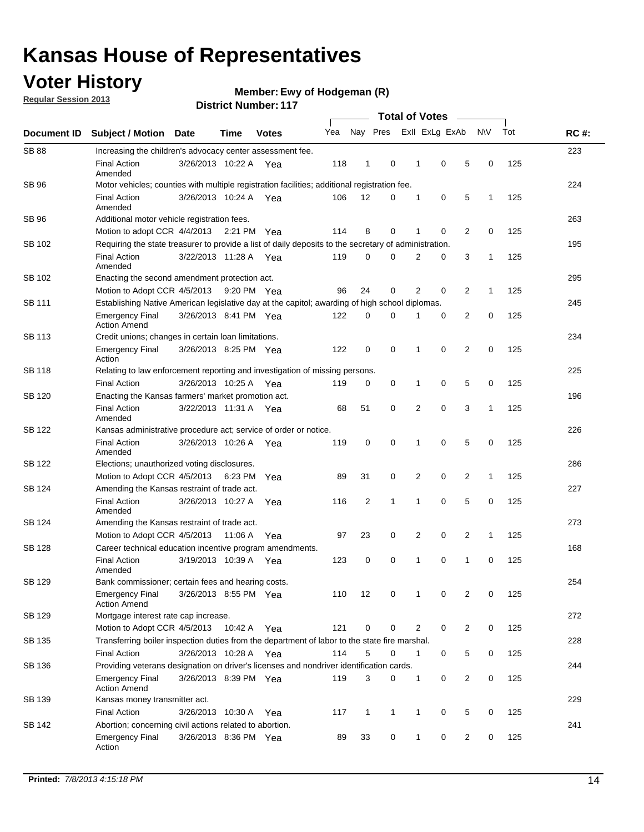## **Voter History**

**Regular Session 2013**

#### **Ewy of Hodgeman (R)**

|                    |                                                                                                       |                       | PISUIVLINUIIID <del>e</del> L II <i>I</i> |              |     | <b>Total of Votes</b> |              |              |                |                |              |     |             |
|--------------------|-------------------------------------------------------------------------------------------------------|-----------------------|-------------------------------------------|--------------|-----|-----------------------|--------------|--------------|----------------|----------------|--------------|-----|-------------|
| <b>Document ID</b> | <b>Subject / Motion</b>                                                                               | Date                  | Time                                      | <b>Votes</b> | Yea |                       | Nay Pres     |              | Exll ExLg ExAb |                | <b>NV</b>    | Tot | <b>RC#:</b> |
| <b>SB 88</b>       | Increasing the children's advocacy center assessment fee.                                             |                       |                                           |              |     |                       |              |              |                |                |              |     | 223         |
|                    | <b>Final Action</b><br>Amended                                                                        | 3/26/2013 10:22 A Yea |                                           |              | 118 | 1                     | 0            | 1            | $\mathbf 0$    | 5              | 0            | 125 |             |
| SB 96              | Motor vehicles; counties with multiple registration facilities; additional registration fee.          |                       |                                           |              |     |                       |              |              |                |                |              |     | 224         |
|                    | <b>Final Action</b><br>Amended                                                                        | 3/26/2013 10:24 A     |                                           | Yea          | 106 | 12                    | 0            | 1            | 0              | 5              | $\mathbf{1}$ | 125 |             |
| SB 96              | Additional motor vehicle registration fees.                                                           |                       |                                           |              |     |                       |              |              |                |                |              |     | 263         |
|                    | Motion to adopt CCR 4/4/2013 2:21 PM Yea                                                              |                       |                                           |              | 114 | 8                     | 0            | 1            | 0              | $\overline{2}$ | 0            | 125 |             |
| SB 102             | Requiring the state treasurer to provide a list of daily deposits to the secretary of administration. |                       |                                           |              |     |                       |              |              |                |                |              |     | 195         |
|                    | <b>Final Action</b><br>Amended                                                                        | 3/22/2013 11:28 A Yea |                                           |              | 119 | 0                     | 0            | 2            | 0              | 3              | 1            | 125 |             |
| SB 102             | Enacting the second amendment protection act.                                                         |                       |                                           |              |     |                       |              |              |                |                |              |     | 295         |
|                    | Motion to Adopt CCR 4/5/2013 9:20 PM Yea                                                              |                       |                                           |              | 96  | 24                    | 0            | 2            | 0              | 2              | $\mathbf{1}$ | 125 |             |
| SB 111             | Establishing Native American legislative day at the capitol; awarding of high school diplomas.        |                       |                                           |              |     |                       |              |              |                |                |              |     | 245         |
|                    | <b>Emergency Final</b><br><b>Action Amend</b>                                                         | 3/26/2013 8:41 PM Yea |                                           |              | 122 | 0                     | 0            |              | 0              | 2              | 0            | 125 |             |
| SB 113             | Credit unions; changes in certain loan limitations.                                                   |                       |                                           |              |     |                       |              |              |                |                |              |     | 234         |
|                    | <b>Emergency Final</b><br>Action                                                                      | 3/26/2013 8:25 PM Yea |                                           |              | 122 | 0                     | 0            | 1            | $\mathbf 0$    | $\overline{2}$ | $\mathbf 0$  | 125 |             |
| <b>SB 118</b>      | Relating to law enforcement reporting and investigation of missing persons.                           |                       |                                           |              |     |                       |              |              |                |                |              |     | 225         |
|                    | <b>Final Action</b>                                                                                   | 3/26/2013 10:25 A     |                                           | Yea          | 119 | 0                     | 0            | 1            | 0              | 5              | 0            | 125 |             |
| SB 120             | Enacting the Kansas farmers' market promotion act.                                                    |                       |                                           |              |     |                       |              |              |                |                |              |     | 196         |
|                    | <b>Final Action</b><br>Amended                                                                        | 3/22/2013 11:31 A Yea |                                           |              | 68  | 51                    | 0            | 2            | $\mathbf 0$    | 3              | $\mathbf{1}$ | 125 |             |
| SB 122             | Kansas administrative procedure act; service of order or notice.                                      |                       |                                           |              |     |                       |              |              |                |                |              |     | 226         |
|                    | <b>Final Action</b><br>Amended                                                                        | 3/26/2013 10:26 A Yea |                                           |              | 119 | $\mathbf 0$           | 0            | 1            | 0              | 5              | 0            | 125 |             |
| SB 122             | Elections; unauthorized voting disclosures.                                                           |                       |                                           |              |     |                       |              |              |                |                |              |     | 286         |
|                    | Motion to Adopt CCR 4/5/2013                                                                          |                       | 6:23 PM                                   | Yea          | 89  | 31                    | 0            | 2            | 0              | 2              | 1            | 125 |             |
| SB 124             | Amending the Kansas restraint of trade act.                                                           |                       |                                           |              |     |                       |              |              |                |                |              |     | 227         |
|                    | <b>Final Action</b><br>Amended                                                                        | 3/26/2013 10:27 A     |                                           | Yea          | 116 | 2                     | 1            | 1            | $\mathbf 0$    | 5              | $\mathbf 0$  | 125 |             |
| SB 124             | Amending the Kansas restraint of trade act.                                                           |                       |                                           |              |     |                       |              |              |                |                |              |     | 273         |
|                    | Motion to Adopt CCR 4/5/2013                                                                          |                       | 11:06 A                                   | Yea          | 97  | 23                    | 0            | 2            | 0              | 2              | 1            | 125 |             |
| SB 128             | Career technical education incentive program amendments.                                              |                       |                                           |              |     |                       |              |              |                |                |              |     | 168         |
|                    | <b>Final Action</b><br>Amended                                                                        | 3/19/2013 10:39 A     |                                           | Yea          | 123 | 0                     | 0            | 1            | 0              | 1              | 0            | 125 |             |
| SB 129             | Bank commissioner; certain fees and hearing costs.                                                    |                       |                                           |              |     |                       |              |              |                |                |              |     | 254         |
|                    | <b>Emergency Final</b><br><b>Action Amend</b>                                                         | 3/26/2013 8:55 PM Yea |                                           |              | 110 | 12                    | 0            | 1            | 0              | 2              | 0            | 125 |             |
| SB 129             | Mortgage interest rate cap increase.                                                                  |                       |                                           |              |     |                       |              |              |                |                |              |     | 272         |
|                    | Motion to Adopt CCR 4/5/2013                                                                          |                       | 10:42 A Yea                               |              | 121 | 0                     | 0            | 2            | 0              | $\overline{2}$ | 0            | 125 |             |
| SB 135             | Transferring boiler inspection duties from the department of labor to the state fire marshal.         |                       |                                           |              |     |                       |              |              |                |                |              |     | 228         |
|                    | Final Action                                                                                          | 3/26/2013 10:28 A Yea |                                           |              | 114 | 5                     | 0            | 1            | 0              | 5              | 0            | 125 |             |
| SB 136             | Providing veterans designation on driver's licenses and nondriver identification cards.               |                       |                                           |              |     |                       |              |              |                |                |              |     | 244         |
|                    | <b>Emergency Final</b><br><b>Action Amend</b>                                                         | 3/26/2013 8:39 PM Yea |                                           |              | 119 | 3                     | 0            | 1            | 0              | $\overline{2}$ | 0            | 125 |             |
| SB 139             | Kansas money transmitter act.                                                                         |                       |                                           |              |     |                       |              |              |                |                |              |     | 229         |
|                    | <b>Final Action</b>                                                                                   | 3/26/2013 10:30 A     |                                           | Yea          | 117 | $\mathbf{1}$          | $\mathbf{1}$ | $\mathbf{1}$ | 0              | 5              | 0            | 125 |             |
| SB 142             | Abortion; concerning civil actions related to abortion.                                               |                       |                                           |              |     |                       |              |              |                |                |              |     | 241         |
|                    | <b>Emergency Final</b><br>Action                                                                      | 3/26/2013 8:36 PM Yea |                                           |              | 89  | 33                    | 0            | $\mathbf{1}$ | 0              | 2              | 0            | 125 |             |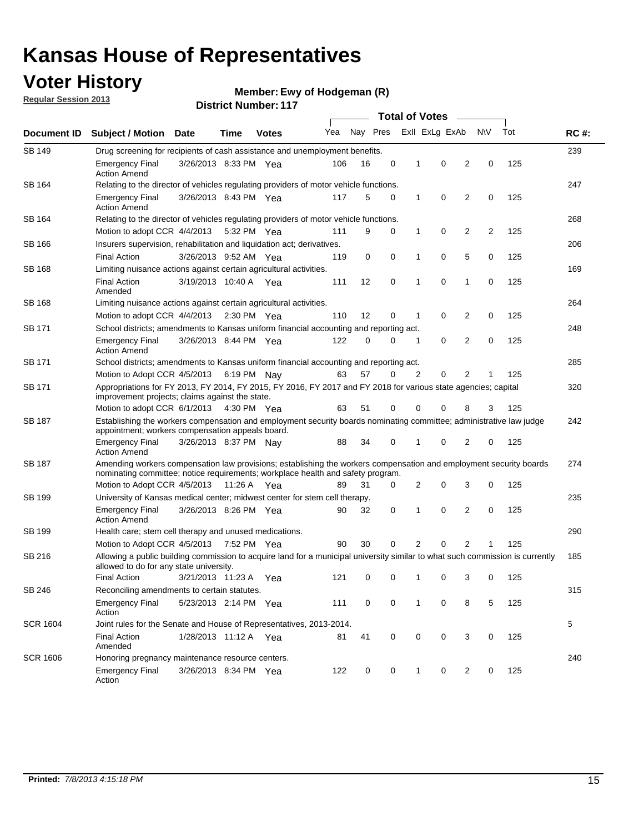## **Voter History**

**Ewy of Hodgeman (R)**

**Regular Session 2013**

|                    | 300 J. PUBLING L. L.<br><b>Total of Votes</b><br>$\sim$                                                                                                                                               |                       |             |              |                             |                     |   |              |          |                |                |     |             |
|--------------------|-------------------------------------------------------------------------------------------------------------------------------------------------------------------------------------------------------|-----------------------|-------------|--------------|-----------------------------|---------------------|---|--------------|----------|----------------|----------------|-----|-------------|
| <b>Document ID</b> | <b>Subject / Motion Date</b>                                                                                                                                                                          |                       | <b>Time</b> | <b>Votes</b> | Yea Nay Pres ExII ExLg ExAb |                     |   |              |          |                | N\V            | Tot | <b>RC#:</b> |
| <b>SB 149</b>      | Drug screening for recipients of cash assistance and unemployment benefits.                                                                                                                           |                       |             |              |                             |                     |   |              |          |                |                |     | 239         |
|                    | <b>Emergency Final</b><br><b>Action Amend</b>                                                                                                                                                         | 3/26/2013 8:33 PM Yea |             |              | 106                         | 16                  | 0 | 1            | 0        | 2              | 0              | 125 |             |
| SB 164             | Relating to the director of vehicles regulating providers of motor vehicle functions.                                                                                                                 |                       |             |              |                             |                     |   |              |          |                |                |     | 247         |
|                    | <b>Emergency Final</b><br><b>Action Amend</b>                                                                                                                                                         | 3/26/2013 8:43 PM Yea |             |              | 117                         | 5                   | 0 | $\mathbf{1}$ | 0        | 2              | 0              | 125 |             |
| SB 164             | Relating to the director of vehicles regulating providers of motor vehicle functions.                                                                                                                 |                       |             |              |                             |                     |   |              |          |                |                |     | 268         |
|                    | Motion to adopt CCR 4/4/2013                                                                                                                                                                          |                       |             | 5:32 PM Yea  | 111                         | 9                   | 0 | 1            | 0        | 2              | $\overline{2}$ | 125 |             |
| SB 166             | Insurers supervision, rehabilitation and liquidation act; derivatives.                                                                                                                                |                       |             |              |                             |                     |   |              |          |                |                |     | 206         |
|                    | <b>Final Action</b>                                                                                                                                                                                   | 3/26/2013 9:52 AM Yea |             |              | 119                         | 0                   | 0 | 1            | 0        | 5              | 0              | 125 |             |
| SB 168             | Limiting nuisance actions against certain agricultural activities.                                                                                                                                    |                       |             |              |                             |                     |   |              |          |                |                |     | 169         |
|                    | <b>Final Action</b><br>Amended                                                                                                                                                                        | 3/19/2013 10:40 A Yea |             |              | 111                         | 12                  | 0 | 1            | 0        | 1              | 0              | 125 |             |
| SB 168             | Limiting nuisance actions against certain agricultural activities.                                                                                                                                    |                       |             |              |                             |                     |   |              |          |                |                |     | 264         |
|                    | Motion to adopt CCR 4/4/2013 2:30 PM Yea                                                                                                                                                              |                       |             |              | 110                         | 12                  | 0 | 1            | 0        | 2              | 0              | 125 |             |
| SB 171             | School districts; amendments to Kansas uniform financial accounting and reporting act.                                                                                                                |                       |             |              |                             |                     |   |              |          |                |                |     | 248         |
|                    | <b>Emergency Final</b><br><b>Action Amend</b>                                                                                                                                                         | 3/26/2013 8:44 PM Yea |             |              | 122                         | $\Omega$            | 0 | 1            | 0        | $\overline{2}$ | 0              | 125 |             |
| <b>SB 171</b>      | School districts; amendments to Kansas uniform financial accounting and reporting act.                                                                                                                |                       |             |              |                             |                     |   |              |          |                |                | 285 |             |
|                    | Motion to Adopt CCR 4/5/2013                                                                                                                                                                          |                       |             | 6:19 PM Nay  | 63                          | 57                  | 0 | 2            | 0        | 2              | 1              | 125 |             |
| SB 171             | Appropriations for FY 2013, FY 2014, FY 2015, FY 2016, FY 2017 and FY 2018 for various state agencies; capital<br>improvement projects; claims against the state.                                     |                       |             |              |                             |                     |   |              |          |                |                | 320 |             |
|                    | Motion to adopt CCR 6/1/2013 4:30 PM Yea                                                                                                                                                              |                       |             |              | 63                          | 51                  | 0 | 0            | $\Omega$ | 8              | 3              | 125 |             |
| SB 187             | Establishing the workers compensation and employment security boards nominating committee; administrative law judge<br>appointment; workers compensation appeals board.                               |                       |             |              |                             |                     |   |              |          |                |                |     | 242         |
|                    | <b>Emergency Final</b><br><b>Action Amend</b>                                                                                                                                                         | 3/26/2013 8:37 PM Nav |             |              | 88                          | 34                  | 0 | 1            | 0        | 2              | 0              | 125 |             |
| SB 187             | Amending workers compensation law provisions; establishing the workers compensation and employment security boards<br>nominating committee; notice requirements; workplace health and safety program. |                       |             |              |                             |                     |   |              |          |                |                |     | 274         |
|                    | Motion to Adopt CCR 4/5/2013 11:26 A Yea                                                                                                                                                              |                       |             |              | 89                          | 31                  | 0 | 2            | 0        | 3              | 0              | 125 |             |
| SB 199             | University of Kansas medical center; midwest center for stem cell therapy.                                                                                                                            |                       |             |              |                             |                     |   |              |          |                |                |     | 235         |
|                    | <b>Emergency Final</b><br><b>Action Amend</b>                                                                                                                                                         | 3/26/2013 8:26 PM Yea |             |              | 90                          | 32                  | 0 | 1            | 0        | $\overline{2}$ | 0              | 125 |             |
| SB 199             | Health care; stem cell therapy and unused medications.                                                                                                                                                |                       |             |              |                             |                     |   |              |          |                |                |     | 290         |
|                    | Motion to Adopt CCR 4/5/2013 7:52 PM Yea                                                                                                                                                              |                       |             |              | 90                          | 30                  | 0 | 2            | 0        | 2              |                | 125 |             |
| SB 216             | Allowing a public building commission to acquire land for a municipal university similar to what such commission is currently<br>allowed to do for any state university.                              |                       |             |              |                             |                     |   |              |          |                |                |     | 185         |
|                    | Final Action 3/21/2013 11:23 A Yea                                                                                                                                                                    |                       |             |              |                             | 121 0 0 1 0 3 0 125 |   |              |          |                |                |     |             |
| SB 246             | Reconciling amendments to certain statutes.                                                                                                                                                           |                       |             |              |                             |                     |   |              |          |                |                |     | 315         |
|                    | <b>Emergency Final</b><br>Action                                                                                                                                                                      | 5/23/2013 2:14 PM Yea |             |              | 111                         | 0                   | 0 | 1            | 0        | 8              | 5              | 125 |             |
| <b>SCR 1604</b>    | Joint rules for the Senate and House of Representatives, 2013-2014.                                                                                                                                   |                       |             |              |                             |                     |   |              |          |                |                |     | 5           |
|                    | <b>Final Action</b><br>Amended                                                                                                                                                                        | 1/28/2013 11:12 A Yea |             |              | 81                          | 41                  | 0 | 0            | 0        | 3              | 0              | 125 |             |
| <b>SCR 1606</b>    | Honoring pregnancy maintenance resource centers.                                                                                                                                                      |                       |             |              |                             |                     |   |              |          |                |                |     | 240         |
|                    | <b>Emergency Final</b><br>Action                                                                                                                                                                      | 3/26/2013 8:34 PM Yea |             |              | 122                         | 0                   | 0 | 1            | 0        | 2              | 0              | 125 |             |